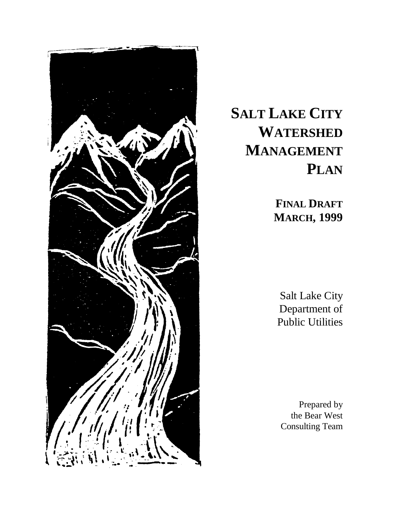

# **SALT LAKE CITY WATERSHED MANAGEMENT PLAN**

**FINAL DRAFT MARCH, 1999**

Salt Lake City Department of Public Utilities

Prepared by the Bear West Consulting Team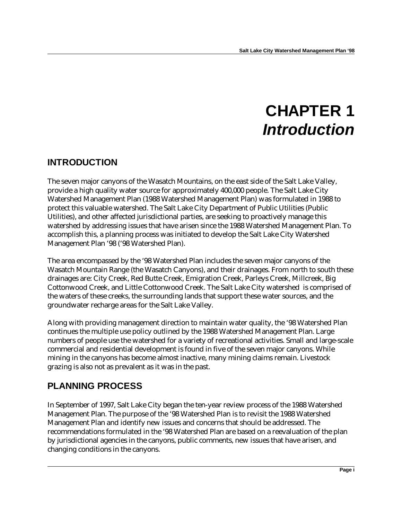# **CHAPTER 1** *Introduction*

### **INTRODUCTION**

The seven major canyons of the Wasatch Mountains, on the east side of the Salt Lake Valley, provide a high quality water source for approximately 400,000 people. The Salt Lake City Watershed Management Plan (1988 Watershed Management Plan) was formulated in 1988 to protect this valuable watershed. The Salt Lake City Department of Public Utilities (Public Utilities), and other affected jurisdictional parties, are seeking to proactively manage this watershed by addressing issues that have arisen since the 1988 Watershed Management Plan. To accomplish this, a planning process was initiated to develop the Salt Lake City Watershed Management Plan '98 ('98 Watershed Plan).

The area encompassed by the '98 Watershed Plan includes the seven major canyons of the Wasatch Mountain Range (the Wasatch Canyons), and their drainages. From north to south these drainages are: City Creek, Red Butte Creek, Emigration Creek, Parleys Creek, Millcreek, Big Cottonwood Creek, and Little Cottonwood Creek. The Salt Lake City watershed is comprised of the waters of these creeks, the surrounding lands that support these water sources, and the groundwater recharge areas for the Salt Lake Valley.

Along with providing management direction to maintain water quality, the '98 Watershed Plan continues the multiple use policy outlined by the 1988 Watershed Management Plan. Large numbers of people use the watershed for a variety of recreational activities. Small and large-scale commercial and residential development is found in five of the seven major canyons. While mining in the canyons has become almost inactive, many mining claims remain. Livestock grazing is also not as prevalent as it was in the past.

## **PLANNING PROCESS**

In September of 1997, Salt Lake City began the ten-year review process of the 1988 Watershed Management Plan. The purpose of the '98 Watershed Plan is to revisit the 1988 Watershed Management Plan and identify new issues and concerns that should be addressed. The recommendations formulated in the '98 Watershed Plan are based on a reevaluation of the plan by jurisdictional agencies in the canyons, public comments, new issues that have arisen, and changing conditions in the canyons.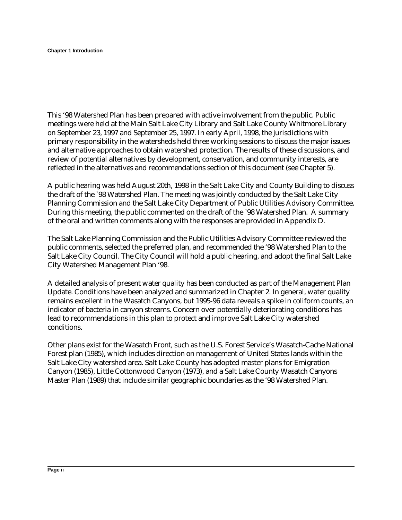This '98 Watershed Plan has been prepared with active involvement from the public. Public meetings were held at the Main Salt Lake City Library and Salt Lake County Whitmore Library on September 23, 1997 and September 25, 1997. In early April, 1998, the jurisdictions with primary responsibility in the watersheds held three working sessions to discuss the major issues and alternative approaches to obtain watershed protection. The results of these discussions, and review of potential alternatives by development, conservation, and community interests, are reflected in the alternatives and recommendations section of this document (see Chapter 5).

A public hearing was held August 20th, 1998 in the Salt Lake City and County Building to discuss the draft of the `98 Watershed Plan. The meeting was jointly conducted by the Salt Lake City Planning Commission and the Salt Lake City Department of Public Utilities Advisory Committee. During this meeting, the public commented on the draft of the `98 Watershed Plan. A summary of the oral and written comments along with the responses are provided in Appendix D.

The Salt Lake Planning Commission and the Public Utilities Advisory Committee reviewed the public comments, selected the preferred plan, and recommended the '98 Watershed Plan to the Salt Lake City Council. The City Council will hold a public hearing, and adopt the final Salt Lake City Watershed Management Plan '98.

A detailed analysis of present water quality has been conducted as part of the Management Plan Update. Conditions have been analyzed and summarized in Chapter 2. In general, water quality remains excellent in the Wasatch Canyons, but 1995-96 data reveals a spike in coliform counts, an indicator of bacteria in canyon streams. Concern over potentially deteriorating conditions has lead to recommendations in this plan to protect and improve Salt Lake City watershed conditions.

Other plans exist for the Wasatch Front, such as the U.S. Forest Service's Wasatch-Cache National Forest plan (1985), which includes direction on management of United States lands within the Salt Lake City watershed area. Salt Lake County has adopted master plans for Emigration Canyon (1985), Little Cottonwood Canyon (1973), and a Salt Lake County Wasatch Canyons Master Plan (1989) that include similar geographic boundaries as the '98 Watershed Plan.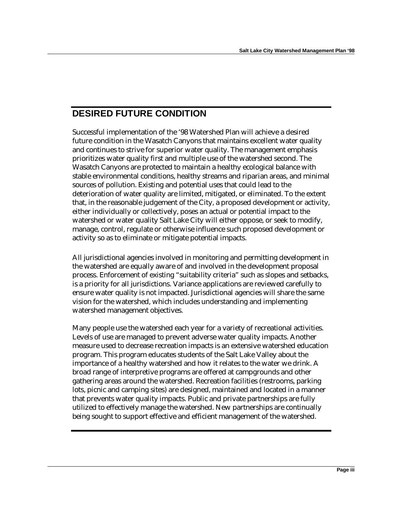### **DESIRED FUTURE CONDITION**

Successful implementation of the '98 Watershed Plan will achieve a desired future condition in the Wasatch Canyons that maintains excellent water quality and continues to strive for superior water quality. The management emphasis prioritizes water quality first and multiple use of the watershed second. The Wasatch Canyons are protected to maintain a healthy ecological balance with stable environmental conditions, healthy streams and riparian areas, and minimal sources of pollution. Existing and potential uses that could lead to the deterioration of water quality are limited, mitigated, or eliminated. To the extent that, in the reasonable judgement of the City, a proposed development or activity, either individually or collectively, poses an actual or potential impact to the watershed or water quality Salt Lake City will either oppose, or seek to modify, manage, control, regulate or otherwise influence such proposed development or activity so as to eliminate or mitigate potential impacts.

All jurisdictional agencies involved in monitoring and permitting development in the watershed are equally aware of and involved in the development proposal process. Enforcement of existing "suitability criteria" such as slopes and setbacks, is a priority for all jurisdictions. Variance applications are reviewed carefully to ensure water quality is not impacted. Jurisdictional agencies will share the same vision for the watershed, which includes understanding and implementing watershed management objectives.

Many people use the watershed each year for a variety of recreational activities. Levels of use are managed to prevent adverse water quality impacts. Another measure used to decrease recreation impacts is an extensive watershed education program. This program educates students of the Salt Lake Valley about the importance of a healthy watershed and how it relates to the water we drink. A broad range of interpretive programs are offered at campgrounds and other gathering areas around the watershed. Recreation facilities (restrooms, parking lots, picnic and camping sites) are designed, maintained and located in a manner that prevents water quality impacts. Public and private partnerships are fully utilized to effectively manage the watershed. New partnerships are continually being sought to support effective and efficient management of the watershed.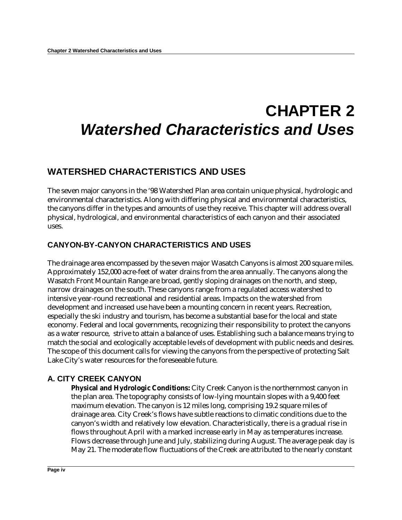# **CHAPTER 2** *Watershed Characteristics and Uses*

### **WATERSHED CHARACTERISTICS AND USES**

The seven major canyons in the '98 Watershed Plan area contain unique physical, hydrologic and environmental characteristics. Along with differing physical and environmental characteristics, the canyons differ in the types and amounts of use they receive. This chapter will address overall physical, hydrological, and environmental characteristics of each canyon and their associated uses.

### **CANYON-BY-CANYON CHARACTERISTICS AND USES**

The drainage area encompassed by the seven major Wasatch Canyons is almost 200 square miles. Approximately 152,000 acre-feet of water drains from the area annually. The canyons along the Wasatch Front Mountain Range are broad, gently sloping drainages on the north, and steep, narrow drainages on the south. These canyons range from a regulated access watershed to intensive year-round recreational and residential areas. Impacts on the watershed from development and increased use have been a mounting concern in recent years. Recreation, especially the ski industry and tourism, has become a substantial base for the local and state economy. Federal and local governments, recognizing their responsibility to protect the canyons as a water resource, strive to attain a balance of uses. Establishing such a balance means trying to match the social and ecologically acceptable levels of development with public needs and desires. The scope of this document calls for viewing the canyons from the perspective of protecting Salt Lake City's water resources for the foreseeable future.

#### **A. CITY CREEK CANYON**

**Physical and Hydrologic Conditions:** City Creek Canyon is the northernmost canyon in the plan area. The topography consists of low-lying mountain slopes with a 9,400 feet maximum elevation. The canyon is 12 miles long, comprising 19.2 square miles of drainage area. City Creek's flows have subtle reactions to climatic conditions due to the canyon's width and relatively low elevation. Characteristically, there is a gradual rise in flows throughout April with a marked increase early in May as temperatures increase. Flows decrease through June and July, stabilizing during August. The average peak day is May 21. The moderate flow fluctuations of the Creek are attributed to the nearly constant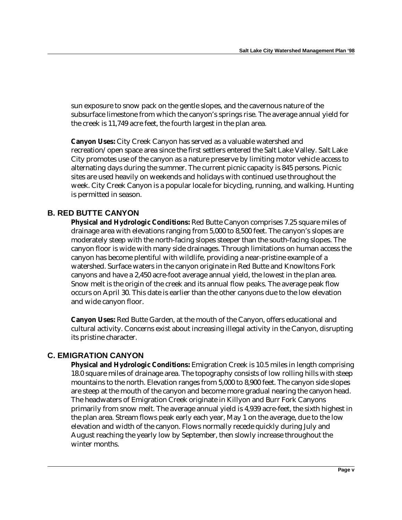sun exposure to snow pack on the gentle slopes, and the cavernous nature of the subsurface limestone from which the canyon's springs rise. The average annual yield for the creek is 11,749 acre feet, the fourth largest in the plan area.

**Canyon Uses:** City Creek Canyon has served as a valuable watershed and recreation/open space area since the first settlers entered the Salt Lake Valley. Salt Lake City promotes use of the canyon as a nature preserve by limiting motor vehicle access to alternating days during the summer. The current picnic capacity is 845 persons. Picnic sites are used heavily on weekends and holidays with continued use throughout the week. City Creek Canyon is a popular locale for bicycling, running, and walking. Hunting is permitted in season.

#### **B. RED BUTTE CANYON**

**Physical and Hydrologic Conditions:** Red Butte Canyon comprises 7.25 square miles of drainage area with elevations ranging from 5,000 to 8,500 feet. The canyon's slopes are moderately steep with the north-facing slopes steeper than the south-facing slopes. The canyon floor is wide with many side drainages. Through limitations on human access the canyon has become plentiful with wildlife, providing a near-pristine example of a watershed. Surface waters in the canyon originate in Red Butte and Knowltons Fork canyons and have a 2,450 acre-foot average annual yield, the lowest in the plan area. Snow melt is the origin of the creek and its annual flow peaks. The average peak flow occurs on April 30. This date is earlier than the other canyons due to the low elevation and wide canyon floor.

**Canyon Uses:** Red Butte Garden, at the mouth of the Canyon, offers educational and cultural activity. Concerns exist about increasing illegal activity in the Canyon, disrupting its pristine character.

#### **C. EMIGRATION CANYON**

**Physical and Hydrologic Conditions:** Emigration Creek is 10.5 miles in length comprising 18.0 square miles of drainage area. The topography consists of low rolling hills with steep mountains to the north. Elevation ranges from 5,000 to 8,900 feet. The canyon side slopes are steep at the mouth of the canyon and become more gradual nearing the canyon head. The headwaters of Emigration Creek originate in Killyon and Burr Fork Canyons primarily from snow melt. The average annual yield is 4,939 acre-feet, the sixth highest in the plan area. Stream flows peak early each year, May 1 on the average, due to the low elevation and width of the canyon. Flows normally recede quickly during July and August reaching the yearly low by September, then slowly increase throughout the winter months.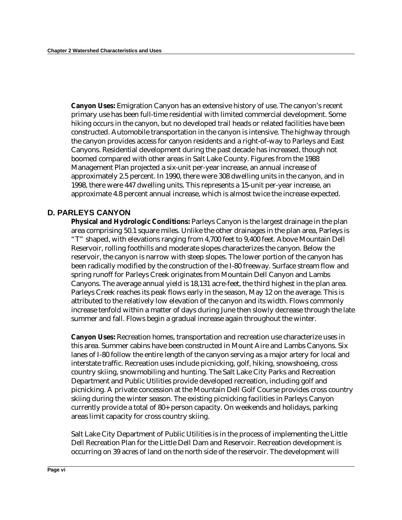**Canyon Uses:** Emigration Canyon has an extensive history of use. The canyon's recent primary use has been full-time residential with limited commercial development. Some hiking occurs in the canyon, but no developed trail heads or related facilities have been constructed. Automobile transportation in the canyon is intensive. The highway through the canyon provides access for canyon residents and a right-of-way to Parleys and East Canyons. Residential development during the past decade has increased, though not boomed compared with other areas in Salt Lake County. Figures from the 1988 Management Plan projected a six-unit per-year increase, an annual increase of approximately 2.5 percent. In 1990, there were 308 dwelling units in the canyon, and in 1998, there were 447 dwelling units. This represents a 15-unit per-year increase, an approximate 4.8 percent annual increase, which is almost twice the increase expected.

#### **D. PARLEYS CANYON**

**Physical and Hydrologic Conditions:** Parleys Canyon is the largest drainage in the plan area comprising 50.1 square miles. Unlike the other drainages in the plan area, Parleys is "T" shaped, with elevations ranging from 4,700 feet to 9,400 feet. Above Mountain Dell Reservoir, rolling foothills and moderate slopes characterizes the canyon. Below the reservoir, the canyon is narrow with steep slopes. The lower portion of the canyon has been radically modified by the construction of the I-80 freeway. Surface stream flow and spring runoff for Parleys Creek originates from Mountain Dell Canyon and Lambs Canyons. The average annual yield is 18,131 acre-feet, the third highest in the plan area. Parleys Creek reaches its peak flows early in the season, May 12 on the average. This is attributed to the relatively low elevation of the canyon and its width. Flows commonly increase tenfold within a matter of days during June then slowly decrease through the late summer and fall. Flows begin a gradual increase again throughout the winter.

**Canyon Uses:** Recreation homes, transportation and recreation use characterize uses in this area. Summer cabins have been constructed in Mount Aire and Lambs Canyons. Six lanes of I-80 follow the entire length of the canyon serving as a major artery for local and interstate traffic. Recreation uses include picnicking, golf, hiking, snowshoeing, cross country skiing, snowmobiling and hunting. The Salt Lake City Parks and Recreation Department and Public Utilities provide developed recreation, including golf and picnicking. A private concession at the Mountain Dell Golf Course provides cross country skiing during the winter season. The existing picnicking facilities in Parleys Canyon currently provide a total of 80+ person capacity. On weekends and holidays, parking areas limit capacity for cross country skiing.

Salt Lake City Department of Public Utilities is in the process of implementing the Little Dell Recreation Plan for the Little Dell Dam and Reservoir. Recreation development is occurring on 39 acres of land on the north side of the reservoir. The development will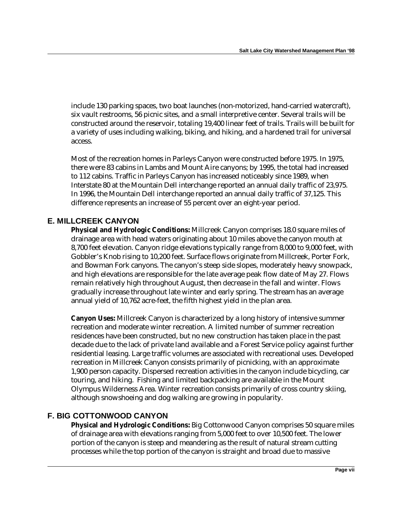include 130 parking spaces, two boat launches (non-motorized, hand-carried watercraft), six vault restrooms, 56 picnic sites, and a small interpretive center. Several trails will be constructed around the reservoir, totaling 19,400 linear feet of trails. Trails will be built for a variety of uses including walking, biking, and hiking, and a hardened trail for universal access.

Most of the recreation homes in Parleys Canyon were constructed before 1975. In 1975, there were 83 cabins in Lambs and Mount Aire canyons; by 1995, the total had increased to 112 cabins. Traffic in Parleys Canyon has increased noticeably since 1989, when Interstate 80 at the Mountain Dell interchange reported an annual daily traffic of 23,975. In 1996, the Mountain Dell interchange reported an annual daily traffic of 37,125. This difference represents an increase of 55 percent over an eight-year period.

#### **E. MILLCREEK CANYON**

**Physical and Hydrologic Conditions:** Millcreek Canyon comprises 18.0 square miles of drainage area with head waters originating about 10 miles above the canyon mouth at 8,700 feet elevation. Canyon ridge elevations typically range from 8,000 to 9,000 feet, with Gobbler's Knob rising to 10,200 feet. Surface flows originate from Millcreek, Porter Fork, and Bowman Fork canyons. The canyon's steep side slopes, moderately heavy snowpack, and high elevations are responsible for the late average peak flow date of May 27. Flows remain relatively high throughout August, then decrease in the fall and winter. Flows gradually increase throughout late winter and early spring. The stream has an average annual yield of 10,762 acre-feet, the fifth highest yield in the plan area.

**Canyon Uses:** Millcreek Canyon is characterized by a long history of intensive summer recreation and moderate winter recreation. A limited number of summer recreation residences have been constructed, but no new construction has taken place in the past decade due to the lack of private land available and a Forest Service policy against further residential leasing. Large traffic volumes are associated with recreational uses. Developed recreation in Millcreek Canyon consists primarily of picnicking, with an approximate 1,900 person capacity. Dispersed recreation activities in the canyon include bicycling, car touring, and hiking. Fishing and limited backpacking are available in the Mount Olympus Wilderness Area. Winter recreation consists primarily of cross country skiing, although snowshoeing and dog walking are growing in popularity.

#### **F. BIG COTTONWOOD CANYON**

**Physical and Hydrologic Conditions:** Big Cottonwood Canyon comprises 50 square miles of drainage area with elevations ranging from 5,000 feet to over 10,500 feet. The lower portion of the canyon is steep and meandering as the result of natural stream cutting processes while the top portion of the canyon is straight and broad due to massive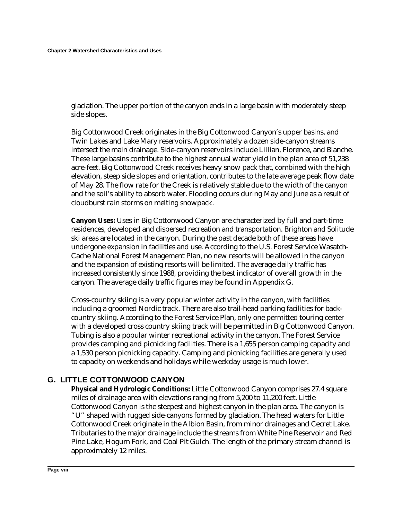glaciation. The upper portion of the canyon ends in a large basin with moderately steep side slopes.

Big Cottonwood Creek originates in the Big Cottonwood Canyon's upper basins, and Twin Lakes and Lake Mary reservoirs. Approximately a dozen side-canyon streams intersect the main drainage. Side-canyon reservoirs include Lillian, Florence, and Blanche. These large basins contribute to the highest annual water yield in the plan area of 51,238 acre-feet. Big Cottonwood Creek receives heavy snow pack that, combined with the high elevation, steep side slopes and orientation, contributes to the late average peak flow date of May 28. The flow rate for the Creek is relatively stable due to the width of the canyon and the soil's ability to absorb water. Flooding occurs during May and June as a result of cloudburst rain storms on melting snowpack.

**Canyon Uses:** Uses in Big Cottonwood Canyon are characterized by full and part-time residences, developed and dispersed recreation and transportation. Brighton and Solitude ski areas are located in the canyon. During the past decade both of these areas have undergone expansion in facilities and use. According to the U.S. Forest Service Wasatch-Cache National Forest Management Plan, no new resorts will be allowed in the canyon and the expansion of existing resorts will be limited. The average daily traffic has increased consistently since 1988, providing the best indicator of overall growth in the canyon. The average daily traffic figures may be found in Appendix G.

Cross-country skiing is a very popular winter activity in the canyon, with facilities including a groomed Nordic track. There are also trail-head parking facilities for backcountry skiing. According to the Forest Service Plan, only one permitted touring center with a developed cross country skiing track will be permitted in Big Cottonwood Canyon. Tubing is also a popular winter recreational activity in the canyon. The Forest Service provides camping and picnicking facilities. There is a 1,655 person camping capacity and a 1,530 person picnicking capacity. Camping and picnicking facilities are generally used to capacity on weekends and holidays while weekday usage is much lower.

#### **G. LITTLE COTTONWOOD CANYON**

**Physical and Hydrologic Conditions:** Little Cottonwood Canyon comprises 27.4 square miles of drainage area with elevations ranging from 5,200 to 11,200 feet. Little Cottonwood Canyon is the steepest and highest canyon in the plan area. The canyon is "U" shaped with rugged side-canyons formed by glaciation. The head waters for Little Cottonwood Creek originate in the Albion Basin, from minor drainages and Cecret Lake. Tributaries to the major drainage include the streams from White Pine Reservoir and Red Pine Lake, Hogum Fork, and Coal Pit Gulch. The length of the primary stream channel is approximately 12 miles.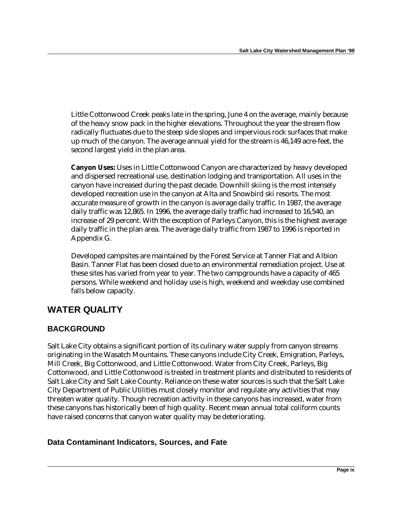Little Cottonwood Creek peaks late in the spring, June 4 on the average, mainly because of the heavy snow pack in the higher elevations. Throughout the year the stream flow radically fluctuates due to the steep side slopes and impervious rock surfaces that make up much of the canyon. The average annual yield for the stream is 46,149 acre-feet, the second largest yield in the plan area.

**Canyon Uses:** Uses in Little Cottonwood Canyon are characterized by heavy developed and dispersed recreational use, destination lodging and transportation. All uses in the canyon have increased during the past decade. Downhill skiing is the most intensely developed recreation use in the canyon at Alta and Snowbird ski resorts. The most accurate measure of growth in the canyon is average daily traffic. In 1987, the average daily traffic was 12,865. In 1996, the average daily traffic had increased to 16,540, an increase of 29 percent. With the exception of Parleys Canyon, this is the highest average daily traffic in the plan area. The average daily traffic from 1987 to 1996 is reported in Appendix G.

Developed campsites are maintained by the Forest Service at Tanner Flat and Albion Basin. Tanner Flat has been closed due to an environmental remediation project. Use at these sites has varied from year to year. The two campgrounds have a capacity of 465 persons. While weekend and holiday use is high, weekend and weekday use combined falls below capacity.

### **WATER QUALITY**

### **BACKGROUND**

Salt Lake City obtains a significant portion of its culinary water supply from canyon streams originating in the Wasatch Mountains. These canyons include City Creek, Emigration, Parleys, Mill Creek, Big Cottonwood, and Little Cottonwood. Water from City Creek, Parleys, Big Cottonwood, and Little Cottonwood is treated in treatment plants and distributed to residents of Salt Lake City and Salt Lake County. Reliance on these water sources is such that the Salt Lake City Department of Public Utilities must closely monitor and regulate any activities that may threaten water quality. Though recreation activity in these canyons has increased, water from these canyons has historically been of high quality. Recent mean annual total coliform counts have raised concerns that canyon water quality may be deteriorating.

#### **Data Contaminant Indicators, Sources, and Fate**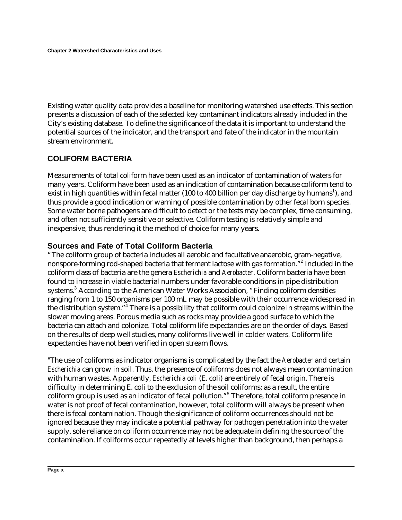Existing water quality data provides a baseline for monitoring watershed use effects. This section presents a discussion of each of the selected key contaminant indicators already included in the City's existing database. To define the significance of the data it is important to understand the potential sources of the indicator, and the transport and fate of the indicator in the mountain stream environment.

### **COLIFORM BACTERIA**

Measurements of total coliform have been used as an indicator of contamination of waters for many years. Coliform have been used as an indication of contamination because coliform tend to exist in high quantities within fecal matter (100 to 400 billion per day discharge by humans $^1$ ), and thus provide a good indication or warning of possible contamination by other fecal born species. Some water borne pathogens are difficult to detect or the tests may be complex, time consuming, and often not sufficiently sensitive or selective. Coliform testing is relatively simple and inexpensive, thus rendering it the method of choice for many years.

#### **Sources and Fate of Total Coliform Bacteria**

"The coliform group of bacteria includes all aerobic and facultative anaerobic, gram-negative, nonspore-forming rod-shaped bacteria that ferment lactose with gas formation."<sup>2</sup> Included in the coliform class of bacteria are the genera *Escherichia* and *Aerobacter*. Coliform bacteria have been found to increase in viable bacterial numbers under favorable conditions in pipe distribution systems.<sup>3</sup> According to the American Water Works Association, "Finding coliform densities ranging from 1 to 150 organisms per 100 mL may be possible with their occurrence widespread in the distribution system."<sup>4</sup> There is a possibility that coliform could colonize in streams within the slower moving areas. Porous media such as rocks may provide a good surface to which the bacteria can attach and colonize. Total coliform life expectancies are on the order of days. Based on the results of deep well studies, many coliforms live well in colder waters. Coliform life expectancies have not been verified in open stream flows.

"The use of coliforms as indicator organisms is complicated by the fact the *Aerobacter* and certain *Escherichia* can grow in soil. Thus, the presence of coliforms does not always mean contamination with human wastes. Apparently, *Escherichia coli* (E. coli) are entirely of fecal origin. There is difficulty in determining E. coli to the exclusion of the soil coliforms; as a result, the entire coliform group is used as an indicator of fecal pollution." 5 Therefore, total coliform presence in water is not proof of fecal contamination, however, total coliform will always be present when there is fecal contamination. Though the significance of coliform occurrences should not be ignored because they may indicate a potential pathway for pathogen penetration into the water supply, sole reliance on coliform occurrence may not be adequate in defining the source of the contamination. If coliforms occur repeatedly at levels higher than background, then perhaps a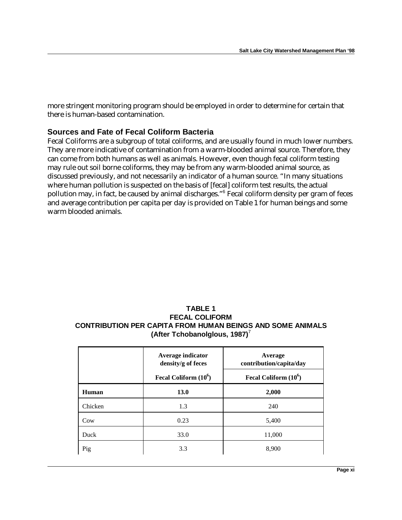more stringent monitoring program should be employed in order to determine for certain that there is human-based contamination.

#### **Sources and Fate of Fecal Coliform Bacteria**

Fecal Coliforms are a subgroup of total coliforms, and are usually found in much lower numbers. They are more indicative of contamination from a warm-blooded animal source. Therefore, they can come from both humans as well as animals. However, even though fecal coliform testing may rule out soil borne coliforms, they may be from any warm-blooded animal source, as discussed previously, and not necessarily an indicator of a human source. "In many situations where human pollution is suspected on the basis of [fecal] coliform test results, the actual pollution may, in fact, be caused by animal discharges."<sup>6</sup> Fecal coliform density per gram of feces and average contribution per capita per day is provided on Table 1 for human beings and some warm blooded animals.

#### **TABLE 1 FECAL COLIFORM CONTRIBUTION PER CAPITA FROM HUMAN BEINGS AND SOME ANIMALS (After Tchobanolglous, 1987)**<sup>7</sup>

|         | Average indicator<br>density/g of feces | Average<br>contribution/capita/day |
|---------|-----------------------------------------|------------------------------------|
|         | Fecal Coliform $(10^6)$                 | Fecal Coliform $(10^6)$            |
| Human   | <b>13.0</b>                             | 2,000                              |
| Chicken | 1.3                                     | 240                                |
| Cow     | 0.23                                    | 5,400                              |
| Duck    | 33.0                                    | 11,000                             |
| Pig     | 3.3                                     | 8,900                              |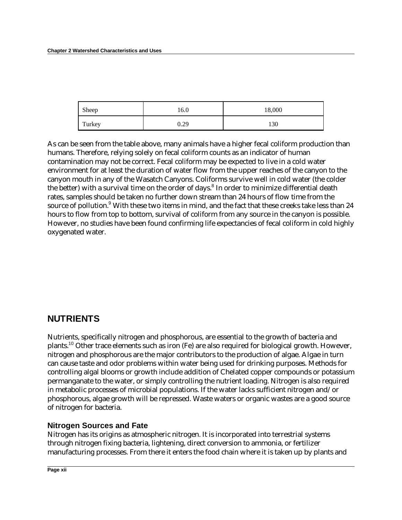| Sheep  | 16.0 | 18,000 |
|--------|------|--------|
| Turkey | 0.29 | 130    |

As can be seen from the table above, many animals have a higher fecal coliform production than humans. Therefore, relying solely on fecal coliform counts as an indicator of human contamination may not be correct. Fecal coliform may be expected to live in a cold water environment for at least the duration of water flow from the upper reaches of the canyon to the canyon mouth in any of the Wasatch Canyons. Coliforms survive well in cold water (the colder the better) with a survival time on the order of days. $^8$  In order to minimize differential death rates, samples should be taken no further down stream than 24 hours of flow time from the source of pollution.<sup>9</sup> With these two items in mind, and the fact that these creeks take less than 24 hours to flow from top to bottom, survival of coliform from any source in the canyon is possible. However, no studies have been found confirming life expectancies of fecal coliform in cold highly oxygenated water.

### **NUTRIENTS**

Nutrients, specifically nitrogen and phosphorous, are essential to the growth of bacteria and plants.<sup>10</sup> Other trace elements such as iron (Fe) are also required for biological growth. However, nitrogen and phosphorous are the major contributors to the production of algae. Algae in turn can cause taste and odor problems within water being used for drinking purposes. Methods for controlling algal blooms or growth include addition of Chelated copper compounds or potassium permanganate to the water, or simply controlling the nutrient loading. Nitrogen is also required in metabolic processes of microbial populations. If the water lacks sufficient nitrogen and/or phosphorous, algae growth will be repressed. Waste waters or organic wastes are a good source of nitrogen for bacteria.

#### **Nitrogen Sources and Fate**

Nitrogen has its origins as atmospheric nitrogen. It is incorporated into terrestrial systems through nitrogen fixing bacteria, lightening, direct conversion to ammonia, or fertilizer manufacturing processes. From there it enters the food chain where it is taken up by plants and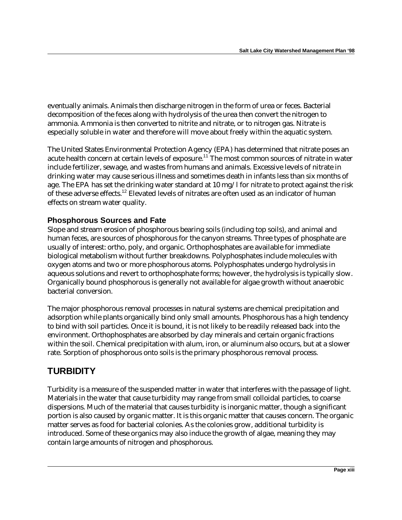eventually animals. Animals then discharge nitrogen in the form of urea or feces. Bacterial decomposition of the feces along with hydrolysis of the urea then convert the nitrogen to ammonia. Ammonia is then converted to nitrite and nitrate, or to nitrogen gas. Nitrate is especially soluble in water and therefore will move about freely within the aquatic system.

The United States Environmental Protection Agency (EPA) has determined that nitrate poses an acute health concern at certain levels of exposure.<sup>11</sup> The most common sources of nitrate in water include fertilizer, sewage, and wastes from humans and animals. Excessive levels of nitrate in drinking water may cause serious illness and sometimes death in infants less than six months of age. The EPA has set the drinking water standard at  $10 \text{ mg}/1$  for nitrate to protect against the risk of these adverse effects.<sup>12</sup> Elevated levels of nitrates are often used as an indicator of human effects on stream water quality.

#### **Phosphorous Sources and Fate**

Slope and stream erosion of phosphorous bearing soils (including top soils), and animal and human feces, are sources of phosphorous for the canyon streams. Three types of phosphate are usually of interest: ortho, poly, and organic. Orthophosphates are available for immediate biological metabolism without further breakdowns. Polyphosphates include molecules with oxygen atoms and two or more phosphorous atoms. Polyphosphates undergo hydrolysis in aqueous solutions and revert to orthophosphate forms; however, the hydrolysis is typically slow. Organically bound phosphorous is generally not available for algae growth without anaerobic bacterial conversion.

The major phosphorous removal processes in natural systems are chemical precipitation and adsorption while plants organically bind only small amounts. Phosphorous has a high tendency to bind with soil particles. Once it is bound, it is not likely to be readily released back into the environment. Orthophosphates are absorbed by clay minerals and certain organic fractions within the soil. Chemical precipitation with alum, iron, or aluminum also occurs, but at a slower rate. Sorption of phosphorous onto soils is the primary phosphorous removal process.

### **TURBIDITY**

Turbidity is a measure of the suspended matter in water that interferes with the passage of light. Materials in the water that cause turbidity may range from small colloidal particles, to coarse dispersions. Much of the material that causes turbidity is inorganic matter, though a significant portion is also caused by organic matter. It is this organic matter that causes concern. The organic matter serves as food for bacterial colonies. As the colonies grow, additional turbidity is introduced. Some of these organics may also induce the growth of algae, meaning they may contain large amounts of nitrogen and phosphorous.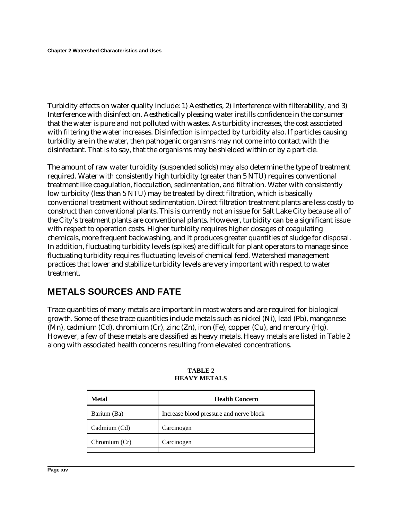Turbidity effects on water quality include: 1) Aesthetics, 2) Interference with filterability, and 3) Interference with disinfection. Aesthetically pleasing water instills confidence in the consumer that the water is pure and not polluted with wastes. As turbidity increases, the cost associated with filtering the water increases. Disinfection is impacted by turbidity also. If particles causing turbidity are in the water, then pathogenic organisms may not come into contact with the disinfectant. That is to say, that the organisms may be shielded within or by a particle.

The amount of raw water turbidity (suspended solids) may also determine the type of treatment required. Water with consistently high turbidity (greater than 5 NTU) requires conventional treatment like coagulation, flocculation, sedimentation, and filtration. Water with consistently low turbidity (less than 5 NTU) may be treated by direct filtration, which is basically conventional treatment without sedimentation. Direct filtration treatment plants are less costly to construct than conventional plants. This is currently not an issue for Salt Lake City because all of the City's treatment plants are conventional plants. However, turbidity can be a significant issue with respect to operation costs. Higher turbidity requires higher dosages of coagulating chemicals, more frequent backwashing, and it produces greater quantities of sludge for disposal. In addition, fluctuating turbidity levels (spikes) are difficult for plant operators to manage since fluctuating turbidity requires fluctuating levels of chemical feed. Watershed management practices that lower and stabilize turbidity levels are very important with respect to water treatment.

### **METALS SOURCES AND FATE**

Trace quantities of many metals are important in most waters and are required for biological growth. Some of these trace quantities include metals such as nickel (Ni), lead (Pb), manganese (Mn), cadmium (Cd), chromium (Cr), zinc (Zn), iron (Fe), copper (Cu), and mercury (Hg). However, a few of these metals are classified as heavy metals. Heavy metals are listed in Table 2 along with associated health concerns resulting from elevated concentrations.

| <b>Metal</b>  | <b>Health Concern</b>                   |
|---------------|-----------------------------------------|
| Barium (Ba)   | Increase blood pressure and nerve block |
| Cadmium (Cd)  | Carcinogen                              |
| Chromium (Cr) | Carcinogen                              |
|               |                                         |

**TABLE 2 HEAVY METALS**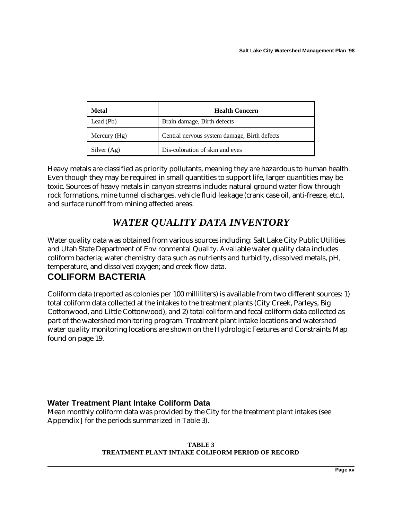| Metal          | <b>Health Concern</b>                        |
|----------------|----------------------------------------------|
| Lead (Pb)      | Brain damage, Birth defects                  |
| Mercury $(Hg)$ | Central nervous system damage, Birth defects |
| Silver $(Ag)$  | Dis-coloration of skin and eyes              |

Heavy metals are classified as priority pollutants, meaning they are hazardous to human health. Even though they may be required in small quantities to support life, larger quantities may be toxic. Sources of heavy metals in canyon streams include: natural ground water flow through rock formations, mine tunnel discharges, vehicle fluid leakage (crank case oil, anti-freeze, etc.), and surface runoff from mining affected areas.

## *WATER QUALITY DATA INVENTORY*

Water quality data was obtained from various sources including: Salt Lake City Public Utilities and Utah State Department of Environmental Quality. Available water quality data includes coliform bacteria; water chemistry data such as nutrients and turbidity, dissolved metals, pH, temperature, and dissolved oxygen; and creek flow data.

### **COLIFORM BACTERIA**

Coliform data (reported as colonies per 100 milliliters) is available from two different sources: 1) total coliform data collected at the intakes to the treatment plants (City Creek, Parleys, Big Cottonwood, and Little Cottonwood), and 2) total coliform and fecal coliform data collected as part of the watershed monitoring program. Treatment plant intake locations and watershed water quality monitoring locations are shown on the Hydrologic Features and Constraints Map found on page 19.

### **Water Treatment Plant Intake Coliform Data**

Mean monthly coliform data was provided by the City for the treatment plant intakes (see Appendix J for the periods summarized in Table 3).

#### **TABLE 3 TREATMENT PLANT INTAKE COLIFORM PERIOD OF RECORD**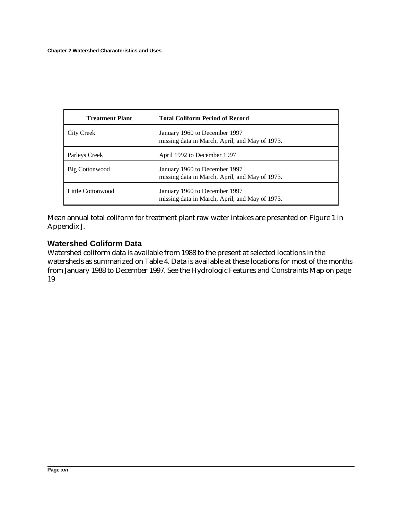| <b>Treatment Plant</b> | <b>Total Coliform Period of Record</b>                                          |
|------------------------|---------------------------------------------------------------------------------|
| City Creek             | January 1960 to December 1997<br>missing data in March, April, and May of 1973. |
| Parleys Creek          | April 1992 to December 1997                                                     |
| Big Cottonwood         | January 1960 to December 1997<br>missing data in March, April, and May of 1973. |
| Little Cottonwood      | January 1960 to December 1997<br>missing data in March, April, and May of 1973. |

Mean annual total coliform for treatment plant raw water intakes are presented on Figure 1 in Appendix J.

#### **Watershed Coliform Data**

Watershed coliform data is available from 1988 to the present at selected locations in the watersheds as summarized on Table 4. Data is available at these locations for most of the months from January 1988 to December 1997. See the Hydrologic Features and Constraints Map on page 19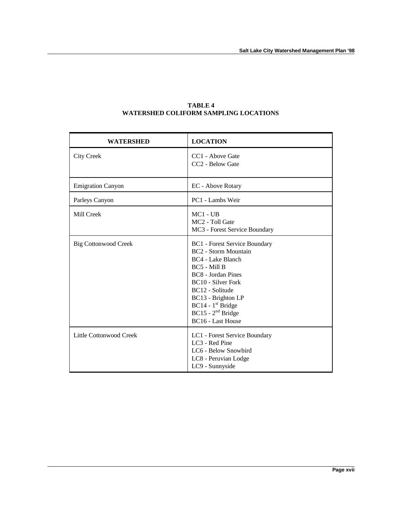| <b>WATERSHED</b>            | <b>LOCATION</b>                                                                                                                                                                                                                                                         |
|-----------------------------|-------------------------------------------------------------------------------------------------------------------------------------------------------------------------------------------------------------------------------------------------------------------------|
| <b>City Creek</b>           | CC1 - Above Gate<br>CC <sub>2</sub> - Below Gate                                                                                                                                                                                                                        |
| <b>Emigration Canyon</b>    | EC - Above Rotary                                                                                                                                                                                                                                                       |
| Parleys Canyon              | PC1 - Lambs Weir                                                                                                                                                                                                                                                        |
| Mill Creek                  | $MC1 - UB$<br>MC <sub>2</sub> - Toll Gate<br>MC3 - Forest Service Boundary                                                                                                                                                                                              |
| <b>Big Cottonwood Creek</b> | <b>BC1</b> - Forest Service Boundary<br><b>BC2</b> - Storm Mountain<br>BC4 - Lake Blanch<br>BC5 - Mill B<br>BC8 - Jordan Pines<br>BC10 - Silver Fork<br>BC12 - Solitude<br>BC13 - Brighton LP<br>$BC14 - 1st Bridge$<br>$BC15 - 2nd Bridge$<br><b>BC16 - Last House</b> |
| Little Cottonwood Creek     | LC1 - Forest Service Boundary<br>LC <sub>3</sub> - Red Pine<br>LC6 - Below Snowbird<br>LC8 - Peruvian Lodge<br>LC9 - Sunnyside                                                                                                                                          |

#### **TABLE 4 WATERSHED COLIFORM SAMPLING LOCATIONS**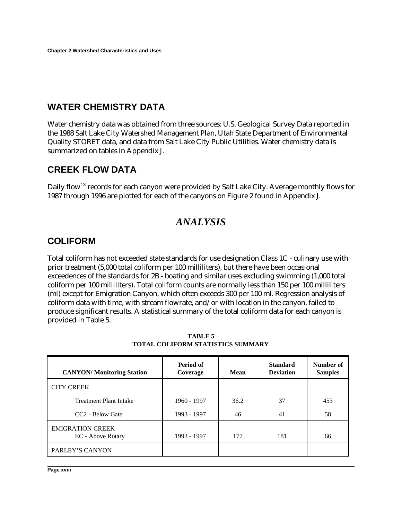### **WATER CHEMISTRY DATA**

Water chemistry data was obtained from three sources: U.S. Geological Survey Data reported in the 1988 Salt Lake City Watershed Management Plan, Utah State Department of Environmental Quality STORET data, and data from Salt Lake City Public Utilities. Water chemistry data is summarized on tables in Appendix J.

### **CREEK FLOW DATA**

Daily flow<sup>13</sup> records for each canyon were provided by Salt Lake City. Average monthly flows for 1987 through 1996 are plotted for each of the canyons on Figure 2 found in Appendix J.

### *ANALYSIS*

### **COLIFORM**

Total coliform has not exceeded state standards for use designation Class 1C - culinary use with prior treatment (5,000 total coliform per 100 milliliters), but there have been occasional exceedences of the standards for 2B - boating and similar uses excluding swimming (1,000 total coliform per 100 milliliters). Total coliform counts are normally less than 150 per 100 milliliters (ml) except for Emigration Canyon, which often exceeds 300 per 100 ml. Regression analysis of coliform data with time, with stream flowrate, and/or with location in the canyon, failed to produce significant results. A statistical summary of the total coliform data for each canyon is provided in Table 5.

| <b>CANYON/ Monitoring Station</b>            | Period of<br>Coverage | Mean | <b>Standard</b><br><b>Deviation</b> | Number of<br><b>Samples</b> |
|----------------------------------------------|-----------------------|------|-------------------------------------|-----------------------------|
| <b>CITY CREEK</b>                            |                       |      |                                     |                             |
| <b>Treatment Plant Intake</b>                | 1960 - 1997           | 36.2 | 37                                  | 453                         |
| CC <sub>2</sub> - Below Gate                 | 1993 - 1997           | 46   | 41                                  | 58                          |
| <b>EMIGRATION CREEK</b><br>EC - Above Rotary | 1993 - 1997           | 177  | 181                                 | 66                          |
| PARLEY'S CANYON                              |                       |      |                                     |                             |

**TABLE 5 TOTAL COLIFORM STATISTICS SUMMARY**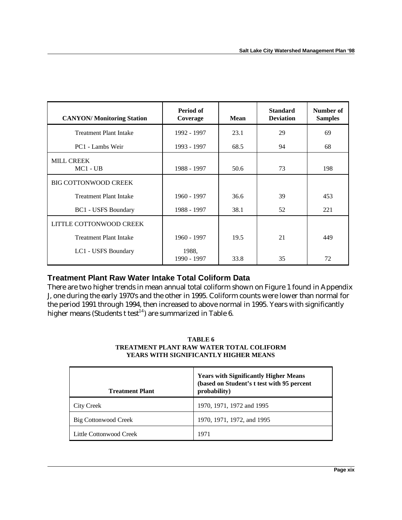| <b>CANYON/</b> Monitoring Station | Period of<br>Coverage | <b>Mean</b> | <b>Standard</b><br><b>Deviation</b> | Number of<br><b>Samples</b> |
|-----------------------------------|-----------------------|-------------|-------------------------------------|-----------------------------|
| <b>Treatment Plant Intake</b>     | 1992 - 1997           | 23.1        | 29                                  | 69                          |
| PC1 - Lambs Weir                  | 1993 - 1997           | 68.5        | 94                                  | 68                          |
| <b>MILL CREEK</b><br>$MC1 - UB$   | 1988 - 1997           | 50.6        | 73                                  | 198                         |
| <b>BIG COTTONWOOD CREEK</b>       |                       |             |                                     |                             |
| <b>Treatment Plant Intake</b>     | 1960 - 1997           | 36.6        | 39                                  | 453                         |
| <b>BC1</b> - USFS Boundary        | 1988 - 1997           | 38.1        | 52                                  | 221                         |
| LITTLE COTTONWOOD CREEK           |                       |             |                                     |                             |
| <b>Treatment Plant Intake</b>     | $1960 - 1997$         | 19.5        | 21                                  | 449                         |
| LC1 - USFS Boundary               | 1988.<br>1990 - 1997  | 33.8        | 35                                  | 72                          |

#### **Treatment Plant Raw Water Intake Total Coliform Data**

There are two higher trends in mean annual total coliform shown on Figure 1 found in Appendix J, one during the early 1970's and the other in 1995. Coliform counts were lower than normal for the period 1991 through 1994, then increased to above normal in 1995. Years with significantly higher means (Students t test<sup>14</sup>) are summarized in Table 6.

#### **TABLE 6 TREATMENT PLANT RAW WATER TOTAL COLIFORM YEARS WITH SIGNIFICANTLY HIGHER MEANS**

| <b>Treatment Plant</b>  | <b>Years with Significantly Higher Means</b><br>(based on Student's t test with 95 percent<br>probability) |
|-------------------------|------------------------------------------------------------------------------------------------------------|
| City Creek              | 1970, 1971, 1972 and 1995                                                                                  |
| Big Cottonwood Creek    | 1970, 1971, 1972, and 1995                                                                                 |
| Little Cottonwood Creek | 1971                                                                                                       |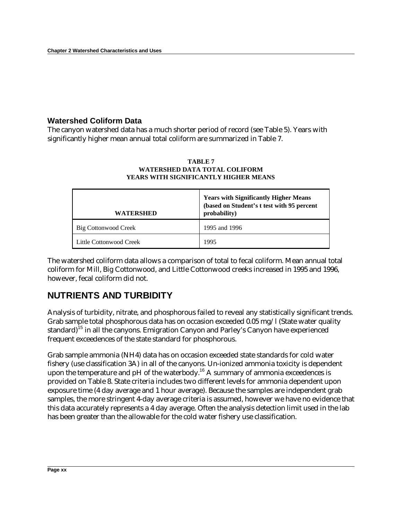### **Watershed Coliform Data**

The canyon watershed data has a much shorter period of record (see Table 5). Years with significantly higher mean annual total coliform are summarized in Table 7.

| <b>WATERSHED</b>        | <b>Years with Significantly Higher Means</b><br>(based on Student's t test with 95 percent<br>probability) |
|-------------------------|------------------------------------------------------------------------------------------------------------|
| Big Cottonwood Creek    | 1995 and 1996                                                                                              |
| Little Cottonwood Creek | 1995                                                                                                       |

#### **TABLE 7 WATERSHED DATA TOTAL COLIFORM YEARS WITH SIGNIFICANTLY HIGHER MEANS**

The watershed coliform data allows a comparison of total to fecal coliform. Mean annual total coliform for Mill, Big Cottonwood, and Little Cottonwood creeks increased in 1995 and 1996, however, fecal coliform did not.

## **NUTRIENTS AND TURBIDITY**

Analysis of turbidity, nitrate, and phosphorous failed to reveal any statistically significant trends. Grab sample total phosphorous data has on occasion exceeded 0.05 mg/l (State water quality standard)<sup>15</sup> in all the canyons. Emigration Canyon and Parley's Canyon have experienced frequent exceedences of the state standard for phosphorous.

Grab sample ammonia (NH4) data has on occasion exceeded state standards for cold water fishery (use classification 3A) in all of the canyons. Un-ionized ammonia toxicity is dependent upon the temperature and  $pH$  of the waterbody.<sup>16</sup> A summary of ammonia exceedences is provided on Table 8. State criteria includes two different levels for ammonia dependent upon exposure time (4 day average and 1 hour average). Because the samples are independent grab samples, the more stringent 4-day average criteria is assumed, however we have no evidence that this data accurately represents a 4 day average. Often the analysis detection limit used in the lab has been greater than the allowable for the cold water fishery use classification.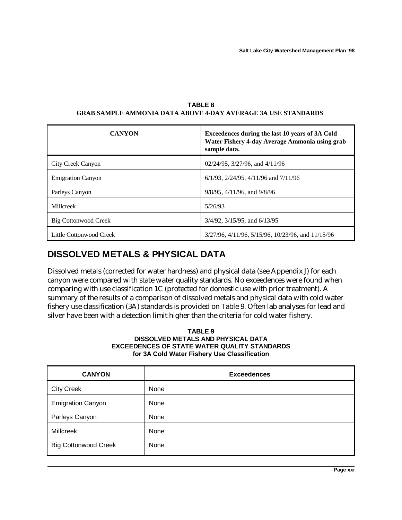| <b>CANYON</b>            | Exceedences during the last 10 years of 3A Cold<br>Water Fishery 4-day Average Ammonia using grab<br>sample data. |
|--------------------------|-------------------------------------------------------------------------------------------------------------------|
| City Creek Canyon        | $02/24/95$ , $3/27/96$ , and $4/11/96$                                                                            |
| <b>Emigration Canyon</b> | $6/1/93$ , $2/24/95$ , $4/11/96$ and $7/11/96$                                                                    |
| Parleys Canyon           | $9/8/95$ , $4/11/96$ , and $9/8/96$                                                                               |
| Millcreek                | 5/26/93                                                                                                           |
| Big Cottonwood Creek     | $3/4/92$ , $3/15/95$ , and $6/13/95$                                                                              |
| Little Cottonwood Creek  | 3/27/96, 4/11/96, 5/15/96, 10/23/96, and 11/15/96                                                                 |

**TABLE 8 GRAB SAMPLE AMMONIA DATA ABOVE 4-DAY AVERAGE 3A USE STANDARDS**

### **DISSOLVED METALS & PHYSICAL DATA**

Dissolved metals (corrected for water hardness) and physical data (see Appendix J) for each canyon were compared with state water quality standards. No exceedences were found when comparing with use classification 1C (protected for domestic use with prior treatment). A summary of the results of a comparison of dissolved metals and physical data with cold water fishery use classification (3A) standards is provided on Table 9. Often lab analyses for lead and silver have been with a detection limit higher than the criteria for cold water fishery.

#### **TABLE 9 DISSOLVED METALS AND PHYSICAL DATA EXCEEDENCES OF STATE WATER QUALITY STANDARDS for 3A Cold Water Fishery Use Classification**

| <b>CANYON</b>               | <b>Exceedences</b> |
|-----------------------------|--------------------|
| <b>City Creek</b>           | None               |
| <b>Emigration Canyon</b>    | None               |
| Parleys Canyon              | None               |
| <b>Millcreek</b>            | None               |
| <b>Big Cottonwood Creek</b> | None               |
|                             |                    |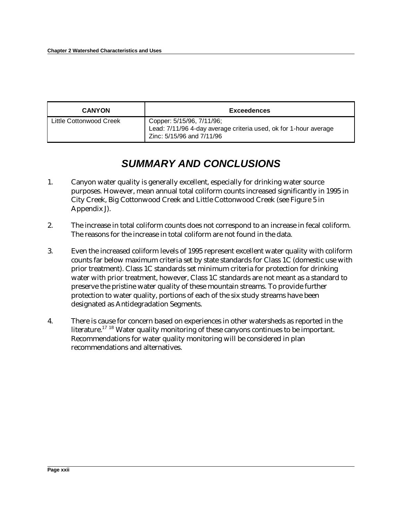| <b>CANYON</b>           | <b>Exceedences</b>                                                                                                         |
|-------------------------|----------------------------------------------------------------------------------------------------------------------------|
| Little Cottonwood Creek | Copper: 5/15/96, 7/11/96;<br>Lead: 7/11/96 4-day average criteria used, ok for 1-hour average<br>Zinc: 5/15/96 and 7/11/96 |

## *SUMMARY AND CONCLUSIONS*

- 1. Canyon water quality is generally excellent, especially for drinking water source purposes. However, mean annual total coliform counts increased significantly in 1995 in City Creek, Big Cottonwood Creek and Little Cottonwood Creek (see Figure 5 in Appendix J).
- 2. The increase in total coliform counts does not correspond to an increase in fecal coliform. The reasons for the increase in total coliform are not found in the data.
- 3. Even the increased coliform levels of 1995 represent excellent water quality with coliform counts far below maximum criteria set by state standards for Class 1C (domestic use with prior treatment). Class 1C standards set minimum criteria for protection for drinking water with prior treatment, however, Class 1C standards are not meant as a standard to preserve the pristine water quality of these mountain streams. To provide further protection to water quality, portions of each of the six study streams have been designated as Antidegradation Segments.
- 4. There is cause for concern based on experiences in other watersheds as reported in the literature.<sup>17 18</sup> Water quality monitoring of these canyons continues to be important. Recommendations for water quality monitoring will be considered in plan recommendations and alternatives.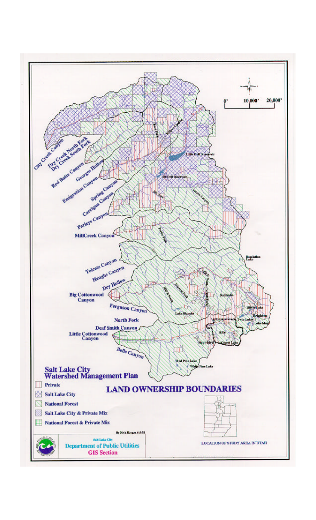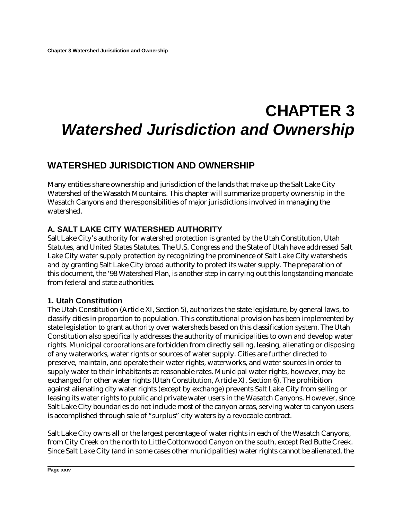# **CHAPTER 3** *Watershed Jurisdiction and Ownership*

### **WATERSHED JURISDICTION AND OWNERSHIP**

Many entities share ownership and jurisdiction of the lands that make up the Salt Lake City Watershed of the Wasatch Mountains. This chapter will summarize property ownership in the Wasatch Canyons and the responsibilities of major jurisdictions involved in managing the watershed.

### **A. SALT LAKE CITY WATERSHED AUTHORITY**

Salt Lake City's authority for watershed protection is granted by the Utah Constitution, Utah Statutes, and United States Statutes. The U.S. Congress and the State of Utah have addressed Salt Lake City water supply protection by recognizing the prominence of Salt Lake City watersheds and by granting Salt Lake City broad authority to protect its water supply. The preparation of this document, the '98 Watershed Plan, is another step in carrying out this longstanding mandate from federal and state authorities.

### **1. Utah Constitution**

The Utah Constitution (Article XI, Section 5), authorizes the state legislature, by general laws, to classify cities in proportion to population. This constitutional provision has been implemented by state legislation to grant authority over watersheds based on this classification system. The Utah Constitution also specifically addresses the authority of municipalities to own and develop water rights. Municipal corporations are forbidden from directly selling, leasing, alienating or disposing of any waterworks, water rights or sources of water supply. Cities are further directed to preserve, maintain, and operate their water rights, waterworks, and water sources in order to supply water to their inhabitants at reasonable rates. Municipal water rights, however, may be exchanged for other water rights (Utah Constitution, Article XI, Section 6). The prohibition against alienating city water rights (except by exchange) prevents Salt Lake City from selling or leasing its water rights to public and private water users in the Wasatch Canyons. However, since Salt Lake City boundaries do not include most of the canyon areas, serving water to canyon users is accomplished through sale of "surplus" city waters by a revocable contract.

Salt Lake City owns all or the largest percentage of water rights in each of the Wasatch Canyons, from City Creek on the north to Little Cottonwood Canyon on the south, except Red Butte Creek. Since Salt Lake City (and in some cases other municipalities) water rights cannot be alienated, the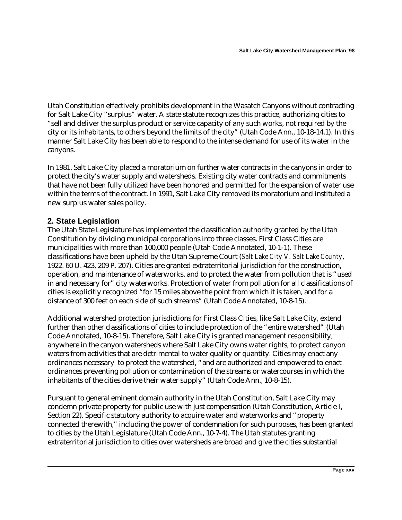Utah Constitution effectively prohibits development in the Wasatch Canyons without contracting for Salt Lake City "surplus" water. A state statute recognizes this practice, authorizing cities to "sell and deliver the surplus product or service capacity of any such works, not required by the city or its inhabitants, to others beyond the limits of the city" (Utah Code Ann., 10-18-14,1). In this manner Salt Lake City has been able to respond to the intense demand for use of its water in the canyons.

In 1981, Salt Lake City placed a moratorium on further water contracts in the canyons in order to protect the city's water supply and watersheds. Existing city water contracts and commitments that have not been fully utilized have been honored and permitted for the expansion of water use within the terms of the contract. In 1991, Salt Lake City removed its moratorium and instituted a new surplus water sales policy.

### **2. State Legislation**

The Utah State Legislature has implemented the classification authority granted by the Utah Constitution by dividing municipal corporations into three classes. First Class Cities are municipalities with more than 100,000 people (Utah Code Annotated, 10-1-1). These classifications have been upheld by the Utah Supreme Court (*Salt Lake City V. Salt Lake County*, 1922. 60 U. 423, 209 P. 207). Cities are granted extraterritorial jurisdiction for the construction, operation, and maintenance of waterworks, and to protect the water from pollution that is "used in and necessary for" city waterworks. Protection of water from pollution for all classifications of cities is explicitly recognized "for 15 miles above the point from which it is taken, and for a distance of 300 feet on each side of such streams" (Utah Code Annotated, 10-8-15).

Additional watershed protection jurisdictions for First Class Cities, like Salt Lake City, extend further than other classifications of cities to include protection of the "entire watershed" (Utah Code Annotated, 10-8-15). Therefore, Salt Lake City is granted management responsibility, anywhere in the canyon watersheds where Salt Lake City owns water rights, to protect canyon waters from activities that are detrimental to water quality or quantity. Cities may enact any ordinances necessary to protect the watershed, "and are authorized and empowered to enact ordinances preventing pollution or contamination of the streams or watercourses in which the inhabitants of the cities derive their water supply" (Utah Code Ann., 10-8-15).

Pursuant to general eminent domain authority in the Utah Constitution, Salt Lake City may condemn private property for public use with just compensation (Utah Constitution, Article I, Section 22). Specific statutory authority to acquire water and waterworks and "property connected therewith," including the power of condemnation for such purposes, has been granted to cities by the Utah Legislature (Utah Code Ann., 10-7-4). The Utah statutes granting extraterritorial jurisdiction to cities over watersheds are broad and give the cities substantial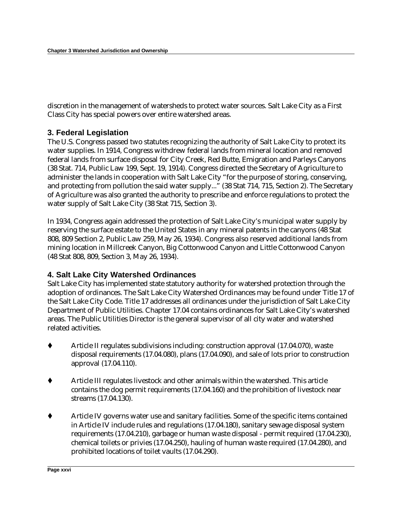discretion in the management of watersheds to protect water sources. Salt Lake City as a First Class City has special powers over entire watershed areas.

#### **3. Federal Legislation**

The U.S. Congress passed two statutes recognizing the authority of Salt Lake City to protect its water supplies. In 1914, Congress withdrew federal lands from mineral location and removed federal lands from surface disposal for City Creek, Red Butte, Emigration and Parleys Canyons (38 Stat. 714, Public Law 199, Sept. 19, 1914). Congress directed the Secretary of Agriculture to administer the lands in cooperation with Salt Lake City "for the purpose of storing, conserving, and protecting from pollution the said water supply..." (38 Stat 714, 715, Section 2). The Secretary of Agriculture was also granted the authority to prescribe and enforce regulations to protect the water supply of Salt Lake City (38 Stat 715, Section 3).

In 1934, Congress again addressed the protection of Salt Lake City's municipal water supply by reserving the surface estate to the United States in any mineral patents in the canyons (48 Stat 808, 809 Section 2, Public Law 259, May 26, 1934). Congress also reserved additional lands from mining location in Millcreek Canyon, Big Cottonwood Canyon and Little Cottonwood Canyon (48 Stat 808, 809, Section 3, May 26, 1934).

### **4. Salt Lake City Watershed Ordinances**

Salt Lake City has implemented state statutory authority for watershed protection through the adoption of ordinances. The Salt Lake City Watershed Ordinances may be found under Title 17 of the Salt Lake City Code. Title 17 addresses all ordinances under the jurisdiction of Salt Lake City Department of Public Utilities. Chapter 17.04 contains ordinances for Salt Lake City's watershed areas. The Public Utilities Director is the general supervisor of all city water and watershed related activities.

- Article II regulates subdivisions including: construction approval (17.04.070), waste disposal requirements (17.04.080), plans (17.04.090), and sale of lots prior to construction approval (17.04.110).
- t Article III regulates livestock and other animals within the watershed. This article contains the dog permit requirements (17.04.160) and the prohibition of livestock near streams (17.04.130).
- t Article IV governs water use and sanitary facilities. Some of the specific items contained in Article IV include rules and regulations (17.04.180), sanitary sewage disposal system requirements (17.04.210), garbage or human waste disposal - permit required (17.04.230), chemical toilets or privies (17.04.250), hauling of human waste required (17.04.280), and prohibited locations of toilet vaults (17.04.290).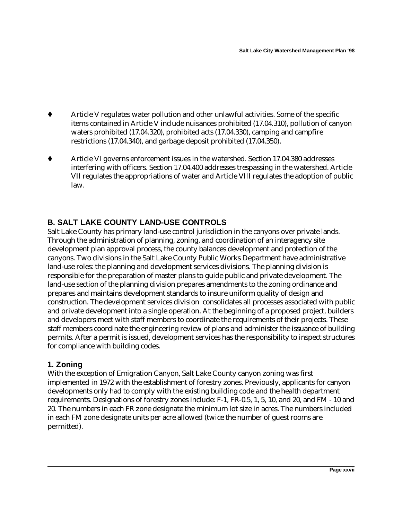- Article V regulates water pollution and other unlawful activities. Some of the specific items contained in Article V include nuisances prohibited (17.04.310), pollution of canyon waters prohibited (17.04.320), prohibited acts (17.04.330), camping and campfire restrictions (17.04.340), and garbage deposit prohibited (17.04.350).
- ◆ Article VI governs enforcement issues in the watershed. Section 17.04.380 addresses interfering with officers. Section 17.04.400 addresses trespassing in the watershed. Article VII regulates the appropriations of water and Article VIII regulates the adoption of public law.

### **B. SALT LAKE COUNTY LAND-USE CONTROLS**

Salt Lake County has primary land-use control jurisdiction in the canyons over private lands. Through the administration of planning, zoning, and coordination of an interagency site development plan approval process, the county balances development and protection of the canyons. Two divisions in the Salt Lake County Public Works Department have administrative land-use roles: the planning and development services divisions. The planning division is responsible for the preparation of master plans to guide public and private development. The land-use section of the planning division prepares amendments to the zoning ordinance and prepares and maintains development standards to insure uniform quality of design and construction. The development services division consolidates all processes associated with public and private development into a single operation. At the beginning of a proposed project, builders and developers meet with staff members to coordinate the requirements of their projects. These staff members coordinate the engineering review of plans and administer the issuance of building permits. After a permit is issued, development services has the responsibility to inspect structures for compliance with building codes.

#### **1. Zoning**

With the exception of Emigration Canyon, Salt Lake County canyon zoning was first implemented in 1972 with the establishment of forestry zones. Previously, applicants for canyon developments only had to comply with the existing building code and the health department requirements. Designations of forestry zones include: F-1, FR-0.5, 1, 5, 10, and 20, and FM - 10 and 20. The numbers in each FR zone designate the minimum lot size in acres. The numbers included in each FM zone designate units per acre allowed (twice the number of guest rooms are permitted).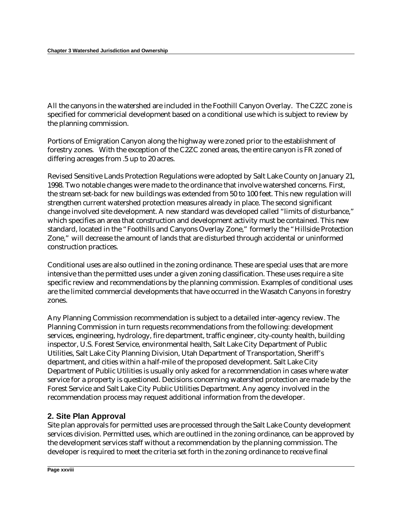All the canyons in the watershed are included in the Foothill Canyon Overlay. The C2ZC zone is specified for commericial development based on a conditional use which is subject to review by the planning commission.

Portions of Emigration Canyon along the highway were zoned prior to the establishment of forestry zones. With the exception of the C2ZC zoned areas, the entire canyon is FR zoned of differing acreages from .5 up to 20 acres.

Revised Sensitive Lands Protection Regulations were adopted by Salt Lake County on January 21, 1998. Two notable changes were made to the ordinance that involve watershed concerns. First, the stream set-back for new buildings was extended from 50 to 100 feet. This new regulation will strengthen current watershed protection measures already in place. The second significant change involved site development. A new standard was developed called "limits of disturbance," which specifies an area that construction and development activity must be contained. This new standard, located in the "Foothills and Canyons Overlay Zone," formerly the "Hillside Protection Zone," will decrease the amount of lands that are disturbed through accidental or uninformed construction practices.

Conditional uses are also outlined in the zoning ordinance. These are special uses that are more intensive than the permitted uses under a given zoning classification. These uses require a site specific review and recommendations by the planning commission. Examples of conditional uses are the limited commercial developments that have occurred in the Wasatch Canyons in forestry zones.

Any Planning Commission recommendation is subject to a detailed inter-agency review. The Planning Commission in turn requests recommendations from the following: development services, engineering, hydrology, fire department, traffic engineer, city-county health, building inspector, U.S. Forest Service, environmental health, Salt Lake City Department of Public Utilities, Salt Lake City Planning Division, Utah Department of Transportation, Sheriff's department, and cities within a half-mile of the proposed development. Salt Lake City Department of Public Utilities is usually only asked for a recommendation in cases where water service for a property is questioned. Decisions concerning watershed protection are made by the Forest Service and Salt Lake City Public Utilities Department. Any agency involved in the recommendation process may request additional information from the developer.

#### **2. Site Plan Approval**

Site plan approvals for permitted uses are processed through the Salt Lake County development services division. Permitted uses, which are outlined in the zoning ordinance, can be approved by the development services staff without a recommendation by the planning commission. The developer is required to meet the criteria set forth in the zoning ordinance to receive final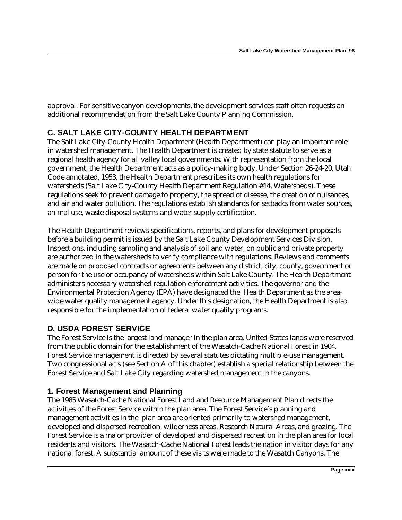approval. For sensitive canyon developments, the development services staff often requests an additional recommendation from the Salt Lake County Planning Commission.

### **C. SALT LAKE CITY-COUNTY HEALTH DEPARTMENT**

The Salt Lake City-County Health Department (Health Department) can play an important role in watershed management. The Health Department is created by state statute to serve as a regional health agency for all valley local governments. With representation from the local government, the Health Department acts as a policy-making body. Under Section 26-24-20, Utah Code annotated, 1953, the Health Department prescribes its own health regulations for watersheds (Salt Lake City-County Health Department Regulation #14, Watersheds). These regulations seek to prevent damage to property, the spread of disease, the creation of nuisances, and air and water pollution. The regulations establish standards for setbacks from water sources, animal use, waste disposal systems and water supply certification.

The Health Department reviews specifications, reports, and plans for development proposals before a building permit is issued by the Salt Lake County Development Services Division. Inspections, including sampling and analysis of soil and water, on public and private property are authorized in the watersheds to verify compliance with regulations. Reviews and comments are made on proposed contracts or agreements between any district, city, county, government or person for the use or occupancy of watersheds within Salt Lake County. The Health Department administers necessary watershed regulation enforcement activities. The governor and the Environmental Protection Agency (EPA) have designated the Health Department as the areawide water quality management agency. Under this designation, the Health Department is also responsible for the implementation of federal water quality programs.

### **D. USDA FOREST SERVICE**

The Forest Service is the largest land manager in the plan area. United States lands were reserved from the public domain for the establishment of the Wasatch-Cache National Forest in 1904. Forest Service management is directed by several statutes dictating multiple-use management. Two congressional acts (see Section A of this chapter) establish a special relationship between the Forest Service and Salt Lake City regarding watershed management in the canyons.

### **1. Forest Management and Planning**

The 1985 Wasatch-Cache National Forest Land and Resource Management Plan directs the activities of the Forest Service within the plan area. The Forest Service's planning and management activities in the plan area are oriented primarily to watershed management, developed and dispersed recreation, wilderness areas, Research Natural Areas, and grazing. The Forest Service is a major provider of developed and dispersed recreation in the plan area for local residents and visitors. The Wasatch-Cache National Forest leads the nation in visitor days for any national forest. A substantial amount of these visits were made to the Wasatch Canyons. The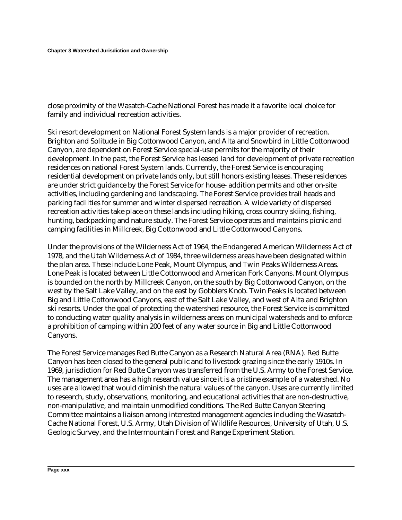close proximity of the Wasatch-Cache National Forest has made it a favorite local choice for family and individual recreation activities.

Ski resort development on National Forest System lands is a major provider of recreation. Brighton and Solitude in Big Cottonwood Canyon, and Alta and Snowbird in Little Cottonwood Canyon, are dependent on Forest Service special-use permits for the majority of their development. In the past, the Forest Service has leased land for development of private recreation residences on national Forest System lands. Currently, the Forest Service is encouraging residential development on private lands only, but still honors existing leases. These residences are under strict guidance by the Forest Service for house- addition permits and other on-site activities, including gardening and landscaping. The Forest Service provides trail heads and parking facilities for summer and winter dispersed recreation. A wide variety of dispersed recreation activities take place on these lands including hiking, cross country skiing, fishing, hunting, backpacking and nature study. The Forest Service operates and maintains picnic and camping facilities in Millcreek, Big Cottonwood and Little Cottonwood Canyons.

Under the provisions of the Wilderness Act of 1964, the Endangered American Wilderness Act of 1978, and the Utah Wilderness Act of 1984, three wilderness areas have been designated within the plan area. These include Lone Peak, Mount Olympus, and Twin Peaks Wilderness Areas. Lone Peak is located between Little Cottonwood and American Fork Canyons. Mount Olympus is bounded on the north by Millcreek Canyon, on the south by Big Cottonwood Canyon, on the west by the Salt Lake Valley, and on the east by Gobblers Knob. Twin Peaks is located between Big and Little Cottonwood Canyons, east of the Salt Lake Valley, and west of Alta and Brighton ski resorts. Under the goal of protecting the watershed resource, the Forest Service is committed to conducting water quality analysis in wilderness areas on municipal watersheds and to enforce a prohibition of camping within 200 feet of any water source in Big and Little Cottonwood Canyons.

The Forest Service manages Red Butte Canyon as a Research Natural Area (RNA). Red Butte Canyon has been closed to the general public and to livestock grazing since the early 1910s. In 1969, jurisdiction for Red Butte Canyon was transferred from the U.S. Army to the Forest Service. The management area has a high research value since it is a pristine example of a watershed. No uses are allowed that would diminish the natural values of the canyon. Uses are currently limited to research, study, observations, monitoring, and educational activities that are non-destructive, non-manipulative, and maintain unmodified conditions. The Red Butte Canyon Steering Committee maintains a liaison among interested management agencies including the Wasatch-Cache National Forest, U.S. Army, Utah Division of Wildlife Resources, University of Utah, U.S. Geologic Survey, and the Intermountain Forest and Range Experiment Station.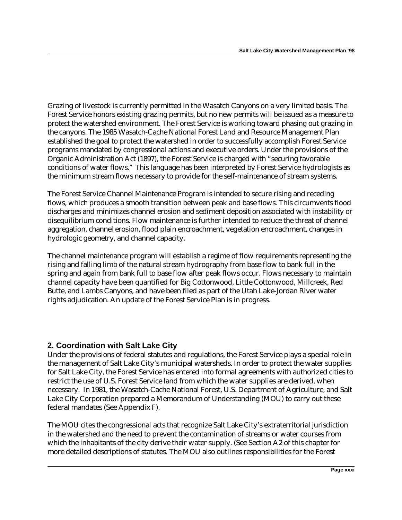Grazing of livestock is currently permitted in the Wasatch Canyons on a very limited basis. The Forest Service honors existing grazing permits, but no new permits will be issued as a measure to protect the watershed environment. The Forest Service is working toward phasing out grazing in the canyons. The 1985 Wasatch-Cache National Forest Land and Resource Management Plan established the goal to protect the watershed in order to successfully accomplish Forest Service programs mandated by congressional actions and executive orders. Under the provisions of the Organic Administration Act (1897), the Forest Service is charged with "securing favorable conditions of water flows." This language has been interpreted by Forest Service hydrologists as the minimum stream flows necessary to provide for the self-maintenance of stream systems.

The Forest Service Channel Maintenance Program is intended to secure rising and receding flows, which produces a smooth transition between peak and base flows. This circumvents flood discharges and minimizes channel erosion and sediment deposition associated with instability or disequilibrium conditions. Flow maintenance is further intended to reduce the threat of channel aggregation, channel erosion, flood plain encroachment, vegetation encroachment, changes in hydrologic geometry, and channel capacity.

The channel maintenance program will establish a regime of flow requirements representing the rising and falling limb of the natural stream hydrography from base flow to bank full in the spring and again from bank full to base flow after peak flows occur. Flows necessary to maintain channel capacity have been quantified for Big Cottonwood, Little Cottonwood, Millcreek, Red Butte, and Lambs Canyons, and have been filed as part of the Utah Lake-Jordan River water rights adjudication. An update of the Forest Service Plan is in progress.

#### **2. Coordination with Salt Lake City**

Under the provisions of federal statutes and regulations, the Forest Service plays a special role in the management of Salt Lake City's municipal watersheds. In order to protect the water supplies for Salt Lake City, the Forest Service has entered into formal agreements with authorized cities to restrict the use of U.S. Forest Service land from which the water supplies are derived, when necessary. In 1981, the Wasatch-Cache National Forest, U.S. Department of Agriculture, and Salt Lake City Corporation prepared a Memorandum of Understanding (MOU) to carry out these federal mandates (See Appendix F).

The MOU cites the congressional acts that recognize Salt Lake City's extraterritorial jurisdiction in the watershed and the need to prevent the contamination of streams or water courses from which the inhabitants of the city derive their water supply. (See Section A2 of this chapter for more detailed descriptions of statutes. The MOU also outlines responsibilities for the Forest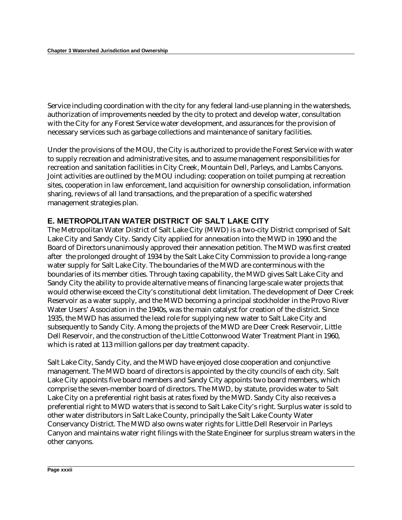Service including coordination with the city for any federal land-use planning in the watersheds, authorization of improvements needed by the city to protect and develop water, consultation with the City for any Forest Service water development, and assurances for the provision of necessary services such as garbage collections and maintenance of sanitary facilities.

Under the provisions of the MOU, the City is authorized to provide the Forest Service with water to supply recreation and administrative sites, and to assume management responsibilities for recreation and sanitation facilities in City Creek, Mountain Dell, Parleys, and Lambs Canyons. Joint activities are outlined by the MOU including: cooperation on toilet pumping at recreation sites, cooperation in law enforcement, land acquisition for ownership consolidation, information sharing, reviews of all land transactions, and the preparation of a specific watershed management strategies plan.

#### **E. METROPOLITAN WATER DISTRICT OF SALT LAKE CITY**

The Metropolitan Water District of Salt Lake City (MWD) is a two-city District comprised of Salt Lake City and Sandy City. Sandy City applied for annexation into the MWD in 1990 and the Board of Directors unanimously approved their annexation petition. The MWD was first created after the prolonged drought of 1934 by the Salt Lake City Commission to provide a long-range water supply for Salt Lake City. The boundaries of the MWD are conterminous with the boundaries of its member cities. Through taxing capability, the MWD gives Salt Lake City and Sandy City the ability to provide alternative means of financing large-scale water projects that would otherwise exceed the City's constitutional debt limitation. The development of Deer Creek Reservoir as a water supply, and the MWD becoming a principal stockholder in the Provo River Water Users' Association in the 1940s, was the main catalyst for creation of the district. Since 1935, the MWD has assumed the lead role for supplying new water to Salt Lake City and subsequently to Sandy City. Among the projects of the MWD are Deer Creek Reservoir, Little Dell Reservoir, and the construction of the Little Cottonwood Water Treatment Plant in 1960, which is rated at 113 million gallons per day treatment capacity.

Salt Lake City, Sandy City, and the MWD have enjoyed close cooperation and conjunctive management. The MWD board of directors is appointed by the city councils of each city. Salt Lake City appoints five board members and Sandy City appoints two board members, which comprise the seven-member board of directors. The MWD, by statute, provides water to Salt Lake City on a preferential right basis at rates fixed by the MWD. Sandy City also receives a preferential right to MWD waters that is second to Salt Lake City's right. Surplus water is sold to other water distributors in Salt Lake County, principally the Salt Lake County Water Conservancy District. The MWD also owns water rights for Little Dell Reservoir in Parleys Canyon and maintains water right filings with the State Engineer for surplus stream waters in the other canyons.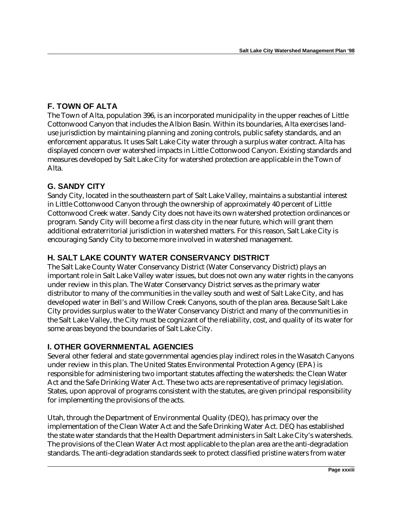### **F. TOWN OF ALTA**

The Town of Alta, population 396, is an incorporated municipality in the upper reaches of Little Cottonwood Canyon that includes the Albion Basin. Within its boundaries, Alta exercises landuse jurisdiction by maintaining planning and zoning controls, public safety standards, and an enforcement apparatus. It uses Salt Lake City water through a surplus water contract. Alta has displayed concern over watershed impacts in Little Cottonwood Canyon. Existing standards and measures developed by Salt Lake City for watershed protection are applicable in the Town of Alta.

### **G. SANDY CITY**

Sandy City, located in the southeastern part of Salt Lake Valley, maintains a substantial interest in Little Cottonwood Canyon through the ownership of approximately 40 percent of Little Cottonwood Creek water. Sandy City does not have its own watershed protection ordinances or program. Sandy City will become a first class city in the near future, which will grant them additional extraterritorial jurisdiction in watershed matters. For this reason, Salt Lake City is encouraging Sandy City to become more involved in watershed management.

### **H. SALT LAKE COUNTY WATER CONSERVANCY DISTRICT**

The Salt Lake County Water Conservancy District (Water Conservancy District) plays an important role in Salt Lake Valley water issues, but does not own any water rights in the canyons under review in this plan. The Water Conservancy District serves as the primary water distributor to many of the communities in the valley south and west of Salt Lake City, and has developed water in Bell's and Willow Creek Canyons, south of the plan area. Because Salt Lake City provides surplus water to the Water Conservancy District and many of the communities in the Salt Lake Valley, the City must be cognizant of the reliability, cost, and quality of its water for some areas beyond the boundaries of Salt Lake City.

### **I. OTHER GOVERNMENTAL AGENCIES**

Several other federal and state governmental agencies play indirect roles in the Wasatch Canyons under review in this plan. The United States Environmental Protection Agency (EPA) is responsible for administering two important statutes affecting the watersheds: the Clean Water Act and the Safe Drinking Water Act. These two acts are representative of primacy legislation. States, upon approval of programs consistent with the statutes, are given principal responsibility for implementing the provisions of the acts.

Utah, through the Department of Environmental Quality (DEQ), has primacy over the implementation of the Clean Water Act and the Safe Drinking Water Act. DEQ has established the state water standards that the Health Department administers in Salt Lake City's watersheds. The provisions of the Clean Water Act most applicable to the plan area are the anti-degradation standards. The anti-degradation standards seek to protect classified pristine waters from water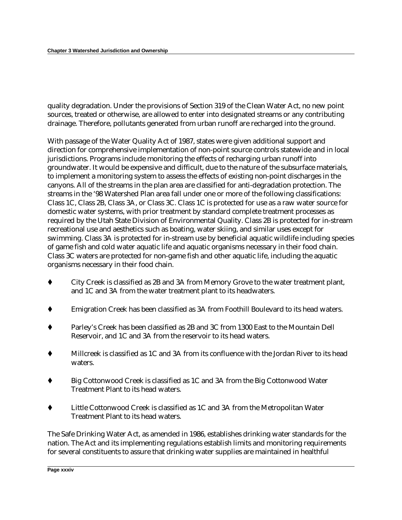quality degradation. Under the provisions of Section 319 of the Clean Water Act, no new point sources, treated or otherwise, are allowed to enter into designated streams or any contributing drainage. Therefore, pollutants generated from urban runoff are recharged into the ground.

With passage of the Water Quality Act of 1987, states were given additional support and direction for comprehensive implementation of non-point source controls statewide and in local jurisdictions. Programs include monitoring the effects of recharging urban runoff into groundwater. It would be expensive and difficult, due to the nature of the subsurface materials, to implement a monitoring system to assess the effects of existing non-point discharges in the canyons. All of the streams in the plan area are classified for anti-degradation protection. The streams in the '98 Watershed Plan area fall under one or more of the following classifications: Class 1C, Class 2B, Class 3A, or Class 3C. Class 1C is protected for use as a raw water source for domestic water systems, with prior treatment by standard complete treatment processes as required by the Utah State Division of Environmental Quality. Class 2B is protected for in-stream recreational use and aesthetics such as boating, water skiing, and similar uses except for swimming. Class 3A is protected for in-stream use by beneficial aquatic wildlife including species of game fish and cold water aquatic life and aquatic organisms necessary in their food chain. Class 3C waters are protected for non-game fish and other aquatic life, including the aquatic organisms necessary in their food chain.

- City Creek is classified as 2B and 3A from Memory Grove to the water treatment plant, and 1C and 3A from the water treatment plant to its headwaters.
- Emigration Creek has been classified as 3A from Foothill Boulevard to its head waters.
- Parley's Creek has been classified as 2B and 3C from 1300 East to the Mountain Dell Reservoir, and 1C and 3A from the reservoir to its head waters.
- Millcreek is classified as 1C and 3A from its confluence with the Jordan River to its head waters.
- Big Cottonwood Creek is classified as 1C and 3A from the Big Cottonwood Water Treatment Plant to its head waters.
- Little Cottonwood Creek is classified as 1C and 3A from the Metropolitan Water Treatment Plant to its head waters.

The Safe Drinking Water Act, as amended in 1986, establishes drinking water standards for the nation. The Act and its implementing regulations establish limits and monitoring requirements for several constituents to assure that drinking water supplies are maintained in healthful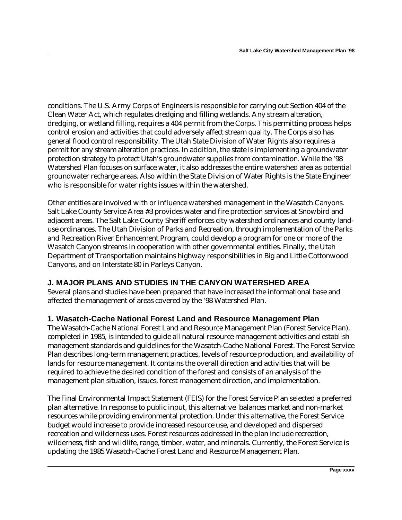conditions. The U.S. Army Corps of Engineers is responsible for carrying out Section 404 of the Clean Water Act, which regulates dredging and filling wetlands. Any stream alteration, dredging, or wetland filling, requires a 404 permit from the Corps. This permitting process helps control erosion and activities that could adversely affect stream quality. The Corps also has general flood control responsibility. The Utah State Division of Water Rights also requires a permit for any stream alteration practices. In addition, the state is implementing a groundwater protection strategy to protect Utah's groundwater supplies from contamination. While the '98 Watershed Plan focuses on surface water, it also addresses the entire watershed area as potential groundwater recharge areas. Also within the State Division of Water Rights is the State Engineer who is responsible for water rights issues within the watershed.

Other entities are involved with or influence watershed management in the Wasatch Canyons. Salt Lake County Service Area #3 provides water and fire protection services at Snowbird and adjacent areas. The Salt Lake County Sheriff enforces city watershed ordinances and county landuse ordinances. The Utah Division of Parks and Recreation, through implementation of the Parks and Recreation River Enhancement Program, could develop a program for one or more of the Wasatch Canyon streams in cooperation with other governmental entities. Finally, the Utah Department of Transportation maintains highway responsibilities in Big and Little Cottonwood Canyons, and on Interstate 80 in Parleys Canyon.

#### **J. MAJOR PLANS AND STUDIES IN THE CANYON WATERSHED AREA**

Several plans and studies have been prepared that have increased the informational base and affected the management of areas covered by the '98 Watershed Plan.

#### **1. Wasatch-Cache National Forest Land and Resource Management Plan**

The Wasatch-Cache National Forest Land and Resource Management Plan (Forest Service Plan), completed in 1985, is intended to guide all natural resource management activities and establish management standards and guidelines for the Wasatch-Cache National Forest. The Forest Service Plan describes long-term management practices, levels of resource production, and availability of lands for resource management. It contains the overall direction and activities that will be required to achieve the desired condition of the forest and consists of an analysis of the management plan situation, issues, forest management direction, and implementation.

The Final Environmental Impact Statement (FEIS) for the Forest Service Plan selected a preferred plan alternative. In response to public input, this alternative balances market and non-market resources while providing environmental protection. Under this alternative, the Forest Service budget would increase to provide increased resource use, and developed and dispersed recreation and wilderness uses. Forest resources addressed in the plan include recreation, wilderness, fish and wildlife, range, timber, water, and minerals. Currently, the Forest Service is updating the 1985 Wasatch-Cache Forest Land and Resource Management Plan.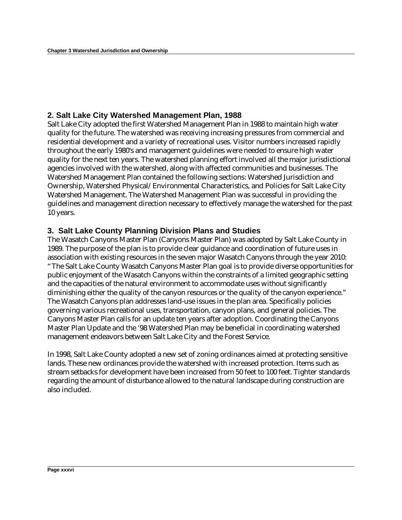## **2. Salt Lake City Watershed Management Plan, 1988**

Salt Lake City adopted the first Watershed Management Plan in 1988 to maintain high water quality for the future. The watershed was receiving increasing pressures from commercial and residential development and a variety of recreational uses. Visitor numbers increased rapidly throughout the early 1980's and management guidelines were needed to ensure high water quality for the next ten years. The watershed planning effort involved all the major jurisdictional agencies involved with the watershed, along with affected communities and businesses. The Watershed Management Plan contained the following sections: Watershed Jurisdiction and Ownership, Watershed Physical/Environmental Characteristics, and Policies for Salt Lake City Watershed Management. The Watershed Management Plan was successful in providing the guidelines and management direction necessary to effectively manage the watershed for the past 10 years.

## **3. Salt Lake County Planning Division Plans and Studies**

The Wasatch Canyons Master Plan (Canyons Master Plan) was adopted by Salt Lake County in 1989. The purpose of the plan is to provide clear guidance and coordination of future uses in association with existing resources in the seven major Wasatch Canyons through the year 2010: "The Salt Lake County Wasatch Canyons Master Plan goal is to provide diverse opportunities for public enjoyment of the Wasatch Canyons within the constraints of a limited geographic setting and the capacities of the natural environment to accommodate uses without significantly diminishing either the quality of the canyon resources or the quality of the canyon experience." The Wasatch Canyons plan addresses land-use issues in the plan area. Specifically policies governing various recreational uses, transportation, canyon plans, and general policies. The Canyons Master Plan calls for an update ten years after adoption. Coordinating the Canyons Master Plan Update and the '98 Watershed Plan may be beneficial in coordinating watershed management endeavors between Salt Lake City and the Forest Service.

In 1998, Salt Lake County adopted a new set of zoning ordinances aimed at protecting sensitive lands. These new ordinances provide the watershed with increased protection. Items such as stream setbacks for development have been increased from 50 feet to 100 feet. Tighter standards regarding the amount of disturbance allowed to the natural landscape during construction are also included.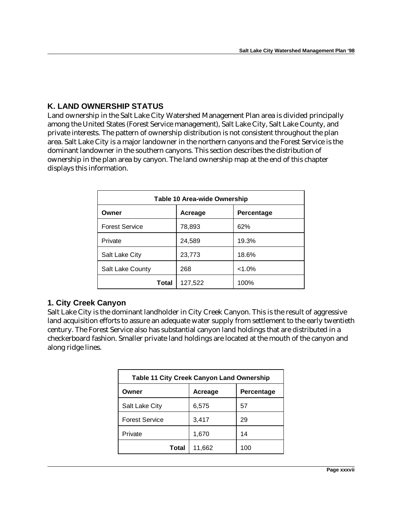## **K. LAND OWNERSHIP STATUS**

Land ownership in the Salt Lake City Watershed Management Plan area is divided principally among the United States (Forest Service management), Salt Lake City, Salt Lake County, and private interests. The pattern of ownership distribution is not consistent throughout the plan area. Salt Lake City is a major landowner in the northern canyons and the Forest Service is the dominant landowner in the southern canyons. This section describes the distribution of ownership in the plan area by canyon. The land ownership map at the end of this chapter displays this information.

| Table 10 Area-wide Ownership |         |            |  |
|------------------------------|---------|------------|--|
| Owner                        | Acreage | Percentage |  |
| <b>Forest Service</b>        | 78,893  | 62%        |  |
| Private                      | 24,589  | 19.3%      |  |
| Salt Lake City               | 23,773  | 18.6%      |  |
| Salt Lake County             | 268     | $< 1.0\%$  |  |
| Total                        | 127,522 | 100%       |  |

## **1. City Creek Canyon**

Salt Lake City is the dominant landholder in City Creek Canyon. This is the result of aggressive land acquisition efforts to assure an adequate water supply from settlement to the early twentieth century. The Forest Service also has substantial canyon land holdings that are distributed in a checkerboard fashion. Smaller private land holdings are located at the mouth of the canyon and along ridge lines.

| <b>Table 11 City Creek Canyon Land Ownership</b> |         |            |
|--------------------------------------------------|---------|------------|
| Owner                                            | Acreage | Percentage |
| Salt Lake City                                   | 6,575   | 57         |
| <b>Forest Service</b>                            | 3,417   | 29         |
| Private                                          | 1,670   | 14         |
| Total                                            | 11,662  | 100        |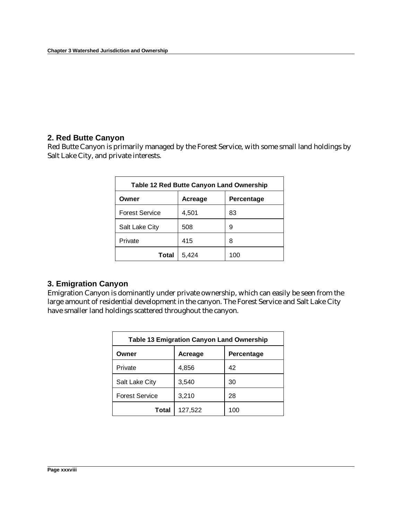## **2. Red Butte Canyon**

Red Butte Canyon is primarily managed by the Forest Service, with some small land holdings by Salt Lake City, and private interests.

| <b>Table 12 Red Butte Canyon Land Ownership</b> |         |            |  |
|-------------------------------------------------|---------|------------|--|
| Owner                                           | Acreage | Percentage |  |
| <b>Forest Service</b>                           | 4,501   | 83         |  |
| Salt Lake City                                  | 508     | 9          |  |
| Private                                         | 415     | 8          |  |
| Total                                           | 5,424   | 100        |  |

## **3. Emigration Canyon**

Emigration Canyon is dominantly under private ownership, which can easily be seen from the large amount of residential development in the canyon. The Forest Service and Salt Lake City have smaller land holdings scattered throughout the canyon.

| <b>Table 13 Emigration Canyon Land Ownership</b> |         |            |  |
|--------------------------------------------------|---------|------------|--|
| Owner                                            | Acreage | Percentage |  |
| Private                                          | 4,856   | 42         |  |
| Salt Lake City                                   | 3,540   | 30         |  |
| <b>Forest Service</b>                            | 3,210   | 28         |  |
| Total                                            | 127,522 | 100        |  |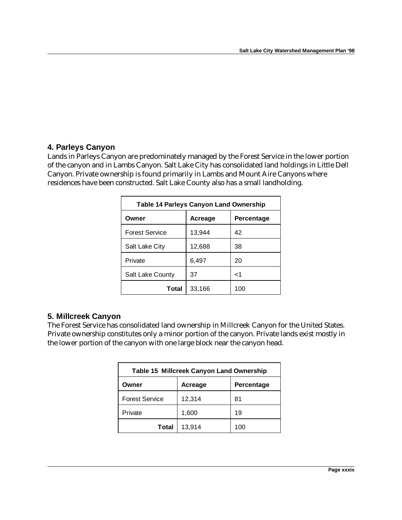## **4. Parleys Canyon**

Lands in Parleys Canyon are predominately managed by the Forest Service in the lower portion of the canyon and in Lambs Canyon. Salt Lake City has consolidated land holdings in Little Dell Canyon. Private ownership is found primarily in Lambs and Mount Aire Canyons where residences have been constructed. Salt Lake County also has a small landholding.

| <b>Table 14 Parleys Canyon Land Ownership</b> |         |            |
|-----------------------------------------------|---------|------------|
| Owner                                         | Acreage | Percentage |
| <b>Forest Service</b>                         | 13,944  | 42         |
| Salt Lake City                                | 12,688  | 38         |
| Private                                       | 6,497   | 20         |
| Salt Lake County                              | 37      | ا>         |
| Total                                         | 33,166  | 100        |

## **5. Millcreek Canyon**

The Forest Service has consolidated land ownership in Millcreek Canyon for the United States. Private ownership constitutes only a minor portion of the canyon. Private lands exist mostly in the lower portion of the canyon with one large block near the canyon head.

| <b>Table 15 Millcreek Canyon Land Ownership</b> |         |            |
|-------------------------------------------------|---------|------------|
| Owner                                           | Acreage | Percentage |
| <b>Forest Service</b>                           | 12,314  | 81         |
| Private                                         | 1,600   | 19         |
| <b>Total</b>                                    | 13,914  | 100        |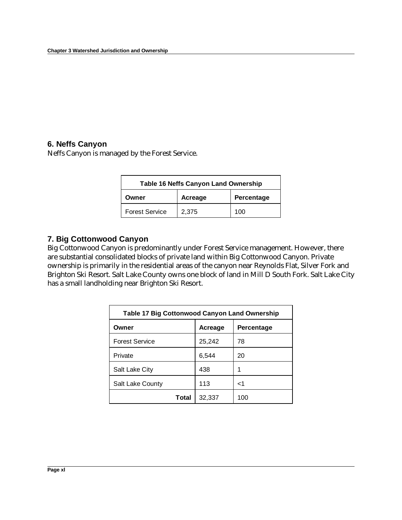## **6. Neffs Canyon**

Neffs Canyon is managed by the Forest Service.

| Table 16 Neffs Canyon Land Ownership |         |            |
|--------------------------------------|---------|------------|
| Owner                                | Acreage | Percentage |
| <b>Forest Service</b>                | 2,375   | 100        |

## **7. Big Cottonwood Canyon**

Big Cottonwood Canyon is predominantly under Forest Service management. However, there are substantial consolidated blocks of private land within Big Cottonwood Canyon. Private ownership is primarily in the residential areas of the canyon near Reynolds Flat, Silver Fork and Brighton Ski Resort. Salt Lake County owns one block of land in Mill D South Fork. Salt Lake City has a small landholding near Brighton Ski Resort.

| Table 17 Big Cottonwood Canyon Land Ownership |         |            |  |
|-----------------------------------------------|---------|------------|--|
| Owner                                         | Acreage | Percentage |  |
| <b>Forest Service</b>                         | 25,242  | 78         |  |
| Private                                       | 6,544   | 20         |  |
| Salt Lake City                                | 438     | 1          |  |
| Salt Lake County                              | 113     | ا>         |  |
| Total                                         | 32,337  | 100        |  |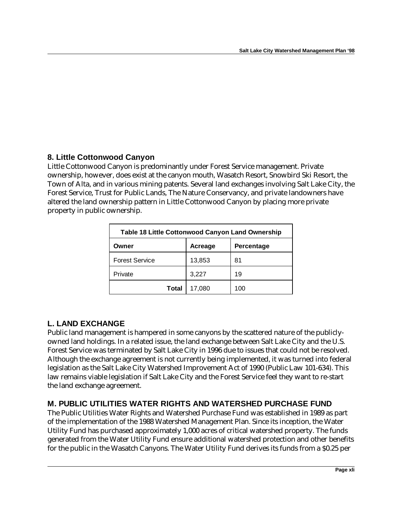# **8. Little Cottonwood Canyon**

Little Cottonwood Canyon is predominantly under Forest Service management. Private ownership, however, does exist at the canyon mouth, Wasatch Resort, Snowbird Ski Resort, the Town of Alta, and in various mining patents. Several land exchanges involving Salt Lake City, the Forest Service, Trust for Public Lands, The Nature Conservancy, and private landowners have altered the land ownership pattern in Little Cottonwood Canyon by placing more private property in public ownership.

| <b>Table 18 Little Cottonwood Canyon Land Ownership</b> |         |            |
|---------------------------------------------------------|---------|------------|
| Owner                                                   | Acreage | Percentage |
| <b>Forest Service</b>                                   | 13,853  | 81         |
| Private                                                 | 3,227   | 19         |
| Total                                                   | 17,080  | 100        |

## **L. LAND EXCHANGE**

Public land management is hampered in some canyons by the scattered nature of the publiclyowned land holdings. In a related issue, the land exchange between Salt Lake City and the U.S. Forest Service was terminated by Salt Lake City in 1996 due to issues that could not be resolved. Although the exchange agreement is not currently being implemented, it was turned into federal legislation as the Salt Lake City Watershed Improvement Act of 1990 (Public Law 101-634). This law remains viable legislation if Salt Lake City and the Forest Service feel they want to re-start the land exchange agreement.

## **M. PUBLIC UTILITIES WATER RIGHTS AND WATERSHED PURCHASE FUND**

The Public Utilities Water Rights and Watershed Purchase Fund was established in 1989 as part of the implementation of the 1988 Watershed Management Plan. Since its inception, the Water Utility Fund has purchased approximately 1,000 acres of critical watershed property. The funds generated from the Water Utility Fund ensure additional watershed protection and other benefits for the public in the Wasatch Canyons. The Water Utility Fund derives its funds from a \$0.25 per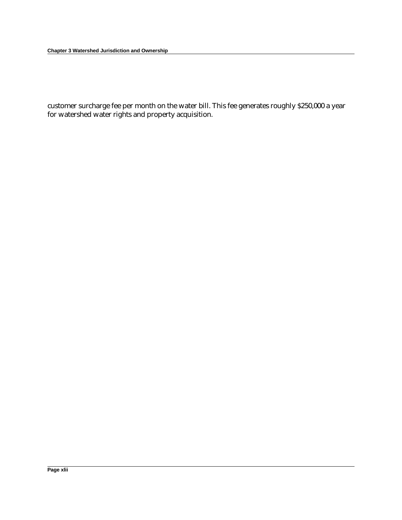**Chapter 3 Watershed Jurisdiction and Ownership**

customer surcharge fee per month on the water bill. This fee generates roughly \$250,000 a year for watershed water rights and property acquisition.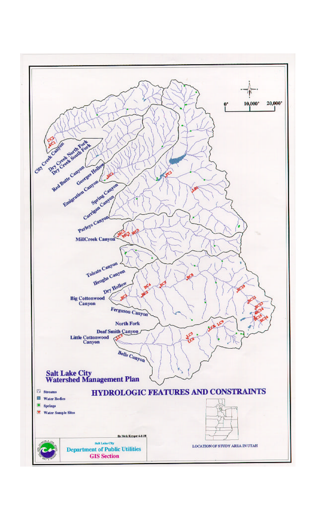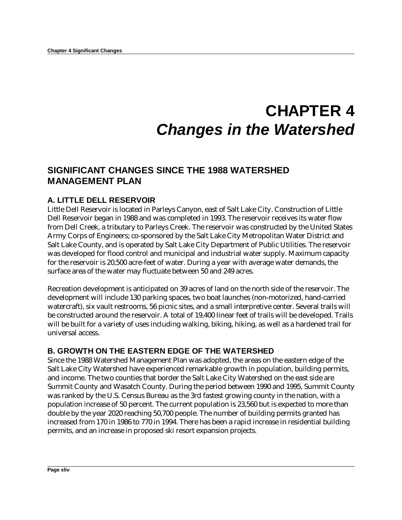# **CHAPTER 4** *Changes in the Watershed*

# **SIGNIFICANT CHANGES SINCE THE 1988 WATERSHED MANAGEMENT PLAN**

## **A. LITTLE DELL RESERVOIR**

Little Dell Reservoir is located in Parleys Canyon, east of Salt Lake City. Construction of Little Dell Reservoir began in 1988 and was completed in 1993. The reservoir receives its water flow from Dell Creek, a tributary to Parleys Creek. The reservoir was constructed by the United States Army Corps of Engineers; co-sponsored by the Salt Lake City Metropolitan Water District and Salt Lake County, and is operated by Salt Lake City Department of Public Utilities. The reservoir was developed for flood control and municipal and industrial water supply. Maximum capacity for the reservoir is 20,500 acre-feet of water. During a year with average water demands, the surface area of the water may fluctuate between 50 and 249 acres.

Recreation development is anticipated on 39 acres of land on the north side of the reservoir. The development will include 130 parking spaces, two boat launches (non-motorized, hand-carried watercraft), six vault restrooms, 56 picnic sites, and a small interpretive center. Several trails will be constructed around the reservoir. A total of 19,400 linear feet of trails will be developed. Trails will be built for a variety of uses including walking, biking, hiking, as well as a hardened trail for universal access.

## **B. GROWTH ON THE EASTERN EDGE OF THE WATERSHED**

Since the 1988 Watershed Management Plan was adopted, the areas on the eastern edge of the Salt Lake City Watershed have experienced remarkable growth in population, building permits, and income. The two counties that border the Salt Lake City Watershed on the east side are Summit County and Wasatch County. During the period between 1990 and 1995, Summit County was ranked by the U.S. Census Bureau as the 3rd fastest growing county in the nation, with a population increase of 50 percent. The current population is 23,560 but is expected to more than double by the year 2020 reaching 50,700 people. The number of building permits granted has increased from 170 in 1986 to 770 in 1994. There has been a rapid increase in residential building permits, and an increase in proposed ski resort expansion projects.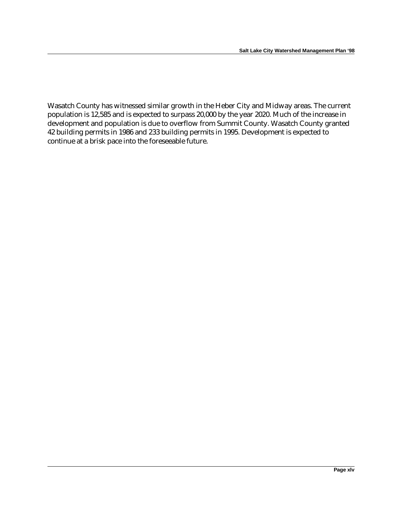Wasatch County has witnessed similar growth in the Heber City and Midway areas. The current population is 12,585 and is expected to surpass 20,000 by the year 2020. Much of the increase in development and population is due to overflow from Summit County. Wasatch County granted 42 building permits in 1986 and 233 building permits in 1995. Development is expected to continue at a brisk pace into the foreseeable future.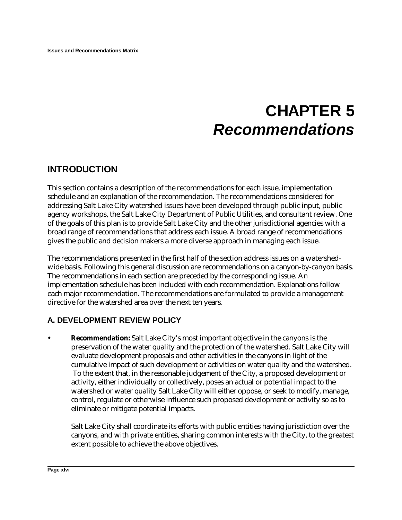# **CHAPTER 5** *Recommendations*

# **INTRODUCTION**

This section contains a description of the recommendations for each issue, implementation schedule and an explanation of the recommendation. The recommendations considered for addressing Salt Lake City watershed issues have been developed through public input, public agency workshops, the Salt Lake City Department of Public Utilities, and consultant review. One of the goals of this plan is to provide Salt Lake City and the other jurisdictional agencies with a broad range of recommendations that address each issue. A broad range of recommendations gives the public and decision makers a more diverse approach in managing each issue.

The recommendations presented in the first half of the section address issues on a watershedwide basis. Following this general discussion are recommendations on a canyon-by-canyon basis. The recommendations in each section are preceded by the corresponding issue. An implementation schedule has been included with each recommendation. Explanations follow each major recommendation. The recommendations are formulated to provide a management directive for the watershed area over the next ten years.

## **A. DEVELOPMENT REVIEW POLICY**

**• Recommendation:** Salt Lake City's most important objective in the canyons is the preservation of the water quality and the protection of the watershed. Salt Lake City will evaluate development proposals and other activities in the canyons in light of the cumulative impact of such development or activities on water quality and the watershed. To the extent that, in the reasonable judgement of the City, a proposed development or activity, either individually or collectively, poses an actual or potential impact to the watershed or water quality Salt Lake City will either oppose, or seek to modify, manage, control, regulate or otherwise influence such proposed development or activity so as to eliminate or mitigate potential impacts.

Salt Lake City shall coordinate its efforts with public entities having jurisdiction over the canyons, and with private entities, sharing common interests with the City, to the greatest extent possible to achieve the above objectives.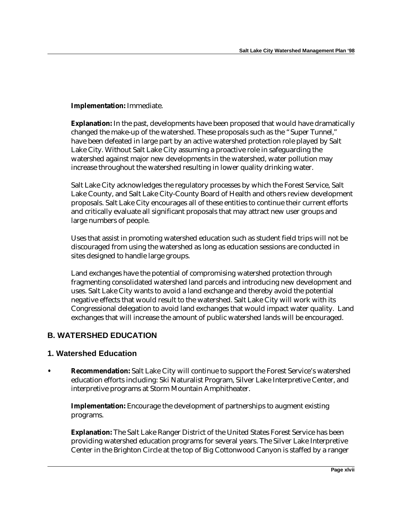#### **Implementation:** Immediate.

**Explanation:** In the past, developments have been proposed that would have dramatically changed the make-up of the watershed. These proposals such as the "Super Tunnel," have been defeated in large part by an active watershed protection role played by Salt Lake City. Without Salt Lake City assuming a proactive role in safeguarding the watershed against major new developments in the watershed, water pollution may increase throughout the watershed resulting in lower quality drinking water.

Salt Lake City acknowledges the regulatory processes by which the Forest Service, Salt Lake County, and Salt Lake City-County Board of Health and others review development proposals. Salt Lake City encourages all of these entities to continue their current efforts and critically evaluate all significant proposals that may attract new user groups and large numbers of people.

Uses that assist in promoting watershed education such as student field trips will not be discouraged from using the watershed as long as education sessions are conducted in sites designed to handle large groups.

Land exchanges have the potential of compromising watershed protection through fragmenting consolidated watershed land parcels and introducing new development and uses. Salt Lake City wants to avoid a land exchange and thereby avoid the potential negative effects that would result to the watershed. Salt Lake City will work with its Congressional delegation to avoid land exchanges that would impact water quality. Land exchanges that will increase the amount of public watershed lands will be encouraged.

## **B. WATERSHED EDUCATION**

#### **1. Watershed Education**

**• Recommendation:** Salt Lake City will continue to support the Forest Service's watershed education efforts including: Ski Naturalist Program, Silver Lake Interpretive Center, and interpretive programs at Storm Mountain Amphitheater.

**Implementation:** Encourage the development of partnerships to augment existing programs.

**Explanation:** The Salt Lake Ranger District of the United States Forest Service has been providing watershed education programs for several years. The Silver Lake Interpretive Center in the Brighton Circle at the top of Big Cottonwood Canyon is staffed by a ranger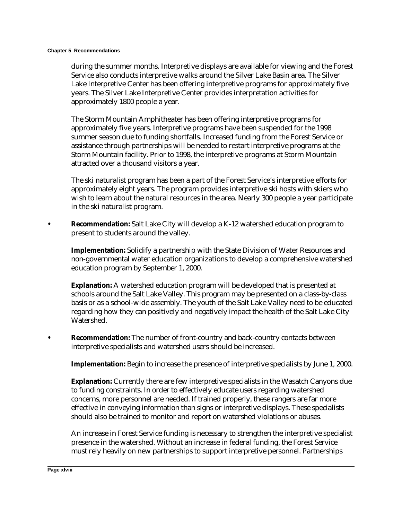during the summer months. Interpretive displays are available for viewing and the Forest Service also conducts interpretive walks around the Silver Lake Basin area. The Silver Lake Interpretive Center has been offering interpretive programs for approximately five years. The Silver Lake Interpretive Center provides interpretation activities for approximately 1800 people a year.

The Storm Mountain Amphitheater has been offering interpretive programs for approximately five years. Interpretive programs have been suspended for the 1998 summer season due to funding shortfalls. Increased funding from the Forest Service or assistance through partnerships will be needed to restart interpretive programs at the Storm Mountain facility. Prior to 1998, the interpretive programs at Storm Mountain attracted over a thousand visitors a year.

The ski naturalist program has been a part of the Forest Service's interpretive efforts for approximately eight years. The program provides interpretive ski hosts with skiers who wish to learn about the natural resources in the area. Nearly 300 people a year participate in the ski naturalist program.

**• Recommendation:** Salt Lake City will develop a K-12 watershed education program to present to students around the valley.

**Implementation:** Solidify a partnership with the State Division of Water Resources and non-governmental water education organizations to develop a comprehensive watershed education program by September 1, 2000.

**Explanation:** A watershed education program will be developed that is presented at schools around the Salt Lake Valley. This program may be presented on a class-by-class basis or as a school-wide assembly. The youth of the Salt Lake Valley need to be educated regarding how they can positively and negatively impact the health of the Salt Lake City Watershed.

**• Recommendation:** The number of front-country and back-country contacts between interpretive specialists and watershed users should be increased.

**Implementation:** Begin to increase the presence of interpretive specialists by June 1, 2000.

**Explanation:** Currently there are few interpretive specialists in the Wasatch Canyons due to funding constraints. In order to effectively educate users regarding watershed concerns, more personnel are needed. If trained properly, these rangers are far more effective in conveying information than signs or interpretive displays. These specialists should also be trained to monitor and report on watershed violations or abuses.

An increase in Forest Service funding is necessary to strengthen the interpretive specialist presence in the watershed. Without an increase in federal funding, the Forest Service must rely heavily on new partnerships to support interpretive personnel. Partnerships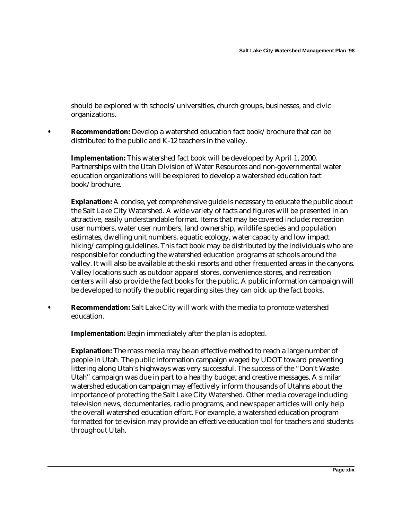should be explored with schools/universities, church groups, businesses, and civic organizations.

**• Recommendation:** Develop a watershed education fact book/brochure that can be distributed to the public and K-12 teachers in the valley.

**Implementation:** This watershed fact book will be developed by April 1, 2000. Partnerships with the Utah Division of Water Resources and non-governmental water education organizations will be explored to develop a watershed education fact book/brochure.

**Explanation:** A concise, yet comprehensive guide is necessary to educate the public about the Salt Lake City Watershed. A wide variety of facts and figures will be presented in an attractive, easily understandable format. Items that may be covered include: recreation user numbers, water user numbers, land ownership, wildlife species and population estimates, dwelling unit numbers, aquatic ecology, water capacity and low impact hiking/camping guidelines. This fact book may be distributed by the individuals who are responsible for conducting the watershed education programs at schools around the valley. It will also be available at the ski resorts and other frequented areas in the canyons. Valley locations such as outdoor apparel stores, convenience stores, and recreation centers will also provide the fact books for the public. A public information campaign will be developed to notify the public regarding sites they can pick up the fact books.

**• Recommendation:** Salt Lake City will work with the media to promote watershed education.

**Implementation:** Begin immediately after the plan is adopted.

**Explanation:** The mass media may be an effective method to reach a large number of people in Utah. The public information campaign waged by UDOT toward preventing littering along Utah's highways was very successful. The success of the "Don't Waste Utah" campaign was due in part to a healthy budget and creative messages. A similar watershed education campaign may effectively inform thousands of Utahns about the importance of protecting the Salt Lake City Watershed. Other media coverage including television news, documentaries, radio programs, and newspaper articles will only help the overall watershed education effort. For example, a watershed education program formatted for television may provide an effective education tool for teachers and students throughout Utah.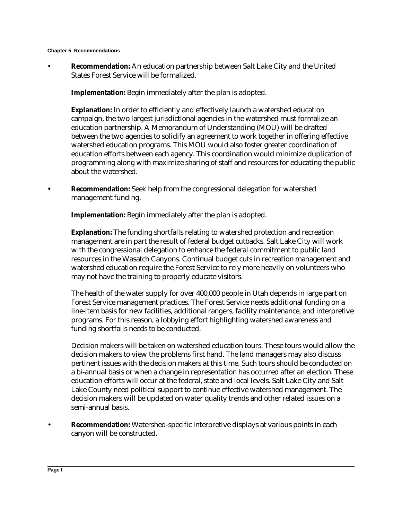#### **Chapter 5 Recommendations**

**• Recommendation:** An education partnership between Salt Lake City and the United States Forest Service will be formalized.

**Implementation:** Begin immediately after the plan is adopted.

**Explanation:** In order to efficiently and effectively launch a watershed education campaign, the two largest jurisdictional agencies in the watershed must formalize an education partnership. A Memorandum of Understanding (MOU) will be drafted between the two agencies to solidify an agreement to work together in offering effective watershed education programs. This MOU would also foster greater coordination of education efforts between each agency. This coordination would minimize duplication of programming along with maximize sharing of staff and resources for educating the public about the watershed.

**• Recommendation:** Seek help from the congressional delegation for watershed management funding.

**Implementation:** Begin immediately after the plan is adopted.

**Explanation:** The funding shortfalls relating to watershed protection and recreation management are in part the result of federal budget cutbacks. Salt Lake City will work with the congressional delegation to enhance the federal commitment to public land resources in the Wasatch Canyons. Continual budget cuts in recreation management and watershed education require the Forest Service to rely more heavily on volunteers who may not have the training to properly educate visitors.

The health of the water supply for over 400,000 people in Utah depends in large part on Forest Service management practices. The Forest Service needs additional funding on a line-item basis for new facilities, additional rangers, facility maintenance, and interpretive programs. For this reason, a lobbying effort highlighting watershed awareness and funding shortfalls needs to be conducted.

Decision makers will be taken on watershed education tours. These tours would allow the decision makers to view the problems first hand. The land managers may also discuss pertinent issues with the decision makers at this time. Such tours should be conducted on a bi-annual basis or when a change in representation has occurred after an election. These education efforts will occur at the federal, state and local levels. Salt Lake City and Salt Lake County need political support to continue effective watershed management. The decision makers will be updated on water quality trends and other related issues on a semi-annual basis.

• **Recommendation:** Watershed-specific interpretive displays at various points in each canyon will be constructed.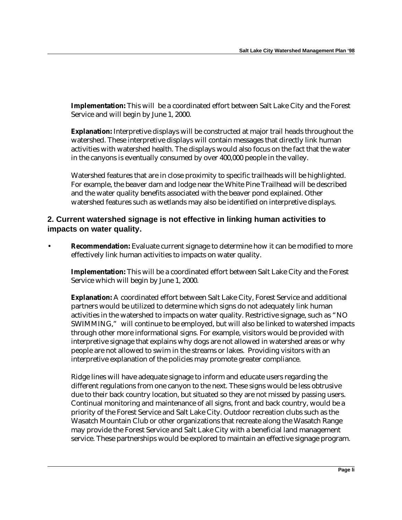**Implementation:** This will be a coordinated effort between Salt Lake City and the Forest Service and will begin by June 1, 2000.

**Explanation:** Interpretive displays will be constructed at major trail heads throughout the watershed. These interpretive displays will contain messages that directly link human activities with watershed health. The displays would also focus on the fact that the water in the canyons is eventually consumed by over 400,000 people in the valley.

Watershed features that are in close proximity to specific trailheads will be highlighted. For example, the beaver dam and lodge near the White Pine Trailhead will be described and the water quality benefits associated with the beaver pond explained. Other watershed features such as wetlands may also be identified on interpretive displays.

## **2. Current watershed signage is not effective in linking human activities to impacts on water quality.**

**Recommendation:** Evaluate current signage to determine how it can be modified to more effectively link human activities to impacts on water quality.

**Implementation:** This will be a coordinated effort between Salt Lake City and the Forest Service which will begin by June 1, 2000.

**Explanation:** A coordinated effort between Salt Lake City, Forest Service and additional partners would be utilized to determine which signs do not adequately link human activities in the watershed to impacts on water quality. Restrictive signage, such as "NO SWIMMING," will continue to be employed, but will also be linked to watershed impacts through other more informational signs. For example, visitors would be provided with interpretive signage that explains why dogs are not allowed in watershed areas or why people are not allowed to swim in the streams or lakes. Providing visitors with an interpretive explanation of the policies may promote greater compliance.

Ridge lines will have adequate signage to inform and educate users regarding the different regulations from one canyon to the next. These signs would be less obtrusive due to their back country location, but situated so they are not missed by passing users. Continual monitoring and maintenance of all signs, front and back country, would be a priority of the Forest Service and Salt Lake City. Outdoor recreation clubs such as the Wasatch Mountain Club or other organizations that recreate along the Wasatch Range may provide the Forest Service and Salt Lake City with a beneficial land management service. These partnerships would be explored to maintain an effective signage program.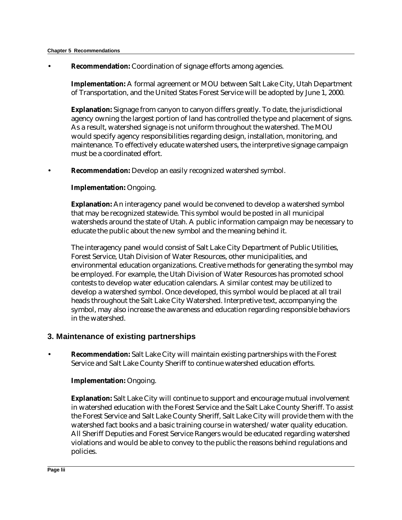**Recommendation:** Coordination of signage efforts among agencies.

**Implementation:** A formal agreement or MOU between Salt Lake City, Utah Department of Transportation, and the United States Forest Service will be adopted by June 1, 2000.

**Explanation:** Signage from canyon to canyon differs greatly. To date, the jurisdictional agency owning the largest portion of land has controlled the type and placement of signs. As a result, watershed signage is not uniform throughout the watershed. The MOU would specify agency responsibilities regarding design, installation, monitoring, and maintenance. To effectively educate watershed users, the interpretive signage campaign must be a coordinated effort.

• **Recommendation:** Develop an easily recognized watershed symbol.

#### **Implementation:** Ongoing.

**Explanation:** An interagency panel would be convened to develop a watershed symbol that may be recognized statewide. This symbol would be posted in all municipal watersheds around the state of Utah. A public information campaign may be necessary to educate the public about the new symbol and the meaning behind it.

The interagency panel would consist of Salt Lake City Department of Public Utilities, Forest Service, Utah Division of Water Resources, other municipalities, and environmental education organizations. Creative methods for generating the symbol may be employed. For example, the Utah Division of Water Resources has promoted school contests to develop water education calendars. A similar contest may be utilized to develop a watershed symbol. Once developed, this symbol would be placed at all trail heads throughout the Salt Lake City Watershed. Interpretive text, accompanying the symbol, may also increase the awareness and education regarding responsible behaviors in the watershed.

#### **3. Maintenance of existing partnerships**

• **Recommendation:** Salt Lake City will maintain existing partnerships with the Forest Service and Salt Lake County Sheriff to continue watershed education efforts.

#### **Implementation:** Ongoing.

**Explanation:** Salt Lake City will continue to support and encourage mutual involvement in watershed education with the Forest Service and the Salt Lake County Sheriff. To assist the Forest Service and Salt Lake County Sheriff, Salt Lake City will provide them with the watershed fact books and a basic training course in watershed/water quality education. All Sheriff Deputies and Forest Service Rangers would be educated regarding watershed violations and would be able to convey to the public the reasons behind regulations and policies.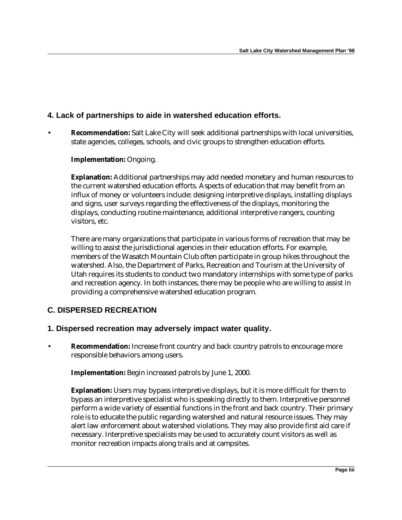## **4. Lack of partnerships to aide in watershed education efforts.**

• **Recommendation:** Salt Lake City will seek additional partnerships with local universities, state agencies, colleges, schools, and civic groups to strengthen education efforts.

#### **Implementation:** Ongoing.

**Explanation:** Additional partnerships may add needed monetary and human resources to the current watershed education efforts. Aspects of education that may benefit from an influx of money or volunteers include: designing interpretive displays, installing displays and signs, user surveys regarding the effectiveness of the displays, monitoring the displays, conducting routine maintenance, additional interpretive rangers, counting visitors, etc.

There are many organizations that participate in various forms of recreation that may be willing to assist the jurisdictional agencies in their education efforts. For example, members of the Wasatch Mountain Club often participate in group hikes throughout the watershed. Also, the Department of Parks, Recreation and Tourism at the University of Utah requires its students to conduct two mandatory internships with some type of parks and recreation agency. In both instances, there may be people who are willing to assist in providing a comprehensive watershed education program.

## **C. DISPERSED RECREATION**

## **1. Dispersed recreation may adversely impact water quality.**

**Recommendation:** Increase front country and back country patrols to encourage more responsible behaviors among users.

**Implementation:** Begin increased patrols by June 1, 2000.

**Explanation:** Users may bypass interpretive displays, but it is more difficult for them to bypass an interpretive specialist who is speaking directly to them. Interpretive personnel perform a wide variety of essential functions in the front and back country. Their primary role is to educate the public regarding watershed and natural resource issues. They may alert law enforcement about watershed violations. They may also provide first aid care if necessary. Interpretive specialists may be used to accurately count visitors as well as monitor recreation impacts along trails and at campsites.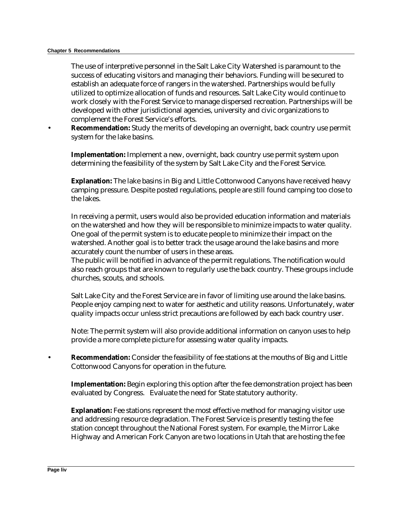#### **Chapter 5 Recommendations**

The use of interpretive personnel in the Salt Lake City Watershed is paramount to the success of educating visitors and managing their behaviors. Funding will be secured to establish an adequate force of rangers in the watershed. Partnerships would be fully utilized to optimize allocation of funds and resources. Salt Lake City would continue to work closely with the Forest Service to manage dispersed recreation. Partnerships will be developed with other jurisdictional agencies, university and civic organizations to complement the Forest Service's efforts.

• **Recommendation:** Study the merits of developing an overnight, back country use permit system for the lake basins.

**Implementation:** Implement a new, overnight, back country use permit system upon determining the feasibility of the system by Salt Lake City and the Forest Service.

**Explanation:** The lake basins in Big and Little Cottonwood Canyons have received heavy camping pressure. Despite posted regulations, people are still found camping too close to the lakes.

In receiving a permit, users would also be provided education information and materials on the watershed and how they will be responsible to minimize impacts to water quality. One goal of the permit system is to educate people to minimize their impact on the watershed. Another goal is to better track the usage around the lake basins and more accurately count the number of users in these areas.

The public will be notified in advance of the permit regulations. The notification would also reach groups that are known to regularly use the back country. These groups include churches, scouts, and schools.

Salt Lake City and the Forest Service are in favor of limiting use around the lake basins. People enjoy camping next to water for aesthetic and utility reasons. Unfortunately, water quality impacts occur unless strict precautions are followed by each back country user.

Note: The permit system will also provide additional information on canyon uses to help provide a more complete picture for assessing water quality impacts.

• **Recommendation:** Consider the feasibility of fee stations at the mouths of Big and Little Cottonwood Canyons for operation in the future.

**Implementation:** Begin exploring this option after the fee demonstration project has been evaluated by Congress. Evaluate the need for State statutory authority.

**Explanation:** Fee stations represent the most effective method for managing visitor use and addressing resource degradation. The Forest Service is presently testing the fee station concept throughout the National Forest system. For example, the Mirror Lake Highway and American Fork Canyon are two locations in Utah that are hosting the fee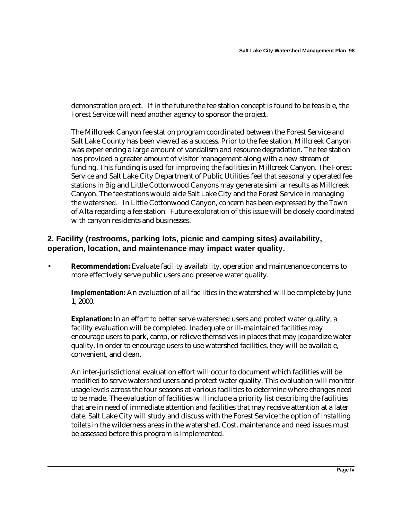demonstration project. If in the future the fee station concept is found to be feasible, the Forest Service will need another agency to sponsor the project.

The Millcreek Canyon fee station program coordinated between the Forest Service and Salt Lake County has been viewed as a success. Prior to the fee station, Millcreek Canyon was experiencing a large amount of vandalism and resource degradation. The fee station has provided a greater amount of visitor management along with a new stream of funding. This funding is used for improving the facilities in Millcreek Canyon. The Forest Service and Salt Lake City Department of Public Utilities feel that seasonally operated fee stations in Big and Little Cottonwood Canyons may generate similar results as Millcreek Canyon. The fee stations would aide Salt Lake City and the Forest Service in managing the watershed. In Little Cottonwood Canyon, concern has been expressed by the Town of Alta regarding a fee station. Future exploration of this issue will be closely coordinated with canyon residents and businesses.

## **2. Facility (restrooms, parking lots, picnic and camping sites) availability, operation, location, and maintenance may impact water quality.**

• **Recommendation:** Evaluate facility availability, operation and maintenance concerns to more effectively serve public users and preserve water quality.

**Implementation:** An evaluation of all facilities in the watershed will be complete by June 1, 2000.

**Explanation:** In an effort to better serve watershed users and protect water quality, a facility evaluation will be completed. Inadequate or ill-maintained facilities may encourage users to park, camp, or relieve themselves in places that may jeopardize water quality. In order to encourage users to use watershed facilities, they will be available, convenient, and clean.

An inter-jurisdictional evaluation effort will occur to document which facilities will be modified to serve watershed users and protect water quality. This evaluation will monitor usage levels across the four seasons at various facilities to determine where changes need to be made. The evaluation of facilities will include a priority list describing the facilities that are in need of immediate attention and facilities that may receive attention at a later date. Salt Lake City will study and discuss with the Forest Service the option of installing toilets in the wilderness areas in the watershed. Cost, maintenance and need issues must be assessed before this program is implemented.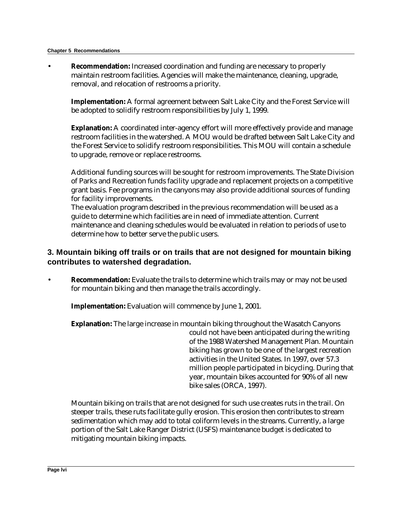#### **Chapter 5 Recommendations**

• **Recommendation:** Increased coordination and funding are necessary to properly maintain restroom facilities. Agencies will make the maintenance, cleaning, upgrade, removal, and relocation of restrooms a priority.

**Implementation:** A formal agreement between Salt Lake City and the Forest Service will be adopted to solidify restroom responsibilities by July 1, 1999.

**Explanation:** A coordinated inter-agency effort will more effectively provide and manage restroom facilities in the watershed. A MOU would be drafted between Salt Lake City and the Forest Service to solidify restroom responsibilities. This MOU will contain a schedule to upgrade, remove or replace restrooms.

Additional funding sources will be sought for restroom improvements. The State Division of Parks and Recreation funds facility upgrade and replacement projects on a competitive grant basis. Fee programs in the canyons may also provide additional sources of funding for facility improvements.

The evaluation program described in the previous recommendation will be used as a guide to determine which facilities are in need of immediate attention. Current maintenance and cleaning schedules would be evaluated in relation to periods of use to determine how to better serve the public users.

## **3. Mountain biking off trails or on trails that are not designed for mountain biking contributes to watershed degradation.**

• **Recommendation:** Evaluate the trails to determine which trails may or may not be used for mountain biking and then manage the trails accordingly.

**Implementation:** Evaluation will commence by June 1, 2001.

**Explanation:** The large increase in mountain biking throughout the Wasatch Canyons could not have been anticipated during the writing of the 1988 Watershed Management Plan. Mountain biking has grown to be one of the largest recreation activities in the United States. In 1997, over 57.3 million people participated in bicycling. During that year, mountain bikes accounted for 90% of all new bike sales (ORCA, 1997).

Mountain biking on trails that are not designed for such use creates ruts in the trail. On steeper trails, these ruts facilitate gully erosion. This erosion then contributes to stream sedimentation which may add to total coliform levels in the streams. Currently, a large portion of the Salt Lake Ranger District (USFS) maintenance budget is dedicated to mitigating mountain biking impacts.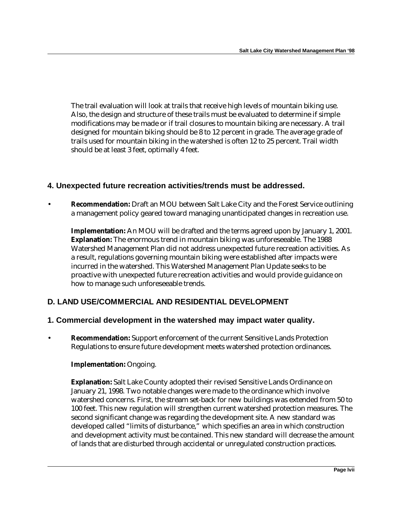The trail evaluation will look at trails that receive high levels of mountain biking use. Also, the design and structure of these trails must be evaluated to determine if simple modifications may be made or if trail closures to mountain biking are necessary. A trail designed for mountain biking should be 8 to 12 percent in grade. The average grade of trails used for mountain biking in the watershed is often 12 to 25 percent. Trail width should be at least 3 feet, optimally 4 feet.

## **4. Unexpected future recreation activities/trends must be addressed.**

• **Recommendation:** Draft an MOU between Salt Lake City and the Forest Service outlining a management policy geared toward managing unanticipated changes in recreation use.

**Implementation:** An MOU will be drafted and the terms agreed upon by January 1, 2001. **Explanation:** The enormous trend in mountain biking was unforeseeable. The 1988 Watershed Management Plan did not address unexpected future recreation activities. As a result, regulations governing mountain biking were established after impacts were incurred in the watershed. This Watershed Management Plan Update seeks to be proactive with unexpected future recreation activities and would provide guidance on how to manage such unforeseeable trends.

## **D. LAND USE/COMMERCIAL AND RESIDENTIAL DEVELOPMENT**

#### **1. Commercial development in the watershed may impact water quality.**

• **Recommendation:** Support enforcement of the current Sensitive Lands Protection Regulations to ensure future development meets watershed protection ordinances.

#### **Implementation:** Ongoing.

**Explanation:** Salt Lake County adopted their revised Sensitive Lands Ordinance on January 21, 1998. Two notable changes were made to the ordinance which involve watershed concerns. First, the stream set-back for new buildings was extended from 50 to 100 feet. This new regulation will strengthen current watershed protection measures. The second significant change was regarding the development site. A new standard was developed called "limits of disturbance," which specifies an area in which construction and development activity must be contained. This new standard will decrease the amount of lands that are disturbed through accidental or unregulated construction practices.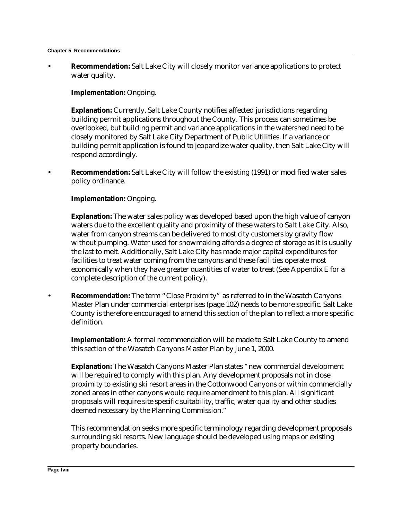#### **Chapter 5 Recommendations**

• **Recommendation:** Salt Lake City will closely monitor variance applications to protect water quality.

#### **Implementation:** Ongoing.

**Explanation:** Currently, Salt Lake County notifies affected jurisdictions regarding building permit applications throughout the County. This process can sometimes be overlooked, but building permit and variance applications in the watershed need to be closely monitored by Salt Lake City Department of Public Utilities. If a variance or building permit application is found to jeopardize water quality, then Salt Lake City will respond accordingly.

• **Recommendation:** Salt Lake City will follow the existing (1991) or modified water sales policy ordinance.

#### **Implementation:** Ongoing.

**Explanation:** The water sales policy was developed based upon the high value of canyon waters due to the excellent quality and proximity of these waters to Salt Lake City. Also, water from canyon streams can be delivered to most city customers by gravity flow without pumping. Water used for snowmaking affords a degree of storage as it is usually the last to melt. Additionally, Salt Lake City has made major capital expenditures for facilities to treat water coming from the canyons and these facilities operate most economically when they have greater quantities of water to treat (See Appendix E for a complete description of the current policy).

• **Recommendation:** The term "Close Proximity" as referred to in the Wasatch Canyons Master Plan under commercial enterprises (page 102) needs to be more specific. Salt Lake County is therefore encouraged to amend this section of the plan to reflect a more specific definition.

**Implementation:** A formal recommendation will be made to Salt Lake County to amend this section of the Wasatch Canyons Master Plan by June 1, 2000.

**Explanation:** The Wasatch Canyons Master Plan states "new commercial development will be required to comply with this plan. Any development proposals not in close proximity to existing ski resort areas in the Cottonwood Canyons or within commercially zoned areas in other canyons would require amendment to this plan. All significant proposals will require site specific suitability, traffic, water quality and other studies deemed necessary by the Planning Commission."

This recommendation seeks more specific terminology regarding development proposals surrounding ski resorts. New language should be developed using maps or existing property boundaries.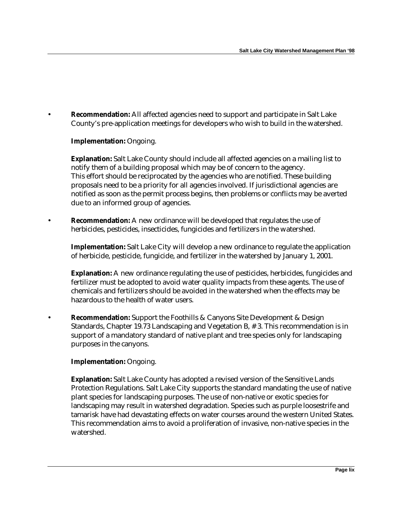• **Recommendation:** All affected agencies need to support and participate in Salt Lake County's pre-application meetings for developers who wish to build in the watershed.

#### **Implementation:** Ongoing.

**Explanation:** Salt Lake County should include all affected agencies on a mailing list to notify them of a building proposal which may be of concern to the agency. This effort should be reciprocated by the agencies who are notified. These building proposals need to be a priority for all agencies involved. If jurisdictional agencies are notified as soon as the permit process begins, then problems or conflicts may be averted due to an informed group of agencies.

• **Recommendation:** A new ordinance will be developed that regulates the use of herbicides, pesticides, insecticides, fungicides and fertilizers in the watershed.

**Implementation:** Salt Lake City will develop a new ordinance to regulate the application of herbicide, pesticide, fungicide, and fertilizer in the watershed by January 1, 2001.

**Explanation:** A new ordinance regulating the use of pesticides, herbicides, fungicides and fertilizer must be adopted to avoid water quality impacts from these agents. The use of chemicals and fertilizers should be avoided in the watershed when the effects may be hazardous to the health of water users.

• **Recommendation:** Support the Foothills & Canyons Site Development & Design Standards, Chapter 19.73 Landscaping and Vegetation B, # 3. This recommendation is in support of a mandatory standard of native plant and tree species only for landscaping purposes in the canyons.

#### **Implementation:** Ongoing.

**Explanation:** Salt Lake County has adopted a revised version of the Sensitive Lands Protection Regulations. Salt Lake City supports the standard mandating the use of native plant species for landscaping purposes. The use of non-native or exotic species for landscaping may result in watershed degradation. Species such as purple loosestrife and tamarisk have had devastating effects on water courses around the western United States. This recommendation aims to avoid a proliferation of invasive, non-native species in the watershed.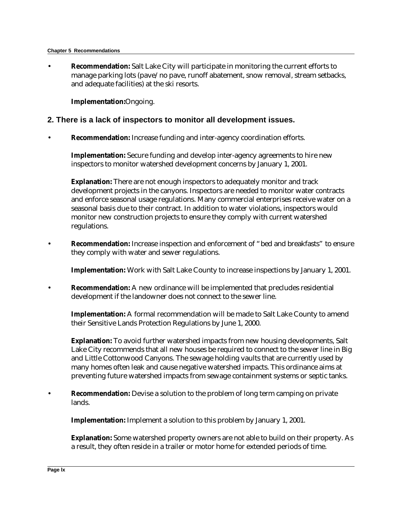#### **Chapter 5 Recommendations**

• **Recommendation:** Salt Lake City will participate in monitoring the current efforts to manage parking lots (pave/no pave, runoff abatement, snow removal, stream setbacks, and adequate facilities) at the ski resorts.

**Implementation:**Ongoing.

## **2. There is a lack of inspectors to monitor all development issues.**

• **Recommendation:** Increase funding and inter-agency coordination efforts.

**Implementation:** Secure funding and develop inter-agency agreements to hire new inspectors to monitor watershed development concerns by January 1, 2001.

**Explanation:** There are not enough inspectors to adequately monitor and track development projects in the canyons. Inspectors are needed to monitor water contracts and enforce seasonal usage regulations. Many commercial enterprises receive water on a seasonal basis due to their contract. In addition to water violations, inspectors would monitor new construction projects to ensure they comply with current watershed regulations.

• **Recommendation:** Increase inspection and enforcement of "bed and breakfasts" to ensure they comply with water and sewer regulations.

**Implementation:** Work with Salt Lake County to increase inspections by January 1, 2001.

• **Recommendation:** A new ordinance will be implemented that precludes residential development if the landowner does not connect to the sewer line.

**Implementation:** A formal recommendation will be made to Salt Lake County to amend their Sensitive Lands Protection Regulations by June 1, 2000.

**Explanation:** To avoid further watershed impacts from new housing developments, Salt Lake City recommends that all new houses be required to connect to the sewer line in Big and Little Cottonwood Canyons. The sewage holding vaults that are currently used by many homes often leak and cause negative watershed impacts. This ordinance aims at preventing future watershed impacts from sewage containment systems or septic tanks.

• **Recommendation:** Devise a solution to the problem of long term camping on private lands.

**Implementation:** Implement a solution to this problem by January 1, 2001.

**Explanation:** Some watershed property owners are not able to build on their property. As a result, they often reside in a trailer or motor home for extended periods of time.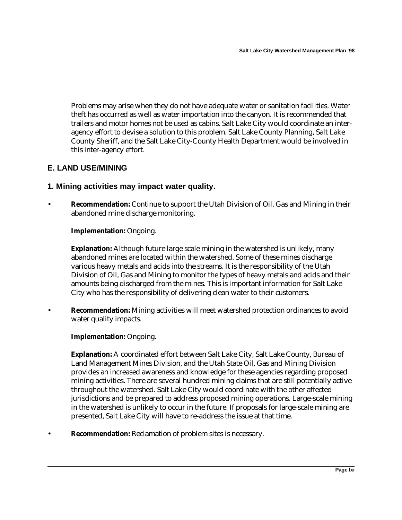Problems may arise when they do not have adequate water or sanitation facilities. Water theft has occurred as well as water importation into the canyon. It is recommended that trailers and motor homes not be used as cabins. Salt Lake City would coordinate an interagency effort to devise a solution to this problem. Salt Lake County Planning, Salt Lake County Sheriff, and the Salt Lake City-County Health Department would be involved in this inter-agency effort.

## **E. LAND USE/MINING**

#### **1. Mining activities may impact water quality.**

• **Recommendation:** Continue to support the Utah Division of Oil, Gas and Mining in their abandoned mine discharge monitoring.

#### **Implementation:** Ongoing.

**Explanation:** Although future large scale mining in the watershed is unlikely, many abandoned mines are located within the watershed. Some of these mines discharge various heavy metals and acids into the streams. It is the responsibility of the Utah Division of Oil, Gas and Mining to monitor the types of heavy metals and acids and their amounts being discharged from the mines. This is important information for Salt Lake City who has the responsibility of delivering clean water to their customers.

• **Recommendation:** Mining activities will meet watershed protection ordinances to avoid water quality impacts.

#### **Implementation:** Ongoing.

**Explanation:** A coordinated effort between Salt Lake City, Salt Lake County, Bureau of Land Management Mines Division, and the Utah State Oil, Gas and Mining Division provides an increased awareness and knowledge for these agencies regarding proposed mining activities. There are several hundred mining claims that are still potentially active throughout the watershed. Salt Lake City would coordinate with the other affected jurisdictions and be prepared to address proposed mining operations. Large-scale mining in the watershed is unlikely to occur in the future. If proposals for large-scale mining are presented, Salt Lake City will have to re-address the issue at that time.

• **Recommendation:** Reclamation of problem sites is necessary.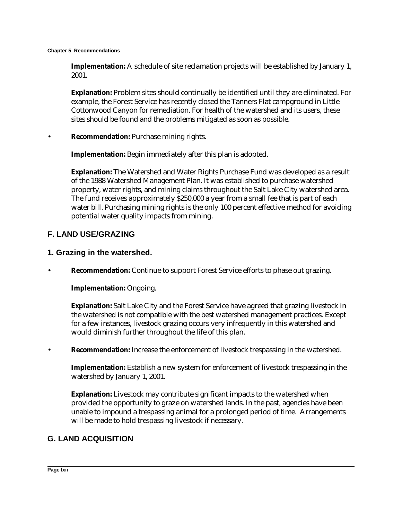**Implementation:** A schedule of site reclamation projects will be established by January 1, 2001.

**Explanation:** Problem sites should continually be identified until they are eliminated. For example, the Forest Service has recently closed the Tanners Flat campground in Little Cottonwood Canyon for remediation. For health of the watershed and its users, these sites should be found and the problems mitigated as soon as possible.

• **Recommendation:** Purchase mining rights.

**Implementation:** Begin immediately after this plan is adopted.

**Explanation:** The Watershed and Water Rights Purchase Fund was developed as a result of the 1988 Watershed Management Plan. It was established to purchase watershed property, water rights, and mining claims throughout the Salt Lake City watershed area. The fund receives approximately \$250,000 a year from a small fee that is part of each water bill. Purchasing mining rights is the only 100 percent effective method for avoiding potential water quality impacts from mining.

## **F. LAND USE/GRAZING**

#### **1. Grazing in the watershed.**

• **Recommendation:** Continue to support Forest Service efforts to phase out grazing.

**Implementation:** Ongoing.

**Explanation:** Salt Lake City and the Forest Service have agreed that grazing livestock in the watershed is not compatible with the best watershed management practices. Except for a few instances, livestock grazing occurs very infrequently in this watershed and would diminish further throughout the life of this plan.

• **Recommendation:** Increase the enforcement of livestock trespassing in the watershed.

**Implementation:** Establish a new system for enforcement of livestock trespassing in the watershed by January 1, 2001.

**Explanation:** Livestock may contribute significant impacts to the watershed when provided the opportunity to graze on watershed lands. In the past, agencies have been unable to impound a trespassing animal for a prolonged period of time. Arrangements will be made to hold trespassing livestock if necessary.

## **G. LAND ACQUISITION**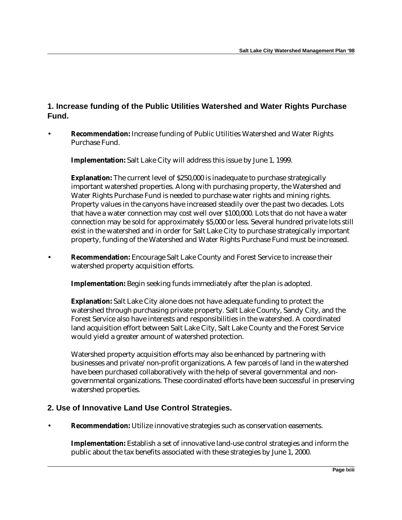## **1. Increase funding of the Public Utilities Watershed and Water Rights Purchase Fund.**

• **Recommendation:** Increase funding of Public Utilities Watershed and Water Rights Purchase Fund.

**Implementation:** Salt Lake City will address this issue by June 1, 1999.

**Explanation:** The current level of \$250,000 is inadequate to purchase strategically important watershed properties. Along with purchasing property, the Watershed and Water Rights Purchase Fund is needed to purchase water rights and mining rights. Property values in the canyons have increased steadily over the past two decades. Lots that have a water connection may cost well over \$100,000. Lots that do not have a water connection may be sold for approximately \$5,000 or less. Several hundred private lots still exist in the watershed and in order for Salt Lake City to purchase strategically important property, funding of the Watershed and Water Rights Purchase Fund must be increased.

• **Recommendation:** Encourage Salt Lake County and Forest Service to increase their watershed property acquisition efforts.

**Implementation:** Begin seeking funds immediately after the plan is adopted.

**Explanation:** Salt Lake City alone does not have adequate funding to protect the watershed through purchasing private property. Salt Lake County, Sandy City, and the Forest Service also have interests and responsibilities in the watershed. A coordinated land acquisition effort between Salt Lake City, Salt Lake County and the Forest Service would yield a greater amount of watershed protection.

Watershed property acquisition efforts may also be enhanced by partnering with businesses and private/non-profit organizations. A few parcels of land in the watershed have been purchased collaboratively with the help of several governmental and nongovernmental organizations. These coordinated efforts have been successful in preserving watershed properties.

## **2. Use of Innovative Land Use Control Strategies.**

• **Recommendation:** Utilize innovative strategies such as conservation easements.

**Implementation:** Establish a set of innovative land-use control strategies and inform the public about the tax benefits associated with these strategies by June 1, 2000.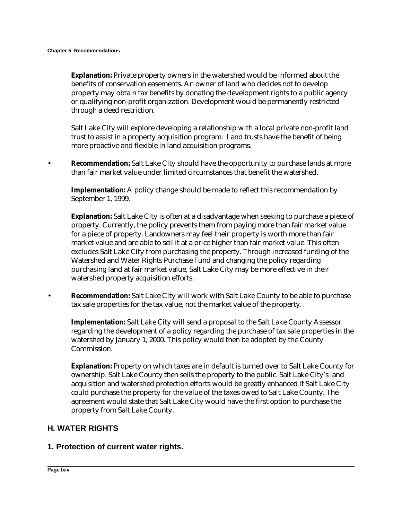**Explanation:** Private property owners in the watershed would be informed about the benefits of conservation easements. An owner of land who decides not to develop property may obtain tax benefits by donating the development rights to a public agency or qualifying non-profit organization. Development would be permanently restricted through a deed restriction.

Salt Lake City will explore developing a relationship with a local private non-profit land trust to assist in a property acquisition program. Land trusts have the benefit of being more proactive and flexible in land acquisition programs.

• **Recommendation:** Salt Lake City should have the opportunity to purchase lands at more than fair market value under limited circumstances that benefit the watershed.

**Implementation:** A policy change should be made to reflect this recommendation by September 1, 1999.

**Explanation:** Salt Lake City is often at a disadvantage when seeking to purchase a piece of property. Currently, the policy prevents them from paying more than fair market value for a piece of property. Landowners may feel their property is worth more than fair market value and are able to sell it at a price higher than fair market value. This often excludes Salt Lake City from purchasing the property. Through increased funding of the Watershed and Water Rights Purchase Fund and changing the policy regarding purchasing land at fair market value, Salt Lake City may be more effective in their watershed property acquisition efforts.

• **Recommendation:** Salt Lake City will work with Salt Lake County to be able to purchase tax sale properties for the tax value, not the market value of the property.

**Implementation:** Salt Lake City will send a proposal to the Salt Lake County Assessor regarding the development of a policy regarding the purchase of tax sale properties in the watershed by January 1, 2000. This policy would then be adopted by the County Commission.

**Explanation:** Property on which taxes are in default is turned over to Salt Lake County for ownership. Salt Lake County then sells the property to the public. Salt Lake City's land acquisition and watershed protection efforts would be greatly enhanced if Salt Lake City could purchase the property for the value of the taxes owed to Salt Lake County. The agreement would state that Salt Lake City would have the first option to purchase the property from Salt Lake County.

#### **H. WATER RIGHTS**

#### **1. Protection of current water rights.**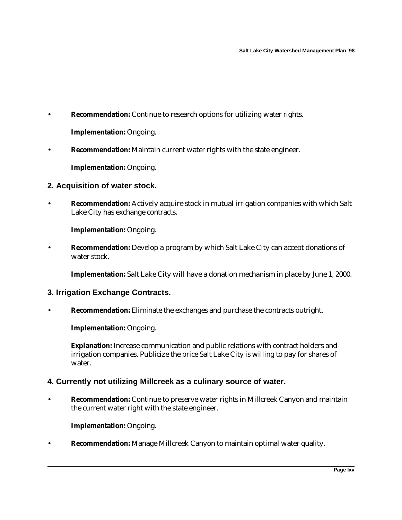• **Recommendation:** Continue to research options for utilizing water rights.

**Implementation:** Ongoing.

• **Recommendation:** Maintain current water rights with the state engineer.

**Implementation:** Ongoing.

## **2. Acquisition of water stock.**

• **Recommendation:** Actively acquire stock in mutual irrigation companies with which Salt Lake City has exchange contracts.

**Implementation:** Ongoing.

• **Recommendation:** Develop a program by which Salt Lake City can accept donations of water stock.

**Implementation:** Salt Lake City will have a donation mechanism in place by June 1, 2000.

- **3. Irrigation Exchange Contracts.**
- **Recommendation:** Eliminate the exchanges and purchase the contracts outright.

**Implementation:** Ongoing.

**Explanation:** Increase communication and public relations with contract holders and irrigation companies. Publicize the price Salt Lake City is willing to pay for shares of water.

#### **4. Currently not utilizing Millcreek as a culinary source of water.**

• **Recommendation:** Continue to preserve water rights in Millcreek Canyon and maintain the current water right with the state engineer.

**Implementation:** Ongoing.

• **Recommendation:** Manage Millcreek Canyon to maintain optimal water quality.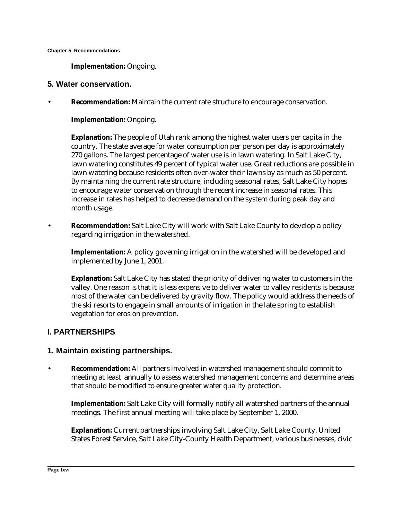**Implementation:** Ongoing.

#### **5. Water conservation.**

• **Recommendation:** Maintain the current rate structure to encourage conservation.

**Implementation:** Ongoing.

**Explanation:** The people of Utah rank among the highest water users per capita in the country. The state average for water consumption per person per day is approximately 270 gallons. The largest percentage of water use is in lawn watering. In Salt Lake City, lawn watering constitutes 49 percent of typical water use. Great reductions are possible in lawn watering because residents often over-water their lawns by as much as 50 percent. By maintaining the current rate structure, including seasonal rates, Salt Lake City hopes to encourage water conservation through the recent increase in seasonal rates. This increase in rates has helped to decrease demand on the system during peak day and month usage.

• **Recommendation:** Salt Lake City will work with Salt Lake County to develop a policy regarding irrigation in the watershed.

**Implementation:** A policy governing irrigation in the watershed will be developed and implemented by June 1, 2001.

**Explanation:** Salt Lake City has stated the priority of delivering water to customers in the valley. One reason is that it is less expensive to deliver water to valley residents is because most of the water can be delivered by gravity flow. The policy would address the needs of the ski resorts to engage in small amounts of irrigation in the late spring to establish vegetation for erosion prevention.

## **I. PARTNERSHIPS**

#### **1. Maintain existing partnerships.**

• **Recommendation:** All partners involved in watershed management should commit to meeting at least annually to assess watershed management concerns and determine areas that should be modified to ensure greater water quality protection.

**Implementation:** Salt Lake City will formally notify all watershed partners of the annual meetings. The first annual meeting will take place by September 1, 2000.

**Explanation:** Current partnerships involving Salt Lake City, Salt Lake County, United States Forest Service, Salt Lake City-County Health Department, various businesses, civic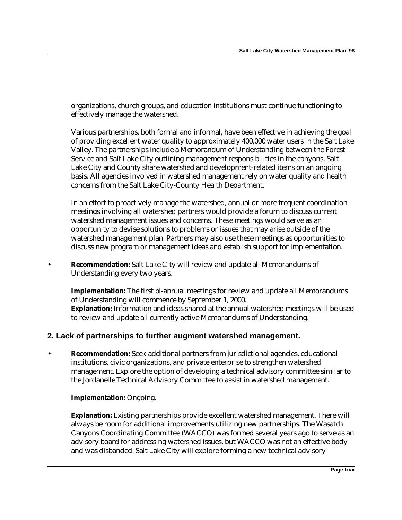organizations, church groups, and education institutions must continue functioning to effectively manage the watershed.

Various partnerships, both formal and informal, have been effective in achieving the goal of providing excellent water quality to approximately 400,000 water users in the Salt Lake Valley. The partnerships include a Memorandum of Understanding between the Forest Service and Salt Lake City outlining management responsibilities in the canyons. Salt Lake City and County share watershed and development-related items on an ongoing basis. All agencies involved in watershed management rely on water quality and health concerns from the Salt Lake City-County Health Department.

In an effort to proactively manage the watershed, annual or more frequent coordination meetings involving all watershed partners would provide a forum to discuss current watershed management issues and concerns. These meetings would serve as an opportunity to devise solutions to problems or issues that may arise outside of the watershed management plan. Partners may also use these meetings as opportunities to discuss new program or management ideas and establish support for implementation.

• **Recommendation:** Salt Lake City will review and update all Memorandums of Understanding every two years.

**Implementation:** The first bi-annual meetings for review and update all Memorandums of Understanding will commence by September 1, 2000. **Explanation:** Information and ideas shared at the annual watershed meetings will be used to review and update all currently active Memorandums of Understanding.

## **2. Lack of partnerships to further augment watershed management.**

• **Recommendation:** Seek additional partners from jurisdictional agencies, educational institutions, civic organizations, and private enterprise to strengthen watershed management. Explore the option of developing a technical advisory committee similar to the Jordanelle Technical Advisory Committee to assist in watershed management.

#### **Implementation:** Ongoing.

**Explanation:** Existing partnerships provide excellent watershed management. There will always be room for additional improvements utilizing new partnerships. The Wasatch Canyons Coordinating Committee (WACCO) was formed several years ago to serve as an advisory board for addressing watershed issues, but WACCO was not an effective body and was disbanded. Salt Lake City will explore forming a new technical advisory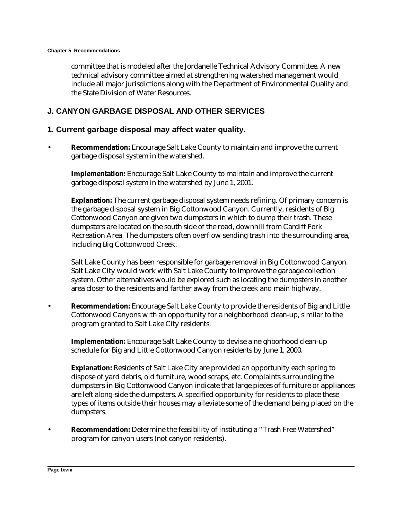committee that is modeled after the Jordanelle Technical Advisory Committee. A new technical advisory committee aimed at strengthening watershed management would include all major jurisdictions along with the Department of Environmental Quality and the State Division of Water Resources.

## **J. CANYON GARBAGE DISPOSAL AND OTHER SERVICES**

#### **1. Current garbage disposal may affect water quality.**

• **Recommendation:** Encourage Salt Lake County to maintain and improve the current garbage disposal system in the watershed.

**Implementation:** Encourage Salt Lake County to maintain and improve the current garbage disposal system in the watershed by June 1, 2001.

**Explanation:** The current garbage disposal system needs refining. Of primary concern is the garbage disposal system in Big Cottonwood Canyon. Currently, residents of Big Cottonwood Canyon are given two dumpsters in which to dump their trash. These dumpsters are located on the south side of the road, downhill from Cardiff Fork Recreation Area. The dumpsters often overflow sending trash into the surrounding area, including Big Cottonwood Creek.

Salt Lake County has been responsible for garbage removal in Big Cottonwood Canyon. Salt Lake City would work with Salt Lake County to improve the garbage collection system. Other alternatives would be explored such as locating the dumpsters in another area closer to the residents and farther away from the creek and main highway.

• **Recommendation:** Encourage Salt Lake County to provide the residents of Big and Little Cottonwood Canyons with an opportunity for a neighborhood clean-up, similar to the program granted to Salt Lake City residents.

**Implementation:** Encourage Salt Lake County to devise a neighborhood clean-up schedule for Big and Little Cottonwood Canyon residents by June 1, 2000.

**Explanation:** Residents of Salt Lake City are provided an opportunity each spring to dispose of yard debris, old furniture, wood scraps, etc. Complaints surrounding the dumpsters in Big Cottonwood Canyon indicate that large pieces of furniture or appliances are left along-side the dumpsters. A specified opportunity for residents to place these types of items outside their houses may alleviate some of the demand being placed on the dumpsters.

• **Recommendation:** Determine the feasibility of instituting a "Trash Free Watershed" program for canyon users (not canyon residents).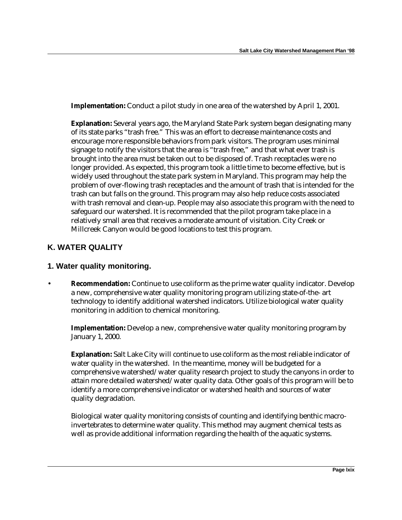**Implementation:** Conduct a pilot study in one area of the watershed by April 1, 2001.

**Explanation:** Several years ago, the Maryland State Park system began designating many of its state parks "trash free." This was an effort to decrease maintenance costs and encourage more responsible behaviors from park visitors. The program uses minimal signage to notify the visitors that the area is "trash free," and that what ever trash is brought into the area must be taken out to be disposed of. Trash receptacles were no longer provided. As expected, this program took a little time to become effective, but is widely used throughout the state park system in Maryland. This program may help the problem of over-flowing trash receptacles and the amount of trash that is intended for the trash can but falls on the ground. This program may also help reduce costs associated with trash removal and clean-up. People may also associate this program with the need to safeguard our watershed. It is recommended that the pilot program take place in a relatively small area that receives a moderate amount of visitation. City Creek or Millcreek Canyon would be good locations to test this program.

## **K. WATER QUALITY**

#### **1. Water quality monitoring.**

**Recommendation:** Continue to use coliform as the prime water quality indicator. Develop a new, comprehensive water quality monitoring program utilizing state-of-the- art technology to identify additional watershed indicators. Utilize biological water quality monitoring in addition to chemical monitoring.

**Implementation:** Develop a new, comprehensive water quality monitoring program by January 1, 2000.

**Explanation:** Salt Lake City will continue to use coliform as the most reliable indicator of water quality in the watershed. In the meantime, money will be budgeted for a comprehensive watershed/water quality research project to study the canyons in order to attain more detailed watershed/water quality data. Other goals of this program will be to identify a more comprehensive indicator or watershed health and sources of water quality degradation.

Biological water quality monitoring consists of counting and identifying benthic macroinvertebrates to determine water quality. This method may augment chemical tests as well as provide additional information regarding the health of the aquatic systems.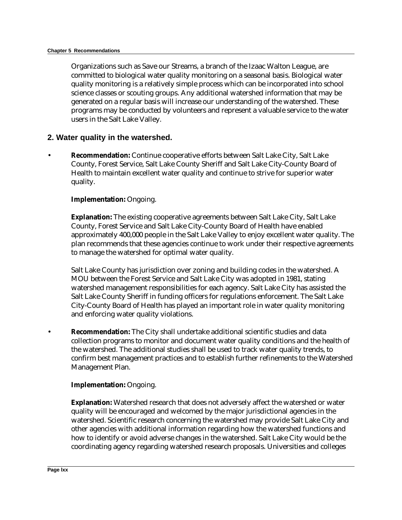Organizations such as Save our Streams, a branch of the Izaac Walton League, are committed to biological water quality monitoring on a seasonal basis. Biological water quality monitoring is a relatively simple process which can be incorporated into school science classes or scouting groups. Any additional watershed information that may be generated on a regular basis will increase our understanding of the watershed. These programs may be conducted by volunteers and represent a valuable service to the water users in the Salt Lake Valley.

#### **2. Water quality in the watershed.**

• **Recommendation:** Continue cooperative efforts between Salt Lake City, Salt Lake County, Forest Service, Salt Lake County Sheriff and Salt Lake City-County Board of Health to maintain excellent water quality and continue to strive for superior water quality.

#### **Implementation:** Ongoing.

**Explanation:** The existing cooperative agreements between Salt Lake City, Salt Lake County, Forest Service and Salt Lake City-County Board of Health have enabled approximately 400,000 people in the Salt Lake Valley to enjoy excellent water quality. The plan recommends that these agencies continue to work under their respective agreements to manage the watershed for optimal water quality.

Salt Lake County has jurisdiction over zoning and building codes in the watershed. A MOU between the Forest Service and Salt Lake City was adopted in 1981, stating watershed management responsibilities for each agency. Salt Lake City has assisted the Salt Lake County Sheriff in funding officers for regulations enforcement. The Salt Lake City-County Board of Health has played an important role in water quality monitoring and enforcing water quality violations.

• **Recommendation:** The City shall undertake additional scientific studies and data collection programs to monitor and document water quality conditions and the health of the watershed. The additional studies shall be used to track water quality trends, to confirm best management practices and to establish further refinements to the Watershed Management Plan.

#### **Implementation:** Ongoing.

**Explanation:** Watershed research that does not adversely affect the watershed or water quality will be encouraged and welcomed by the major jurisdictional agencies in the watershed. Scientific research concerning the watershed may provide Salt Lake City and other agencies with additional information regarding how the watershed functions and how to identify or avoid adverse changes in the watershed. Salt Lake City would be the coordinating agency regarding watershed research proposals. Universities and colleges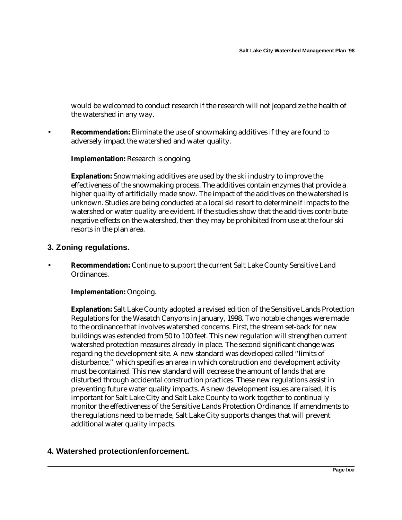would be welcomed to conduct research if the research will not jeopardize the health of the watershed in any way.

• **Recommendation:** Eliminate the use of snowmaking additives if they are found to adversely impact the watershed and water quality.

**Implementation:** Research is ongoing.

**Explanation:** Snowmaking additives are used by the ski industry to improve the effectiveness of the snowmaking process. The additives contain enzymes that provide a higher quality of artificially made snow. The impact of the additives on the watershed is unknown. Studies are being conducted at a local ski resort to determine if impacts to the watershed or water quality are evident. If the studies show that the additives contribute negative effects on the watershed, then they may be prohibited from use at the four ski resorts in the plan area.

## **3. Zoning regulations.**

• **Recommendation:** Continue to support the current Salt Lake County Sensitive Land Ordinances.

#### **Implementation:** Ongoing.

**Explanation:** Salt Lake County adopted a revised edition of the Sensitive Lands Protection Regulations for the Wasatch Canyons in January, 1998. Two notable changes were made to the ordinance that involves watershed concerns. First, the stream set-back for new buildings was extended from 50 to 100 feet. This new regulation will strengthen current watershed protection measures already in place. The second significant change was regarding the development site. A new standard was developed called "limits of disturbance," which specifies an area in which construction and development activity must be contained. This new standard will decrease the amount of lands that are disturbed through accidental construction practices. These new regulations assist in preventing future water quality impacts. As new development issues are raised, it is important for Salt Lake City and Salt Lake County to work together to continually monitor the effectiveness of the Sensitive Lands Protection Ordinance. If amendments to the regulations need to be made, Salt Lake City supports changes that will prevent additional water quality impacts.

## **4. Watershed protection/enforcement.**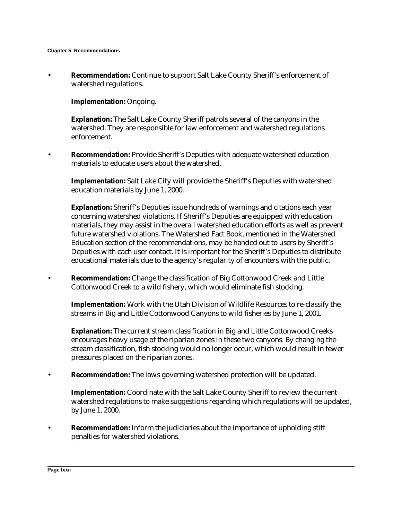• **Recommendation:** Continue to support Salt Lake County Sheriff's enforcement of watershed regulations.

**Implementation:** Ongoing.

**Explanation:** The Salt Lake County Sheriff patrols several of the canyons in the watershed. They are responsible for law enforcement and watershed regulations enforcement.

• **Recommendation:** Provide Sheriff's Deputies with adequate watershed education materials to educate users about the watershed.

**Implementation:** Salt Lake City will provide the Sheriff's Deputies with watershed education materials by June 1, 2000.

**Explanation:** Sheriff's Deputies issue hundreds of warnings and citations each year concerning watershed violations. If Sheriff's Deputies are equipped with education materials, they may assist in the overall watershed education efforts as well as prevent future watershed violations. The Watershed Fact Book, mentioned in the Watershed Education section of the recommendations, may be handed out to users by Sheriff's Deputies with each user contact. It is important for the Sheriff's Deputies to distribute educational materials due to the agency's regularity of encounters with the public.

• **Recommendation:** Change the classification of Big Cottonwood Creek and Little Cottonwood Creek to a wild fishery, which would eliminate fish stocking.

**Implementation:** Work with the Utah Division of Wildlife Resources to re-classify the streams in Big and Little Cottonwood Canyons to wild fisheries by June 1, 2001.

**Explanation:** The current stream classification in Big and Little Cottonwood Creeks encourages heavy usage of the riparian zones in these two canyons. By changing the stream classification, fish stocking would no longer occur, which would result in fewer pressures placed on the riparian zones.

• **Recommendation:** The laws governing watershed protection will be updated.

**Implementation:** Coordinate with the Salt Lake County Sheriff to review the current watershed regulations to make suggestions regarding which regulations will be updated, by June 1, 2000.

• **Recommendation:** Inform the judiciaries about the importance of upholding stiff penalties for watershed violations.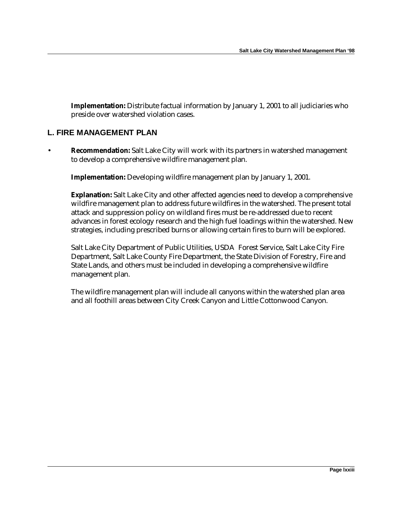**Implementation:** Distribute factual information by January 1, 2001 to all judiciaries who preside over watershed violation cases.

## **L. FIRE MANAGEMENT PLAN**

• **Recommendation:** Salt Lake City will work with its partners in watershed management to develop a comprehensive wildfire management plan.

**Implementation:** Developing wildfire management plan by January 1, 2001.

**Explanation:** Salt Lake City and other affected agencies need to develop a comprehensive wildfire management plan to address future wildfires in the watershed. The present total attack and suppression policy on wildland fires must be re-addressed due to recent advances in forest ecology research and the high fuel loadings within the watershed. New strategies, including prescribed burns or allowing certain fires to burn will be explored.

Salt Lake City Department of Public Utilities, USDA Forest Service, Salt Lake City Fire Department, Salt Lake County Fire Department, the State Division of Forestry, Fire and State Lands, and others must be included in developing a comprehensive wildfire management plan.

The wildfire management plan will include all canyons within the watershed plan area and all foothill areas between City Creek Canyon and Little Cottonwood Canyon.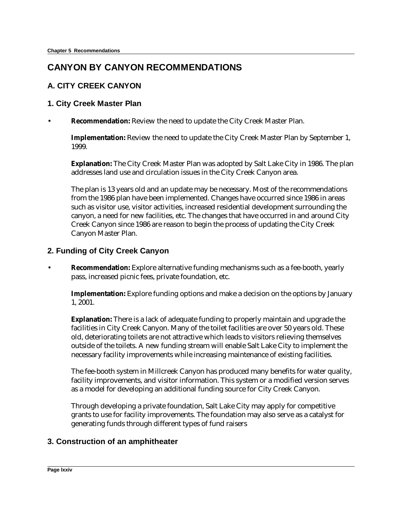# **CANYON BY CANYON RECOMMENDATIONS**

## **A. CITY CREEK CANYON**

## **1. City Creek Master Plan**

• **Recommendation:** Review the need to update the City Creek Master Plan.

**Implementation:** Review the need to update the City Creek Master Plan by September 1, 1999.

**Explanation:** The City Creek Master Plan was adopted by Salt Lake City in 1986. The plan addresses land use and circulation issues in the City Creek Canyon area.

The plan is 13 years old and an update may be necessary. Most of the recommendations from the 1986 plan have been implemented. Changes have occurred since 1986 in areas such as visitor use, visitor activities, increased residential development surrounding the canyon, a need for new facilities, etc. The changes that have occurred in and around City Creek Canyon since 1986 are reason to begin the process of updating the City Creek Canyon Master Plan.

## **2. Funding of City Creek Canyon**

• **Recommendation:** Explore alternative funding mechanisms such as a fee-booth, yearly pass, increased picnic fees, private foundation, etc.

**Implementation:** Explore funding options and make a decision on the options by January 1, 2001.

**Explanation:** There is a lack of adequate funding to properly maintain and upgrade the facilities in City Creek Canyon. Many of the toilet facilities are over 50 years old. These old, deteriorating toilets are not attractive which leads to visitors relieving themselves outside of the toilets. A new funding stream will enable Salt Lake City to implement the necessary facility improvements while increasing maintenance of existing facilities.

The fee-booth system in Millcreek Canyon has produced many benefits for water quality, facility improvements, and visitor information. This system or a modified version serves as a model for developing an additional funding source for City Creek Canyon.

Through developing a private foundation, Salt Lake City may apply for competitive grants to use for facility improvements. The foundation may also serve as a catalyst for generating funds through different types of fund raisers

## **3. Construction of an amphitheater**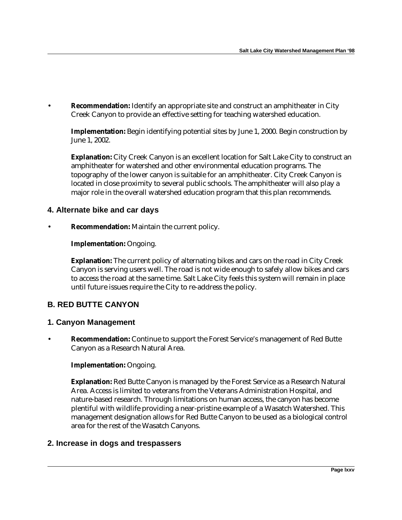**Recommendation:** Identify an appropriate site and construct an amphitheater in City Creek Canyon to provide an effective setting for teaching watershed education.

**Implementation:** Begin identifying potential sites by June 1, 2000. Begin construction by June 1, 2002.

**Explanation:** City Creek Canyon is an excellent location for Salt Lake City to construct an amphitheater for watershed and other environmental education programs. The topography of the lower canyon is suitable for an amphitheater. City Creek Canyon is located in close proximity to several public schools. The amphitheater will also play a major role in the overall watershed education program that this plan recommends.

## **4. Alternate bike and car days**

• **Recommendation:** Maintain the current policy.

#### **Implementation:** Ongoing.

**Explanation:** The current policy of alternating bikes and cars on the road in City Creek Canyon is serving users well. The road is not wide enough to safely allow bikes and cars to access the road at the same time. Salt Lake City feels this system will remain in place until future issues require the City to re-address the policy.

## **B. RED BUTTE CANYON**

#### **1. Canyon Management**

• **Recommendation:** Continue to support the Forest Service's management of Red Butte Canyon as a Research Natural Area.

#### **Implementation:** Ongoing.

**Explanation:** Red Butte Canyon is managed by the Forest Service as a Research Natural Area. Access is limited to veterans from the Veterans Administration Hospital, and nature-based research. Through limitations on human access, the canyon has become plentiful with wildlife providing a near-pristine example of a Wasatch Watershed. This management designation allows for Red Butte Canyon to be used as a biological control area for the rest of the Wasatch Canyons.

#### **2. Increase in dogs and trespassers**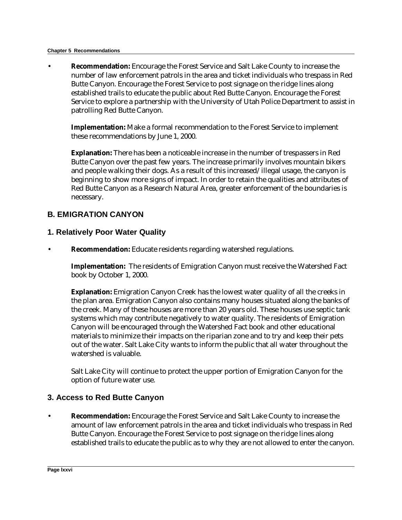#### **Chapter 5 Recommendations**

• **Recommendation:** Encourage the Forest Service and Salt Lake County to increase the number of law enforcement patrols in the area and ticket individuals who trespass in Red Butte Canyon. Encourage the Forest Service to post signage on the ridge lines along established trails to educate the public about Red Butte Canyon. Encourage the Forest Service to explore a partnership with the University of Utah Police Department to assist in patrolling Red Butte Canyon.

**Implementation:** Make a formal recommendation to the Forest Service to implement these recommendations by June 1, 2000.

**Explanation:** There has been a noticeable increase in the number of trespassers in Red Butte Canyon over the past few years. The increase primarily involves mountain bikers and people walking their dogs. As a result of this increased/illegal usage, the canyon is beginning to show more signs of impact. In order to retain the qualities and attributes of Red Butte Canyon as a Research Natural Area, greater enforcement of the boundaries is necessary.

## **B. EMIGRATION CANYON**

## **1. Relatively Poor Water Quality**

• **Recommendation:** Educate residents regarding watershed regulations.

**Implementation:** The residents of Emigration Canyon must receive the Watershed Fact book by October 1, 2000.

**Explanation:** Emigration Canyon Creek has the lowest water quality of all the creeks in the plan area. Emigration Canyon also contains many houses situated along the banks of the creek. Many of these houses are more than 20 years old. These houses use septic tank systems which may contribute negatively to water quality. The residents of Emigration Canyon will be encouraged through the Watershed Fact book and other educational materials to minimize their impacts on the riparian zone and to try and keep their pets out of the water. Salt Lake City wants to inform the public that all water throughout the watershed is valuable.

Salt Lake City will continue to protect the upper portion of Emigration Canyon for the option of future water use.

## **3. Access to Red Butte Canyon**

• **Recommendation:** Encourage the Forest Service and Salt Lake County to increase the amount of law enforcement patrols in the area and ticket individuals who trespass in Red Butte Canyon. Encourage the Forest Service to post signage on the ridge lines along established trails to educate the public as to why they are not allowed to enter the canyon.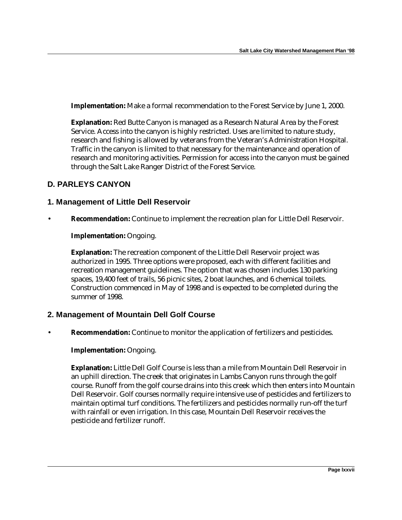**Implementation:** Make a formal recommendation to the Forest Service by June 1, 2000.

**Explanation:** Red Butte Canyon is managed as a Research Natural Area by the Forest Service. Access into the canyon is highly restricted. Uses are limited to nature study, research and fishing is allowed by veterans from the Veteran's Administration Hospital. Traffic in the canyon is limited to that necessary for the maintenance and operation of research and monitoring activities. Permission for access into the canyon must be gained through the Salt Lake Ranger District of the Forest Service.

## **D. PARLEYS CANYON**

## **1. Management of Little Dell Reservoir**

• **Recommendation:** Continue to implement the recreation plan for Little Dell Reservoir.

#### **Implementation:** Ongoing.

**Explanation:** The recreation component of the Little Dell Reservoir project was authorized in 1995. Three options were proposed, each with different facilities and recreation management guidelines. The option that was chosen includes 130 parking spaces, 19,400 feet of trails, 56 picnic sites, 2 boat launches, and 6 chemical toilets. Construction commenced in May of 1998 and is expected to be completed during the summer of 1998.

#### **2. Management of Mountain Dell Golf Course**

• **Recommendation:** Continue to monitor the application of fertilizers and pesticides.

#### **Implementation:** Ongoing.

**Explanation:** Little Dell Golf Course is less than a mile from Mountain Dell Reservoir in an uphill direction. The creek that originates in Lambs Canyon runs through the golf course. Runoff from the golf course drains into this creek which then enters into Mountain Dell Reservoir. Golf courses normally require intensive use of pesticides and fertilizers to maintain optimal turf conditions. The fertilizers and pesticides normally run-off the turf with rainfall or even irrigation. In this case, Mountain Dell Reservoir receives the pesticide and fertilizer runoff.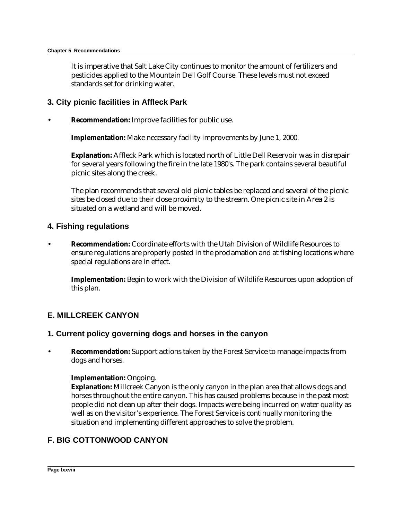It is imperative that Salt Lake City continues to monitor the amount of fertilizers and pesticides applied to the Mountain Dell Golf Course. These levels must not exceed standards set for drinking water.

### **3. City picnic facilities in Affleck Park**

**Recommendation:** Improve facilities for public use.

**Implementation:** Make necessary facility improvements by June 1, 2000.

**Explanation:** Affleck Park which is located north of Little Dell Reservoir was in disrepair for several years following the fire in the late 1980's. The park contains several beautiful picnic sites along the creek.

The plan recommends that several old picnic tables be replaced and several of the picnic sites be closed due to their close proximity to the stream. One picnic site in Area 2 is situated on a wetland and will be moved.

#### **4. Fishing regulations**

• **Recommendation:** Coordinate efforts with the Utah Division of Wildlife Resources to ensure regulations are properly posted in the proclamation and at fishing locations where special regulations are in effect.

**Implementation:** Begin to work with the Division of Wildlife Resources upon adoption of this plan.

## **E. MILLCREEK CANYON**

#### **1. Current policy governing dogs and horses in the canyon**

• **Recommendation:** Support actions taken by the Forest Service to manage impacts from dogs and horses.

#### **Implementation:** Ongoing.

**Explanation:** Millcreek Canyon is the only canyon in the plan area that allows dogs and horses throughout the entire canyon. This has caused problems because in the past most people did not clean up after their dogs. Impacts were being incurred on water quality as well as on the visitor's experience. The Forest Service is continually monitoring the situation and implementing different approaches to solve the problem.

## **F. BIG COTTONWOOD CANYON**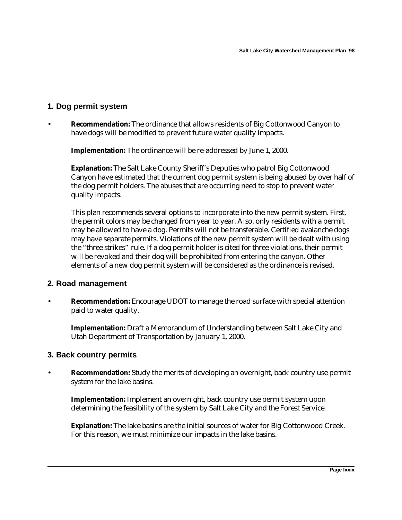## **1. Dog permit system**

• **Recommendation:** The ordinance that allows residents of Big Cottonwood Canyon to have dogs will be modified to prevent future water quality impacts.

**Implementation:** The ordinance will be re-addressed by June 1, 2000.

**Explanation:** The Salt Lake County Sheriff's Deputies who patrol Big Cottonwood Canyon have estimated that the current dog permit system is being abused by over half of the dog permit holders. The abuses that are occurring need to stop to prevent water quality impacts.

This plan recommends several options to incorporate into the new permit system. First, the permit colors may be changed from year to year. Also, only residents with a permit may be allowed to have a dog. Permits will not be transferable. Certified avalanche dogs may have separate permits. Violations of the new permit system will be dealt with using the "three strikes" rule. If a dog permit holder is cited for three violations, their permit will be revoked and their dog will be prohibited from entering the canyon. Other elements of a new dog permit system will be considered as the ordinance is revised.

## **2. Road management**

**Recommendation:** Encourage UDOT to manage the road surface with special attention paid to water quality.

**Implementation:** Draft a Memorandum of Understanding between Salt Lake City and Utah Department of Transportation by January 1, 2000.

## **3. Back country permits**

• **Recommendation:** Study the merits of developing an overnight, back country use permit system for the lake basins.

**Implementation:** Implement an overnight, back country use permit system upon determining the feasibility of the system by Salt Lake City and the Forest Service.

**Explanation:** The lake basins are the initial sources of water for Big Cottonwood Creek. For this reason, we must minimize our impacts in the lake basins.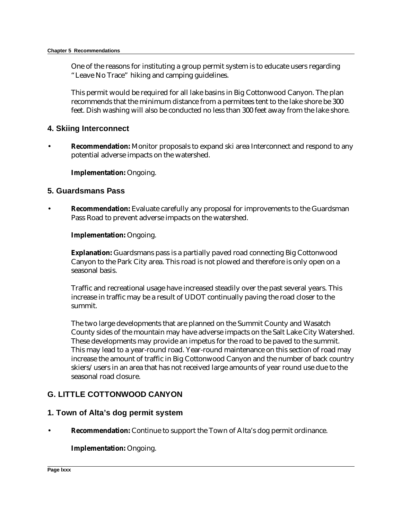One of the reasons for instituting a group permit system is to educate users regarding "Leave No Trace" hiking and camping guidelines.

This permit would be required for all lake basins in Big Cottonwood Canyon. The plan recommends that the minimum distance from a permitees tent to the lake shore be 300 feet. Dish washing will also be conducted no less than 300 feet away from the lake shore.

#### **4. Skiing Interconnect**

**Recommendation:** Monitor proposals to expand ski area Interconnect and respond to any potential adverse impacts on the watershed.

#### **Implementation:** Ongoing.

#### **5. Guardsmans Pass**

**Recommendation:** Evaluate carefully any proposal for improvements to the Guardsman Pass Road to prevent adverse impacts on the watershed.

#### **Implementation:** Ongoing.

**Explanation:** Guardsmans pass is a partially paved road connecting Big Cottonwood Canyon to the Park City area. This road is not plowed and therefore is only open on a seasonal basis.

Traffic and recreational usage have increased steadily over the past several years. This increase in traffic may be a result of UDOT continually paving the road closer to the summit.

The two large developments that are planned on the Summit County and Wasatch County sides of the mountain may have adverse impacts on the Salt Lake City Watershed. These developments may provide an impetus for the road to be paved to the summit. This may lead to a year-round road. Year-round maintenance on this section of road may increase the amount of traffic in Big Cottonwood Canyon and the number of back country skiers/users in an area that has not received large amounts of year round use due to the seasonal road closure.

## **G. LITTLE COTTONWOOD CANYON**

#### **1. Town of Alta's dog permit system**

• **Recommendation:** Continue to support the Town of Alta's dog permit ordinance.

#### **Implementation:** Ongoing.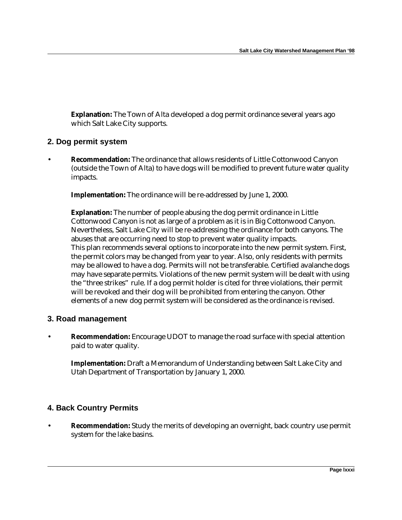**Explanation:** The Town of Alta developed a dog permit ordinance several years ago which Salt Lake City supports.

#### **2. Dog permit system**

**Recommendation:** The ordinance that allows residents of Little Cottonwood Canyon (outside the Town of Alta) to have dogs will be modified to prevent future water quality impacts.

**Implementation:** The ordinance will be re-addressed by June 1, 2000.

**Explanation:** The number of people abusing the dog permit ordinance in Little Cottonwood Canyon is not as large of a problem as it is in Big Cottonwood Canyon. Nevertheless, Salt Lake City will be re-addressing the ordinance for both canyons. The abuses that are occurring need to stop to prevent water quality impacts. This plan recommends several options to incorporate into the new permit system. First, the permit colors may be changed from year to year. Also, only residents with permits may be allowed to have a dog. Permits will not be transferable. Certified avalanche dogs may have separate permits. Violations of the new permit system will be dealt with using the "three strikes" rule. If a dog permit holder is cited for three violations, their permit will be revoked and their dog will be prohibited from entering the canyon. Other elements of a new dog permit system will be considered as the ordinance is revised.

#### **3. Road management**

• **Recommendation:** Encourage UDOT to manage the road surface with special attention paid to water quality.

**Implementation:** Draft a Memorandum of Understanding between Salt Lake City and Utah Department of Transportation by January 1, 2000.

## **4. Back Country Permits**

• **Recommendation:** Study the merits of developing an overnight, back country use permit system for the lake basins.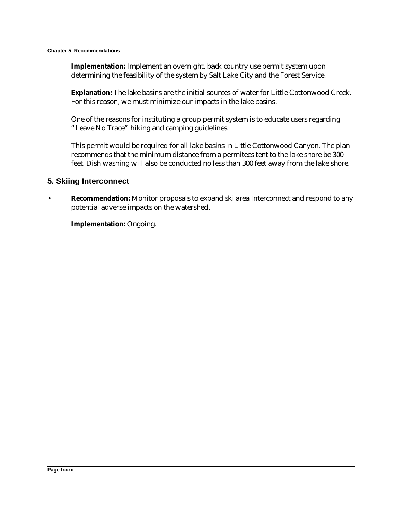**Implementation:** Implement an overnight, back country use permit system upon determining the feasibility of the system by Salt Lake City and the Forest Service.

**Explanation:** The lake basins are the initial sources of water for Little Cottonwood Creek. For this reason, we must minimize our impacts in the lake basins.

One of the reasons for instituting a group permit system is to educate users regarding "Leave No Trace" hiking and camping guidelines.

This permit would be required for all lake basins in Little Cottonwood Canyon. The plan recommends that the minimum distance from a permitees tent to the lake shore be 300 feet. Dish washing will also be conducted no less than 300 feet away from the lake shore.

#### **5. Skiing Interconnect**

• **Recommendation:** Monitor proposals to expand ski area Interconnect and respond to any potential adverse impacts on the watershed.

**Implementation:** Ongoing.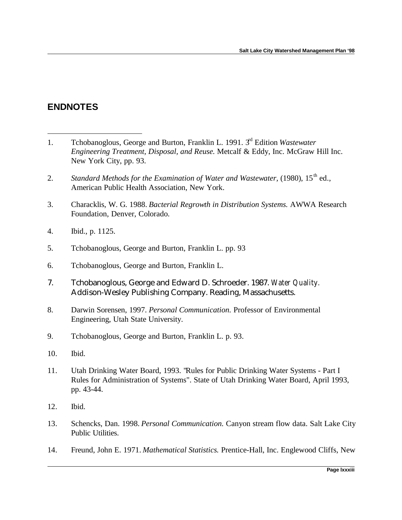# **ENDNOTES**

<u>.</u>

- 1. Tchobanoglous, George and Burton, Franklin L. 1991. 3rd Edition *Wastewater Engineering Treatment, Disposal, and Reuse.* Metcalf & Eddy, Inc. McGraw Hill Inc. New York City, pp. 93.
- 2. *Standard Methods for the Examination of Water and Wastewater, (1980), 15<sup>th</sup> ed.,* American Public Health Association, New York.
- 3. Characklis, W. G. 1988. *Bacterial Regrowth in Distribution Systems.* AWWA Research Foundation, Denver, Colorado.
- 4. Ibid., p. 1125.
- 5. Tchobanoglous, George and Burton, Franklin L. pp. 93
- 6. Tchobanoglous, George and Burton, Franklin L.
- 7. Tchobanoglous, George and Edward D. Schroeder. 1987. *Water Quality.* Addison-Wesley Publishing Company. Reading, Massachusetts.
- 8. Darwin Sorensen, 1997. *Personal Communication.* Professor of Environmental Engineering, Utah State University.
- 9. Tchobanoglous, George and Burton, Franklin L. p. 93.
- 10. Ibid.
- 11. Utah Drinking Water Board, 1993. "Rules for Public Drinking Water Systems Part I Rules for Administration of Systems". State of Utah Drinking Water Board, April 1993, pp. 43-44.
- 12. Ibid.
- 13. Schencks, Dan. 1998. *Personal Communication.* Canyon stream flow data. Salt Lake City Public Utilities.
- 14. Freund, John E. 1971. *Mathematical Statistics.* Prentice-Hall, Inc. Englewood Cliffs, New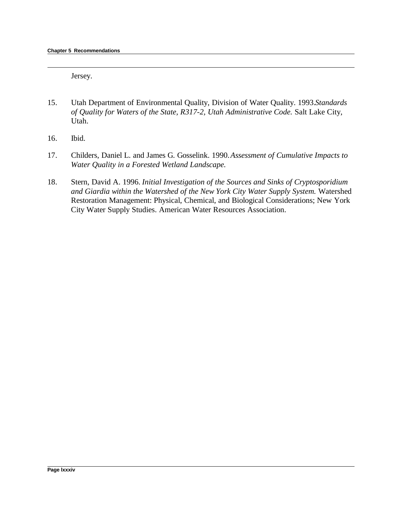Jersey.

- 15. Utah Department of Environmental Quality, Division of Water Quality. 1993. *Standards of Quality for Waters of the State, R317-2, Utah Administrative Code.* Salt Lake City, Utah.
- 16. Ibid.

1

- 17. Childers, Daniel L. and James G. Gosselink. 1990. *Assessment of Cumulative Impacts to Water Quality in a Forested Wetland Landscape.*
- 18. Stern, David A. 1996. *Initial Investigation of the Sources and Sinks of Cryptosporidium and Giardia within the Watershed of the New York City Water Supply System.* Watershed Restoration Management: Physical, Chemical, and Biological Considerations; New York City Water Supply Studies. American Water Resources Association.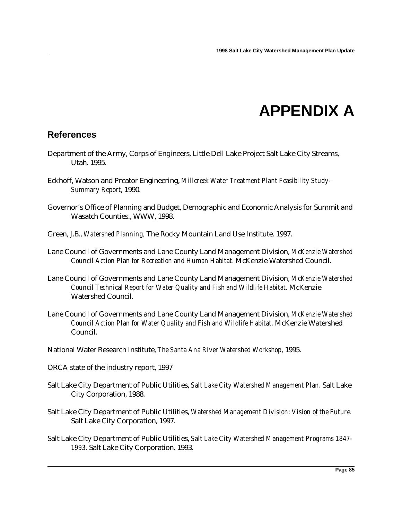# **APPENDIX A**

# **References**

- Department of the Army, Corps of Engineers, Little Dell Lake Project Salt Lake City Streams, Utah. 1995.
- Eckhoff, Watson and Preator Engineering, *Millcreek Water Treatment Plant Feasibility Study-Summary Report,* 1990.
- Governor's Office of Planning and Budget, Demographic and Economic Analysis for Summit and Wasatch Counties., WWW, 1998.
- Green, J.B., *Watershed Planning,* The Rocky Mountain Land Use Institute. 1997.
- Lane Council of Governments and Lane County Land Management Division, *McKenzie Watershed Council Action Plan for Recreation and Human Habitat.* McKenzie Watershed Council.
- Lane Council of Governments and Lane County Land Management Division, *McKenzie Watershed Council Technical Report for Water Quality and Fish and Wildlife Habitat.* McKenzie Watershed Council.
- Lane Council of Governments and Lane County Land Management Division, *McKenzie Watershed Council Action Plan for Water Quality and Fish and Wildlife Habitat.* McKenzie Watershed Council.
- National Water Research Institute, *The Santa Ana River Watershed Workshop,* 1995.
- ORCA state of the industry report, 1997
- Salt Lake City Department of Public Utilities, *Salt Lake City Watershed Management Plan.* Salt Lake City Corporation, 1988.
- Salt Lake City Department of Public Utilities, *Watershed Management Division: Vision of the Future.* Salt Lake City Corporation, 1997.
- Salt Lake City Department of Public Utilities, *Salt Lake City Watershed Management Programs 1847- 1993.* Salt Lake City Corporation. 1993.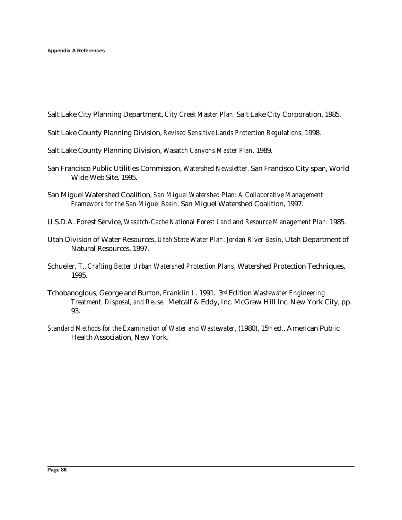Salt Lake City Planning Department, *City Creek Master Plan.* Salt Lake City Corporation, 1985.

- Salt Lake County Planning Division, *Revised Sensitive Lands Protection Regulations,* 1998.
- Salt Lake County Planning Division, *Wasatch Canyons Master Plan,* 1989.
- San Francisco Public Utilities Commission, *Watershed Newsletter,* San Francisco City span, World Wide Web Site. 1995.
- San Miguel Watershed Coalition, *San Miguel Watershed Plan: A Collaborative Management Framework for the San Miguel Basin.* San Miguel Watershed Coalition, 1997.
- U.S.D.A. Forest Service, *Wasatch-Cache National Forest Land and Resource Management Plan.* 1985.
- Utah Division of Water Resources, *Utah State Water Plan: Jordan River Basin,* Utah Department of Natural Resources. 1997.
- Schueler, T., *Crafting Better Urban Watershed Protection Plans,* Watershed Protection Techniques. 1995.
- Tchobanoglous, George and Burton, Franklin L. 1991. 3rd Edition *Wastewater Engineering Treatment, Disposal, and Reuse.* Metcalf & Eddy, Inc. McGraw Hill Inc. New York City, pp. 93.
- *Standard Methods for the Examination of Water and Wastewater,* (1980), 15th ed., American Public Health Association, New York.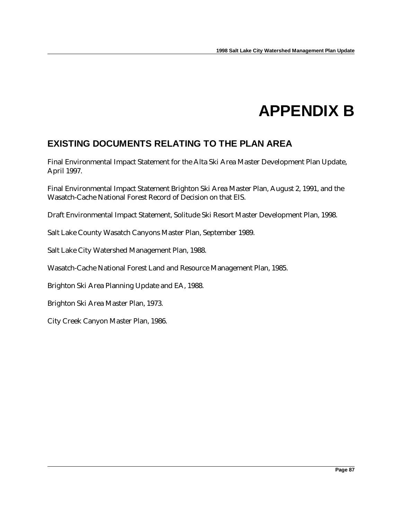# **APPENDIX B**

# **EXISTING DOCUMENTS RELATING TO THE PLAN AREA**

Final Environmental Impact Statement for the Alta Ski Area Master Development Plan Update, April 1997.

Final Environmental Impact Statement Brighton Ski Area Master Plan, August 2, 1991, and the Wasatch-Cache National Forest Record of Decision on that EIS.

Draft Environmental Impact Statement, Solitude Ski Resort Master Development Plan, 1998.

Salt Lake County Wasatch Canyons Master Plan, September 1989.

Salt Lake City Watershed Management Plan, 1988.

Wasatch-Cache National Forest Land and Resource Management Plan, 1985.

Brighton Ski Area Planning Update and EA, 1988.

Brighton Ski Area Master Plan, 1973.

City Creek Canyon Master Plan, 1986.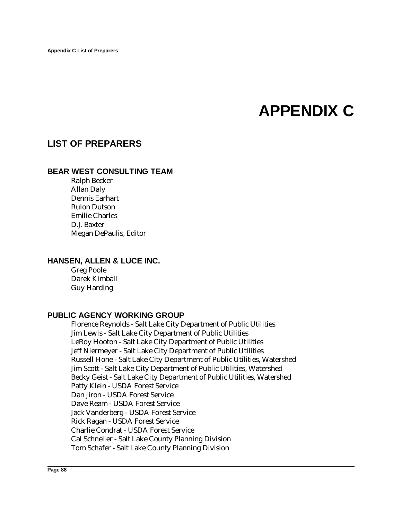# **APPENDIX C**

## **LIST OF PREPARERS**

#### **BEAR WEST CONSULTING TEAM**

Ralph Becker Allan Daly Dennis Earhart Rulon Dutson Emilie Charles D.J. Baxter Megan DePaulis, Editor

### **HANSEN, ALLEN & LUCE INC.**

Greg Poole Darek Kimball Guy Harding

#### **PUBLIC AGENCY WORKING GROUP**

Florence Reynolds - Salt Lake City Department of Public Utilities Jim Lewis - Salt Lake City Department of Public Utilities LeRoy Hooton - Salt Lake City Department of Public Utilities Jeff Niermeyer - Salt Lake City Department of Public Utilities Russell Hone - Salt Lake City Department of Public Utilities, Watershed Jim Scott - Salt Lake City Department of Public Utilities, Watershed Becky Geist - Salt Lake City Department of Public Utilities, Watershed Patty Klein - USDA Forest Service Dan Jiron - USDA Forest Service Dave Ream - USDA Forest Service Jack Vanderberg - USDA Forest Service Rick Ragan - USDA Forest Service Charlie Condrat - USDA Forest Service Cal Schneller - Salt Lake County Planning Division Tom Schafer - Salt Lake County Planning Division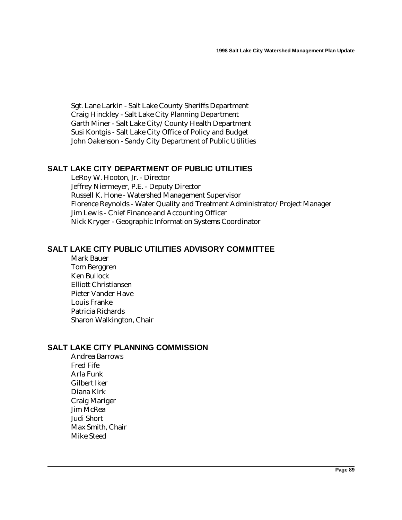Sgt. Lane Larkin - Salt Lake County Sheriffs Department Craig Hinckley - Salt Lake City Planning Department Garth Miner - Salt Lake City/County Health Department Susi Kontgis - Salt Lake City Office of Policy and Budget John Oakenson - Sandy City Department of Public Utilities

## **SALT LAKE CITY DEPARTMENT OF PUBLIC UTILITIES**

LeRoy W. Hooton, Jr. - Director Jeffrey Niermeyer, P.E. - Deputy Director Russell K. Hone - Watershed Management Supervisor Florence Reynolds - Water Quality and Treatment Administrator/Project Manager Jim Lewis - Chief Finance and Accounting Officer Nick Kryger - Geographic Information Systems Coordinator

## **SALT LAKE CITY PUBLIC UTILITIES ADVISORY COMMITTEE**

Mark Bauer Tom Berggren Ken Bullock Elliott Christiansen Pieter Vander Have Louis Franke Patricia Richards Sharon Walkington, Chair

#### **SALT LAKE CITY PLANNING COMMISSION**

Andrea Barrows Fred Fife Arla Funk Gilbert Iker Diana Kirk Craig Mariger Jim McRea Judi Short Max Smith, Chair Mike Steed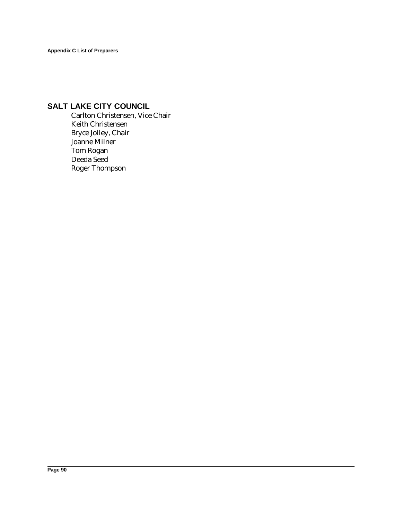## **SALT LAKE CITY COUNCIL**

Carlton Christensen, Vice Chair Keith Christensen Bryce Jolley, Chair Joanne Milner Tom Rogan Deeda Seed Roger Thompson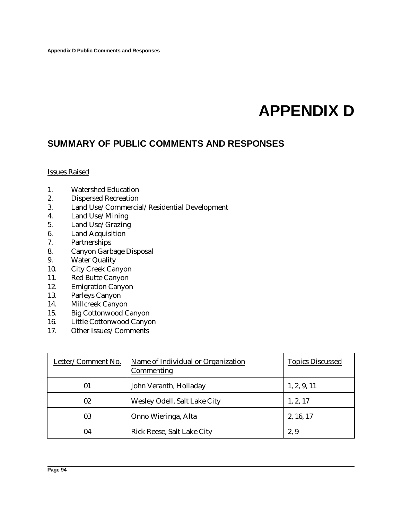# **APPENDIX D**

# **SUMMARY OF PUBLIC COMMENTS AND RESPONSES**

Issues Raised

- 1. Watershed Education
- 2. Dispersed Recreation
- 3. Land Use/Commercial/Residential Development
- 4. Land Use/Mining
- 5. Land Use/Grazing
- 6. Land Acquisition
- 7. Partnerships
- 8. Canyon Garbage Disposal
- 9. Water Quality
- 10. City Creek Canyon
- 11. Red Butte Canyon
- 12. Emigration Canyon
- 13. Parleys Canyon
- 14. Millcreek Canyon
- 15. Big Cottonwood Canyon
- 16. Little Cottonwood Canyon
- 17. Other Issues/Comments

| Letter/Comment No. | Name of Individual or Organization<br>Commenting | <b>Topics Discussed</b> |
|--------------------|--------------------------------------------------|-------------------------|
| 01                 | John Veranth, Holladay                           | 1, 2, 9, 11             |
| 02                 | Wesley Odell, Salt Lake City                     | 1, 2, 17                |
| 03                 | Onno Wieringa, Alta                              | 2, 16, 17               |
| 04                 | Rick Reese, Salt Lake City                       | 2,9                     |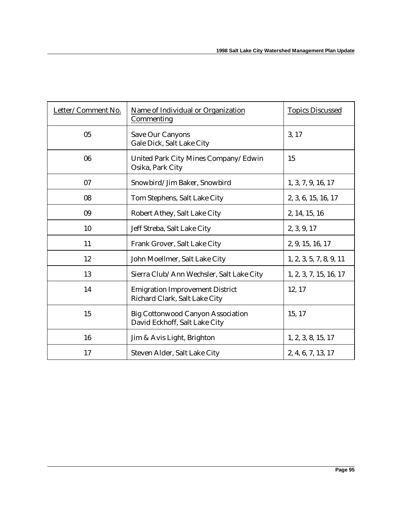| Letter/Comment No. | Name of Individual or Organization<br><b>Commenting</b>                   | <b>Topics Discussed</b> |
|--------------------|---------------------------------------------------------------------------|-------------------------|
| 05                 | <b>Save Our Canyons</b><br>Gale Dick, Salt Lake City                      | 3, 17                   |
| 06                 | United Park City Mines Company/Edwin<br>Osika, Park City                  | 15                      |
| 07                 | Snowbird/Jim Baker, Snowbird                                              | 1, 3, 7, 9, 16, 17      |
| 08                 | Tom Stephens, Salt Lake City                                              | 2, 3, 6, 15, 16, 17     |
| 09                 | Robert Athey, Salt Lake City                                              | 2, 14, 15, 16           |
| 10                 | Jeff Streba, Salt Lake City                                               | 2, 3, 9, 17             |
| 11                 | Frank Grover, Salt Lake City                                              | 2, 9, 15, 16, 17        |
| 12                 | John Moellmer, Salt Lake City                                             | 1, 2, 3, 5, 7, 8, 9, 11 |
| 13                 | Sierra Club/Ann Wechsler, Salt Lake City                                  | 1, 2, 3, 7, 15, 16, 17  |
| 14                 | <b>Emigration Improvement District</b><br>Richard Clark, Salt Lake City   | 12, 17                  |
| 15                 | <b>Big Cottonwood Canyon Association</b><br>David Eckhoff, Salt Lake City | 15, 17                  |
| 16                 | Jim & Avis Light, Brighton                                                | 1, 2, 3, 8, 15, 17      |
| 17                 | Steven Alder, Salt Lake City                                              | 2, 4, 6, 7, 13, 17      |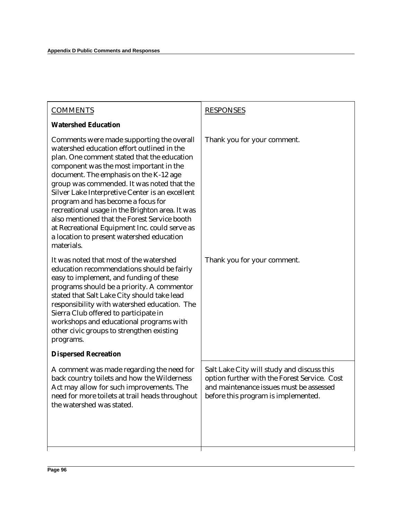| <b>COMMENTS</b>                                                                                                                                                                                                                                                                                                                                                                                                                                                                                                                                                                   | <b>RESPONSES</b>                                                                                                                                                             |
|-----------------------------------------------------------------------------------------------------------------------------------------------------------------------------------------------------------------------------------------------------------------------------------------------------------------------------------------------------------------------------------------------------------------------------------------------------------------------------------------------------------------------------------------------------------------------------------|------------------------------------------------------------------------------------------------------------------------------------------------------------------------------|
| <b>Watershed Education</b>                                                                                                                                                                                                                                                                                                                                                                                                                                                                                                                                                        |                                                                                                                                                                              |
| Comments were made supporting the overall<br>watershed education effort outlined in the<br>plan. One comment stated that the education<br>component was the most important in the<br>document. The emphasis on the K-12 age<br>group was commended. It was noted that the<br>Silver Lake Interpretive Center is an excellent<br>program and has become a focus for<br>recreational usage in the Brighton area. It was<br>also mentioned that the Forest Service booth<br>at Recreational Equipment Inc. could serve as<br>a location to present watershed education<br>materials. | Thank you for your comment.                                                                                                                                                  |
| It was noted that most of the watershed<br>education recommendations should be fairly<br>easy to implement, and funding of these<br>programs should be a priority. A commentor<br>stated that Salt Lake City should take lead<br>responsibility with watershed education. The<br>Sierra Club offered to participate in<br>workshops and educational programs with<br>other civic groups to strengthen existing<br>programs.                                                                                                                                                       | Thank you for your comment.                                                                                                                                                  |
| <b>Dispersed Recreation</b>                                                                                                                                                                                                                                                                                                                                                                                                                                                                                                                                                       |                                                                                                                                                                              |
| A comment was made regarding the need for<br>back country toilets and how the Wilderness<br>Act may allow for such improvements. The<br>need for more toilets at trail heads throughout<br>the watershed was stated.                                                                                                                                                                                                                                                                                                                                                              | Salt Lake City will study and discuss this<br>option further with the Forest Service. Cost<br>and maintenance issues must be assessed<br>before this program is implemented. |
|                                                                                                                                                                                                                                                                                                                                                                                                                                                                                                                                                                                   |                                                                                                                                                                              |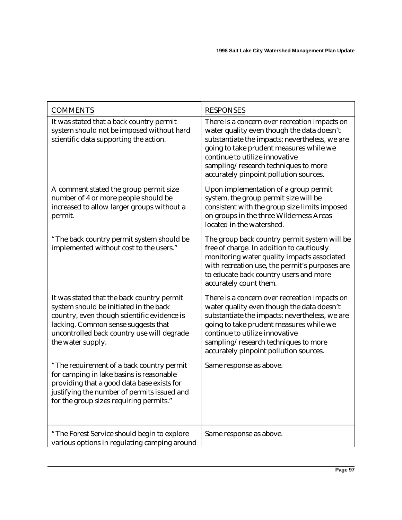| <b>COMMENTS</b>                                                                                                                                                                                                                               | <b>RESPONSES</b>                                                                                                                                                                                                                                                                                             |
|-----------------------------------------------------------------------------------------------------------------------------------------------------------------------------------------------------------------------------------------------|--------------------------------------------------------------------------------------------------------------------------------------------------------------------------------------------------------------------------------------------------------------------------------------------------------------|
| It was stated that a back country permit<br>system should not be imposed without hard<br>scientific data supporting the action.                                                                                                               | There is a concern over recreation impacts on<br>water quality even though the data doesn't<br>substantiate the impacts; nevertheless, we are<br>going to take prudent measures while we<br>continue to utilize innovative<br>sampling/research techniques to more<br>accurately pinpoint pollution sources. |
| A comment stated the group permit size<br>number of 4 or more people should be<br>increased to allow larger groups without a<br>permit.                                                                                                       | Upon implementation of a group permit<br>system, the group permit size will be<br>consistent with the group size limits imposed<br>on groups in the three Wilderness Areas<br>located in the watershed.                                                                                                      |
| "The back country permit system should be<br>implemented without cost to the users."                                                                                                                                                          | The group back country permit system will be<br>free of charge. In addition to cautiously<br>monitoring water quality impacts associated<br>with recreation use, the permit's purposes are<br>to educate back country users and more<br>accurately count them.                                               |
| It was stated that the back country permit<br>system should be initiated in the back<br>country, even though scientific evidence is<br>lacking. Common sense suggests that<br>uncontrolled back country use will degrade<br>the water supply. | There is a concern over recreation impacts on<br>water quality even though the data doesn't<br>substantiate the impacts; nevertheless, we are<br>going to take prudent measures while we<br>continue to utilize innovative<br>sampling/research techniques to more<br>accurately pinpoint pollution sources. |
| "The requirement of a back country permit<br>for camping in lake basins is reasonable<br>providing that a good data base exists for<br>justifying the number of permits issued and<br>for the group sizes requiring permits."                 | Same response as above.                                                                                                                                                                                                                                                                                      |
| "The Forest Service should begin to explore<br>various options in regulating camping around                                                                                                                                                   | Same response as above.                                                                                                                                                                                                                                                                                      |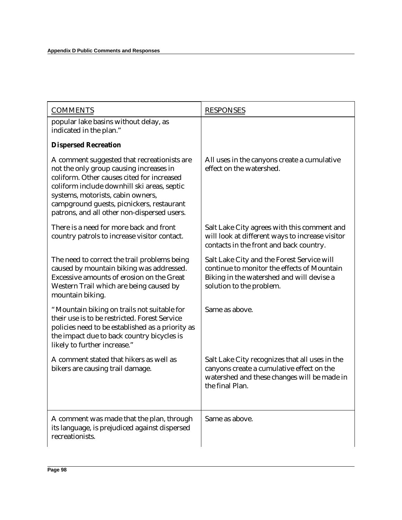| <b>COMMENTS</b>                                                                                                                                                                                                                                                                                                      | <b>RESPONSES</b>                                                                                                                                                   |
|----------------------------------------------------------------------------------------------------------------------------------------------------------------------------------------------------------------------------------------------------------------------------------------------------------------------|--------------------------------------------------------------------------------------------------------------------------------------------------------------------|
| popular lake basins without delay, as<br>indicated in the plan."                                                                                                                                                                                                                                                     |                                                                                                                                                                    |
| <b>Dispersed Recreation</b>                                                                                                                                                                                                                                                                                          |                                                                                                                                                                    |
| A comment suggested that recreationists are<br>not the only group causing increases in<br>coliform. Other causes cited for increased<br>coliform include downhill ski areas, septic<br>systems, motorists, cabin owners,<br>campground guests, picnickers, restaurant<br>patrons, and all other non-dispersed users. | All uses in the canyons create a cumulative<br>effect on the watershed.                                                                                            |
| There is a need for more back and front<br>country patrols to increase visitor contact.                                                                                                                                                                                                                              | Salt Lake City agrees with this comment and<br>will look at different ways to increase visitor<br>contacts in the front and back country.                          |
| The need to correct the trail problems being<br>caused by mountain biking was addressed.<br>Excessive amounts of erosion on the Great<br>Western Trail which are being caused by<br>mountain biking.                                                                                                                 | Salt Lake City and the Forest Service will<br>continue to monitor the effects of Mountain<br>Biking in the watershed and will devise a<br>solution to the problem. |
| "Mountain biking on trails not suitable for<br>their use is to be restricted. Forest Service<br>policies need to be established as a priority as<br>the impact due to back country bicycles is<br>likely to further increase."                                                                                       | Same as above.                                                                                                                                                     |
| A comment stated that hikers as well as<br>bikers are causing trail damage.                                                                                                                                                                                                                                          | Salt Lake City recognizes that all uses in the<br>canyons create a cumulative effect on the<br>watershed and these changes will be made in<br>the final Plan.      |
| A comment was made that the plan, through<br>its language, is prejudiced against dispersed<br>recreationists.                                                                                                                                                                                                        | Same as above.                                                                                                                                                     |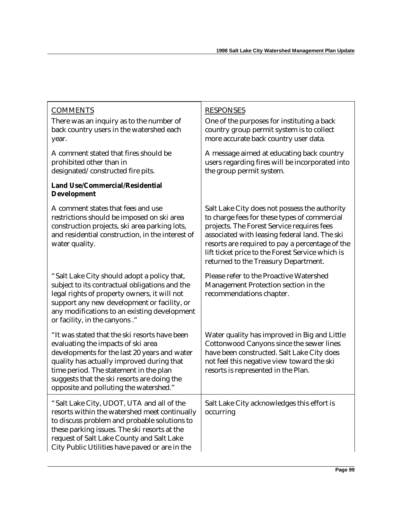| <b>COMMENTS</b><br>There was an inquiry as to the number of<br>back country users in the watershed each<br>year.                                                                                                                                                                                                    | <b>RESPONSES</b><br>One of the purposes for instituting a back<br>country group permit system is to collect<br>more accurate back country user data.                                                                                                                                                                                        |
|---------------------------------------------------------------------------------------------------------------------------------------------------------------------------------------------------------------------------------------------------------------------------------------------------------------------|---------------------------------------------------------------------------------------------------------------------------------------------------------------------------------------------------------------------------------------------------------------------------------------------------------------------------------------------|
| A comment stated that fires should be<br>prohibited other than in<br>designated/constructed fire pits.                                                                                                                                                                                                              | A message aimed at educating back country<br>users regarding fires will be incorporated into<br>the group permit system.                                                                                                                                                                                                                    |
| <b>Land Use/Commercial/Residential</b><br><b>Development</b>                                                                                                                                                                                                                                                        |                                                                                                                                                                                                                                                                                                                                             |
| A comment states that fees and use<br>restrictions should be imposed on ski area<br>construction projects, ski area parking lots,<br>and residential construction, in the interest of<br>water quality.                                                                                                             | Salt Lake City does not possess the authority<br>to charge fees for these types of commercial<br>projects. The Forest Service requires fees<br>associated with leasing federal land. The ski<br>resorts are required to pay a percentage of the<br>lift ticket price to the Forest Service which is<br>returned to the Treasury Department. |
| "Salt Lake City should adopt a policy that,<br>subject to its contractual obligations and the<br>legal rights of property owners, it will not<br>support any new development or facility, or<br>any modifications to an existing development<br>or facility, in the canyons."                                       | Please refer to the Proactive Watershed<br>Management Protection section in the<br>recommendations chapter.                                                                                                                                                                                                                                 |
| "It was stated that the ski resorts have been<br>evaluating the impacts of ski area<br>developments for the last 20 years and water<br>quality has actually improved during that<br>time period. The statement in the plan<br>suggests that the ski resorts are doing the<br>opposite and polluting the watershed." | Water quality has improved in Big and Little<br>Cottonwood Canyons since the sewer lines<br>have been constructed. Salt Lake City does<br>not feel this negative view toward the ski<br>resorts is represented in the Plan.                                                                                                                 |
| "Salt Lake City, UDOT, UTA and all of the<br>resorts within the watershed meet continually<br>to discuss problem and probable solutions to<br>these parking issues. The ski resorts at the<br>request of Salt Lake County and Salt Lake<br>City Public Utilities have paved or are in the                           | Salt Lake City acknowledges this effort is<br>occurring                                                                                                                                                                                                                                                                                     |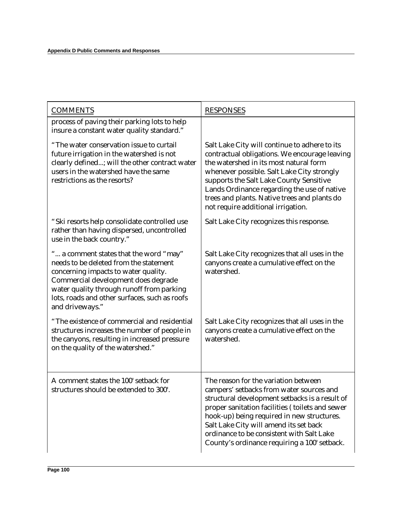| <b>COMMENTS</b>                                                                                                                                                                                                                                                                  | <b>RESPONSES</b>                                                                                                                                                                                                                                                                                                                                                           |
|----------------------------------------------------------------------------------------------------------------------------------------------------------------------------------------------------------------------------------------------------------------------------------|----------------------------------------------------------------------------------------------------------------------------------------------------------------------------------------------------------------------------------------------------------------------------------------------------------------------------------------------------------------------------|
| process of paving their parking lots to help<br>insure a constant water quality standard."                                                                                                                                                                                       |                                                                                                                                                                                                                                                                                                                                                                            |
| "The water conservation issue to curtail<br>future irrigation in the watershed is not<br>clearly defined; will the other contract water<br>users in the watershed have the same<br>restrictions as the resorts?                                                                  | Salt Lake City will continue to adhere to its<br>contractual obligations. We encourage leaving<br>the watershed in its most natural form<br>whenever possible. Salt Lake City strongly<br>supports the Salt Lake County Sensitive<br>Lands Ordinance regarding the use of native<br>trees and plants. Native trees and plants do<br>not require additional irrigation.     |
| "Ski resorts help consolidate controlled use<br>rather than having dispersed, uncontrolled<br>use in the back country."                                                                                                                                                          | Salt Lake City recognizes this response.                                                                                                                                                                                                                                                                                                                                   |
| " a comment states that the word "may"<br>needs to be deleted from the statement<br>concerning impacts to water quality.<br>Commercial development does degrade<br>water quality through runoff from parking<br>lots, roads and other surfaces, such as roofs<br>and driveways." | Salt Lake City recognizes that all uses in the<br>canyons create a cumulative effect on the<br>watershed.                                                                                                                                                                                                                                                                  |
| "The existence of commercial and residential<br>structures increases the number of people in<br>the canyons, resulting in increased pressure<br>on the quality of the watershed."                                                                                                | Salt Lake City recognizes that all uses in the<br>canyons create a cumulative effect on the<br>watershed.                                                                                                                                                                                                                                                                  |
| A comment states the 100' setback for<br>structures should be extended to 300'.                                                                                                                                                                                                  | The reason for the variation between<br>campers' setbacks from water sources and<br>structural development setbacks is a result of<br>proper sanitation facilities (toilets and sewer<br>hook-up) being required in new structures.<br>Salt Lake City will amend its set back<br>ordinance to be consistent with Salt Lake<br>County's ordinance requiring a 100' setback. |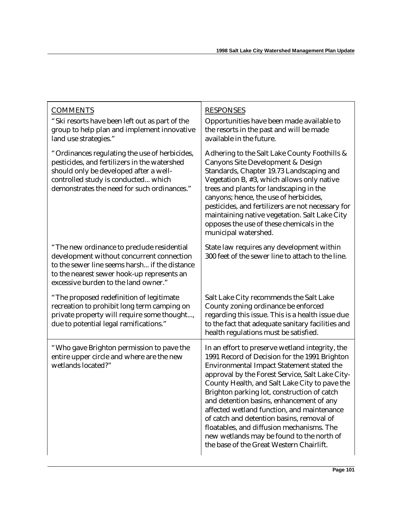| <b>COMMENTS</b><br>"Ski resorts have been left out as part of the<br>group to help plan and implement innovative<br>land use strategies."                                                                                      | <b>RESPONSES</b><br>Opportunities have been made available to<br>the resorts in the past and will be made<br>available in the future.                                                                                                                                                                                                                                                                                                                                                                                                                                         |
|--------------------------------------------------------------------------------------------------------------------------------------------------------------------------------------------------------------------------------|-------------------------------------------------------------------------------------------------------------------------------------------------------------------------------------------------------------------------------------------------------------------------------------------------------------------------------------------------------------------------------------------------------------------------------------------------------------------------------------------------------------------------------------------------------------------------------|
| "Ordinances regulating the use of herbicides,<br>pesticides, and fertilizers in the watershed<br>should only be developed after a well-<br>controlled study is conducted which<br>demonstrates the need for such ordinances."  | Adhering to the Salt Lake County Foothills &<br><b>Canyons Site Development &amp; Design</b><br>Standards, Chapter 19.73 Landscaping and<br>Vegetation B, #3, which allows only native<br>trees and plants for landscaping in the<br>canyons; hence, the use of herbicides,<br>pesticides, and fertilizers are not necessary for<br>maintaining native vegetation. Salt Lake City<br>opposes the use of these chemicals in the<br>municipal watershed.                                                                                                                        |
| "The new ordinance to preclude residential<br>development without concurrent connection<br>to the sewer line seems harsh if the distance<br>to the nearest sewer hook-up represents an<br>excessive burden to the land owner." | State law requires any development within<br>300 feet of the sewer line to attach to the line.                                                                                                                                                                                                                                                                                                                                                                                                                                                                                |
| "The proposed redefinition of legitimate<br>recreation to prohibit long term camping on<br>private property will require some thought,<br>due to potential legal ramifications."                                               | Salt Lake City recommends the Salt Lake<br>County zoning ordinance be enforced<br>regarding this issue. This is a health issue due<br>to the fact that adequate sanitary facilities and<br>health regulations must be satisfied.                                                                                                                                                                                                                                                                                                                                              |
| "Who gave Brighton permission to pave the<br>entire upper circle and where are the new<br>wetlands located?"                                                                                                                   | In an effort to preserve wetland integrity, the<br>1991 Record of Decision for the 1991 Brighton<br>Environmental Impact Statement stated the<br>approval by the Forest Service, Salt Lake City-<br>County Health, and Salt Lake City to pave the<br>Brighton parking lot, construction of catch<br>and detention basins, enhancement of any<br>affected wetland function, and maintenance<br>of catch and detention basins, removal of<br>floatables, and diffusion mechanisms. The<br>new wetlands may be found to the north of<br>the base of the Great Western Chairlift. |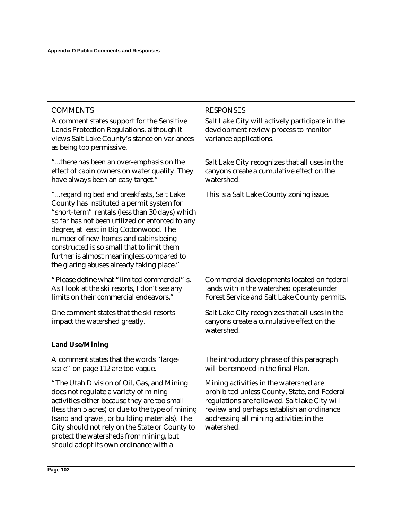| <b>COMMENTS</b><br>A comment states support for the Sensitive<br>Lands Protection Regulations, although it<br>views Salt Lake County's stance on variances<br>as being too permissive.                                                                                                                                                                                                                                 | <b>RESPONSES</b><br>Salt Lake City will actively participate in the<br>development review process to monitor<br>variance applications.                                                                                                        |
|------------------------------------------------------------------------------------------------------------------------------------------------------------------------------------------------------------------------------------------------------------------------------------------------------------------------------------------------------------------------------------------------------------------------|-----------------------------------------------------------------------------------------------------------------------------------------------------------------------------------------------------------------------------------------------|
| "there has been an over-emphasis on the<br>effect of cabin owners on water quality. They<br>have always been an easy target."                                                                                                                                                                                                                                                                                          | Salt Lake City recognizes that all uses in the<br>canyons create a cumulative effect on the<br>watershed.                                                                                                                                     |
| " regarding bed and breakfasts, Salt Lake<br>County has instituted a permit system for<br>"short-term" rentals (less than 30 days) which<br>so far has not been utilized or enforced to any<br>degree, at least in Big Cottonwood. The<br>number of new homes and cabins being<br>constructed is so small that to limit them<br>further is almost meaningless compared to<br>the glaring abuses already taking place." | This is a Salt Lake County zoning issue.                                                                                                                                                                                                      |
| "Please define what "limited commercial" is.<br>As I look at the ski resorts, I don't see any<br>limits on their commercial endeavors."                                                                                                                                                                                                                                                                                | Commercial developments located on federal<br>lands within the watershed operate under<br>Forest Service and Salt Lake County permits.                                                                                                        |
| One comment states that the ski resorts<br>impact the watershed greatly.                                                                                                                                                                                                                                                                                                                                               | Salt Lake City recognizes that all uses in the<br>canyons create a cumulative effect on the<br>watershed.                                                                                                                                     |
| <b>Land Use/Mining</b>                                                                                                                                                                                                                                                                                                                                                                                                 |                                                                                                                                                                                                                                               |
| A comment states that the words "large-<br>scale" on page 112 are too vague.                                                                                                                                                                                                                                                                                                                                           | The introductory phrase of this paragraph<br>will be removed in the final Plan.                                                                                                                                                               |
| "The Utah Division of Oil, Gas, and Mining<br>does not regulate a variety of mining<br>activities either because they are too small<br>(less than 5 acres) or due to the type of mining<br>(sand and gravel, or building materials). The<br>City should not rely on the State or County to<br>protect the watersheds from mining, but<br>should adopt its own ordinance with a                                         | Mining activities in the watershed are<br>prohibited unless County, State, and Federal<br>regulations are followed. Salt lake City will<br>review and perhaps establish an ordinance<br>addressing all mining activities in the<br>watershed. |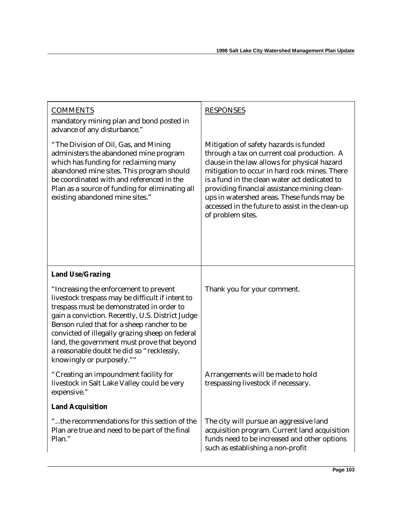| <b>COMMENTS</b><br>mandatory mining plan and bond posted in<br>advance of any disturbance."                                                                                                                                                                                                                                                                                                                            | <b>RESPONSES</b>                                                                                                                                                                                                                                                                                                                                                                                               |
|------------------------------------------------------------------------------------------------------------------------------------------------------------------------------------------------------------------------------------------------------------------------------------------------------------------------------------------------------------------------------------------------------------------------|----------------------------------------------------------------------------------------------------------------------------------------------------------------------------------------------------------------------------------------------------------------------------------------------------------------------------------------------------------------------------------------------------------------|
| "The Division of Oil, Gas, and Mining<br>administers the abandoned mine program<br>which has funding for reclaiming many<br>abandoned mine sites. This program should<br>be coordinated with and referenced in the<br>Plan as a source of funding for eliminating all<br>existing abandoned mine sites."                                                                                                               | Mitigation of safety hazards is funded<br>through a tax on current coal production. A<br>clause in the law allows for physical hazard<br>mitigation to occur in hard rock mines. There<br>is a fund in the clean water act dedicated to<br>providing financial assistance mining clean-<br>ups in watershed areas. These funds may be<br>accessed in the future to assist in the clean-up<br>of problem sites. |
| <b>Land Use/Grazing</b>                                                                                                                                                                                                                                                                                                                                                                                                |                                                                                                                                                                                                                                                                                                                                                                                                                |
| "Increasing the enforcement to prevent<br>livestock trespass may be difficult if intent to<br>trespass must be demonstrated in order to<br>gain a conviction. Recently, U.S. District Judge<br>Benson ruled that for a sheep rancher to be<br>convicted of illegally grazing sheep on federal<br>land, the government must prove that beyond<br>a reasonable doubt he did so "recklessly,<br>knowingly or purposely."" | Thank you for your comment.                                                                                                                                                                                                                                                                                                                                                                                    |
| "Creating an impoundment facility for<br>livestock in Salt Lake Valley could be very<br>expensive."                                                                                                                                                                                                                                                                                                                    | Arrangements will be made to hold<br>trespassing livestock if necessary.                                                                                                                                                                                                                                                                                                                                       |
| <b>Land Acquisition</b>                                                                                                                                                                                                                                                                                                                                                                                                |                                                                                                                                                                                                                                                                                                                                                                                                                |
| "the recommendations for this section of the<br>Plan are true and need to be part of the final<br>Plan."                                                                                                                                                                                                                                                                                                               | The city will pursue an aggressive land<br>acquisition program. Current land acquisition<br>funds need to be increased and other options<br>such as establishing a non-profit                                                                                                                                                                                                                                  |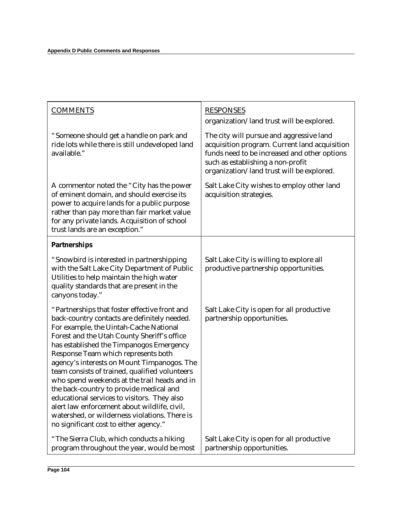| <b>COMMENTS</b>                                                                                                                                                                                                                                                                                                                                                                                                                                                                                                                                                                                                                                                 | <b>RESPONSES</b><br>organization/land trust will be explored.                                                                                                                                                               |
|-----------------------------------------------------------------------------------------------------------------------------------------------------------------------------------------------------------------------------------------------------------------------------------------------------------------------------------------------------------------------------------------------------------------------------------------------------------------------------------------------------------------------------------------------------------------------------------------------------------------------------------------------------------------|-----------------------------------------------------------------------------------------------------------------------------------------------------------------------------------------------------------------------------|
| "Someone should get a handle on park and<br>ride lots while there is still undeveloped land<br>available."                                                                                                                                                                                                                                                                                                                                                                                                                                                                                                                                                      | The city will pursue and aggressive land<br>acquisition program. Current land acquisition<br>funds need to be increased and other options<br>such as establishing a non-profit<br>organization/land trust will be explored. |
| A commentor noted the "City has the power<br>of eminent domain, and should exercise its<br>power to acquire lands for a public purpose<br>rather than pay more than fair market value<br>for any private lands. Acquisition of school<br>trust lands are an exception."                                                                                                                                                                                                                                                                                                                                                                                         | Salt Lake City wishes to employ other land<br>acquisition strategies.                                                                                                                                                       |
| <b>Partnerships</b>                                                                                                                                                                                                                                                                                                                                                                                                                                                                                                                                                                                                                                             |                                                                                                                                                                                                                             |
| "Snowbird is interested in partnershipping<br>with the Salt Lake City Department of Public<br>Utilities to help maintain the high water<br>quality standards that are present in the<br>canyons today."                                                                                                                                                                                                                                                                                                                                                                                                                                                         | Salt Lake City is willing to explore all<br>productive partnership opportunities.                                                                                                                                           |
| "Partnerships that foster effective front and<br>back-country contacts are definitely needed.<br>For example, the Uintah-Cache National<br>Forest and the Utah County Sheriff's office<br>has established the Timpanogos Emergency<br>Response Team which represents both<br>agency's interests on Mount Timpanogos. The<br>team consists of trained, qualified volunteers<br>who spend weekends at the trail heads and in<br>the back-country to provide medical and<br>educational services to visitors. They also<br>alert law enforcement about wildlife, civil,<br>watershed, or wilderness violations. There is<br>no significant cost to either agency." | Salt Lake City is open for all productive<br>partnership opportunities.                                                                                                                                                     |
| "The Sierra Club, which conducts a hiking<br>program throughout the year, would be most                                                                                                                                                                                                                                                                                                                                                                                                                                                                                                                                                                         | Salt Lake City is open for all productive<br>partnership opportunities.                                                                                                                                                     |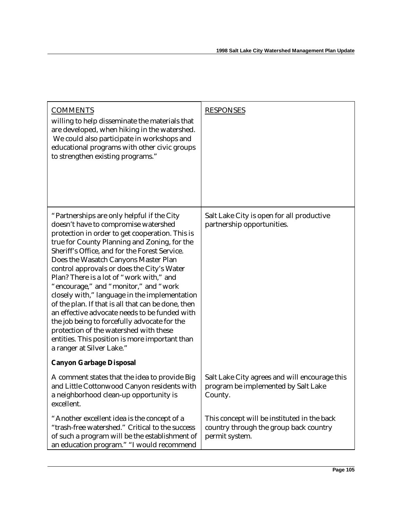| <b>COMMENTS</b><br>willing to help disseminate the materials that<br>are developed, when hiking in the watershed.<br>We could also participate in workshops and<br>educational programs with other civic groups<br>to strengthen existing programs."                                                                                                                                                                                                                                                                                                                                                                                                                                                                                               | <b>RESPONSES</b>                                                                                        |
|----------------------------------------------------------------------------------------------------------------------------------------------------------------------------------------------------------------------------------------------------------------------------------------------------------------------------------------------------------------------------------------------------------------------------------------------------------------------------------------------------------------------------------------------------------------------------------------------------------------------------------------------------------------------------------------------------------------------------------------------------|---------------------------------------------------------------------------------------------------------|
| "Partnerships are only helpful if the City<br>doesn't have to compromise watershed<br>protection in order to get cooperation. This is<br>true for County Planning and Zoning, for the<br>Sheriff's Office, and for the Forest Service.<br>Does the Wasatch Canyons Master Plan<br>control approvals or does the City's Water<br>Plan? There is a lot of "work with," and<br>"encourage," and "monitor," and "work<br>closely with," language in the implementation<br>of the plan. If that is all that can be done, then<br>an effective advocate needs to be funded with<br>the job being to forcefully advocate for the<br>protection of the watershed with these<br>entities. This position is more important than<br>a ranger at Silver Lake." | Salt Lake City is open for all productive<br>partnership opportunities.                                 |
| <b>Canyon Garbage Disposal</b>                                                                                                                                                                                                                                                                                                                                                                                                                                                                                                                                                                                                                                                                                                                     |                                                                                                         |
| A comment states that the idea to provide Big<br>and Little Cottonwood Canyon residents with<br>a neighborhood clean-up opportunity is<br>excellent.                                                                                                                                                                                                                                                                                                                                                                                                                                                                                                                                                                                               | Salt Lake City agrees and will encourage this<br>program be implemented by Salt Lake<br>County.         |
| "Another excellent idea is the concept of a<br>"trash-free watershed." Critical to the success<br>of such a program will be the establishment of<br>an education program." "I would recommend                                                                                                                                                                                                                                                                                                                                                                                                                                                                                                                                                      | This concept will be instituted in the back<br>country through the group back country<br>permit system. |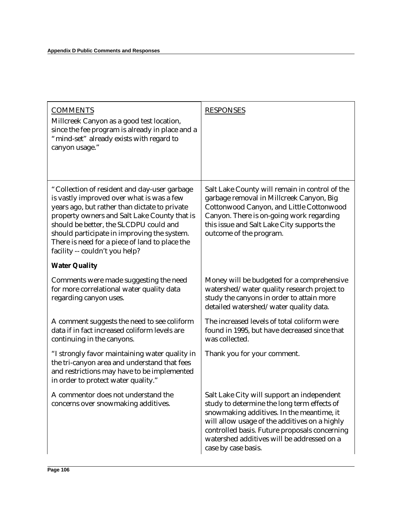| <b>COMMENTS</b><br>Millcreek Canyon as a good test location,<br>since the fee program is already in place and a<br>"mind-set" already exists with regard to<br>canyon usage."                                                                                                                                                                                           | <b>RESPONSES</b>                                                                                                                                                                                                                                                                                              |
|-------------------------------------------------------------------------------------------------------------------------------------------------------------------------------------------------------------------------------------------------------------------------------------------------------------------------------------------------------------------------|---------------------------------------------------------------------------------------------------------------------------------------------------------------------------------------------------------------------------------------------------------------------------------------------------------------|
| "Collection of resident and day-user garbage<br>is vastly improved over what is was a few<br>years ago, but rather than dictate to private<br>property owners and Salt Lake County that is<br>should be better, the SLCDPU could and<br>should participate in improving the system.<br>There is need for a piece of land to place the<br>facility -- couldn't you help? | Salt Lake County will remain in control of the<br>garbage removal in Millcreek Canyon, Big<br>Cottonwood Canyon, and Little Cottonwood<br>Canyon. There is on-going work regarding<br>this issue and Salt Lake City supports the<br>outcome of the program.                                                   |
| <b>Water Quality</b>                                                                                                                                                                                                                                                                                                                                                    |                                                                                                                                                                                                                                                                                                               |
| Comments were made suggesting the need<br>for more correlational water quality data<br>regarding canyon uses.                                                                                                                                                                                                                                                           | Money will be budgeted for a comprehensive<br>watershed/water quality research project to<br>study the canyons in order to attain more<br>detailed watershed/water quality data.                                                                                                                              |
| A comment suggests the need to see coliform<br>data if in fact increased coliform levels are<br>continuing in the canyons.                                                                                                                                                                                                                                              | The increased levels of total coliform were<br>found in 1995, but have decreased since that<br>was collected.                                                                                                                                                                                                 |
| "I strongly favor maintaining water quality in<br>the tri-canyon area and understand that fees<br>and restrictions may have to be implemented<br>in order to protect water quality."                                                                                                                                                                                    | Thank you for your comment.                                                                                                                                                                                                                                                                                   |
| A commentor does not understand the<br>concerns over snowmaking additives.                                                                                                                                                                                                                                                                                              | Salt Lake City will support an independent<br>study to determine the long term effects of<br>snowmaking additives. In the meantime, it<br>will allow usage of the additives on a highly<br>controlled basis. Future proposals concerning<br>watershed additives will be addressed on a<br>case by case basis. |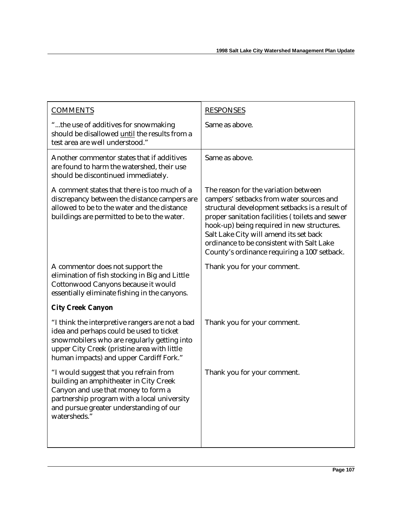| <b>COMMENTS</b>                                                                                                                                                                                                                      | <b>RESPONSES</b>                                                                                                                                                                                                                                                                                                                                                           |
|--------------------------------------------------------------------------------------------------------------------------------------------------------------------------------------------------------------------------------------|----------------------------------------------------------------------------------------------------------------------------------------------------------------------------------------------------------------------------------------------------------------------------------------------------------------------------------------------------------------------------|
| "the use of additives for snowmaking<br>should be disallowed until the results from a<br>test area are well understood."                                                                                                             | Same as above.                                                                                                                                                                                                                                                                                                                                                             |
| Another commentor states that if additives<br>are found to harm the watershed, their use<br>should be discontinued immediately.                                                                                                      | Same as above.                                                                                                                                                                                                                                                                                                                                                             |
| A comment states that there is too much of a<br>discrepancy between the distance campers are<br>allowed to be to the water and the distance<br>buildings are permitted to be to the water.                                           | The reason for the variation between<br>campers' setbacks from water sources and<br>structural development setbacks is a result of<br>proper sanitation facilities (toilets and sewer<br>hook-up) being required in new structures.<br>Salt Lake City will amend its set back<br>ordinance to be consistent with Salt Lake<br>County's ordinance requiring a 100' setback. |
| A commentor does not support the<br>elimination of fish stocking in Big and Little<br>Cottonwood Canyons because it would<br>essentially eliminate fishing in the canyons.                                                           | Thank you for your comment.                                                                                                                                                                                                                                                                                                                                                |
| <b>City Creek Canyon</b>                                                                                                                                                                                                             |                                                                                                                                                                                                                                                                                                                                                                            |
| "I think the interpretive rangers are not a bad<br>idea and perhaps could be used to ticket<br>snowmobilers who are regularly getting into<br>upper City Creek (pristine area with little<br>human impacts) and upper Cardiff Fork." | Thank you for your comment.                                                                                                                                                                                                                                                                                                                                                |
| "I would suggest that you refrain from<br>building an amphitheater in City Creek<br>Canyon and use that money to form a<br>partnership program with a local university<br>and pursue greater understanding of our<br>watersheds."    | Thank you for your comment.                                                                                                                                                                                                                                                                                                                                                |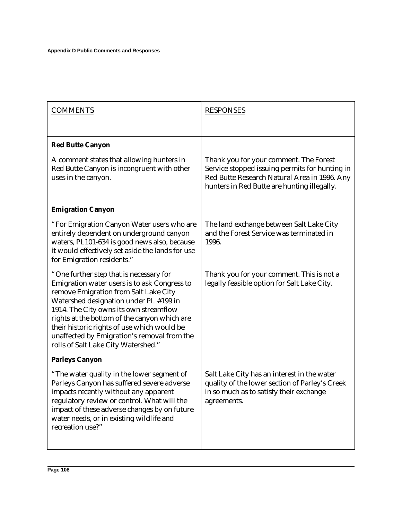| <b>COMMENTS</b>                                                                                                                                                                                                                                                                                                                                                                                           | <b>RESPONSES</b>                                                                                                                                                                        |
|-----------------------------------------------------------------------------------------------------------------------------------------------------------------------------------------------------------------------------------------------------------------------------------------------------------------------------------------------------------------------------------------------------------|-----------------------------------------------------------------------------------------------------------------------------------------------------------------------------------------|
| <b>Red Butte Canyon</b>                                                                                                                                                                                                                                                                                                                                                                                   |                                                                                                                                                                                         |
| A comment states that allowing hunters in<br>Red Butte Canyon is incongruent with other<br>uses in the canyon.                                                                                                                                                                                                                                                                                            | Thank you for your comment. The Forest<br>Service stopped issuing permits for hunting in<br>Red Butte Research Natural Area in 1996. Any<br>hunters in Red Butte are hunting illegally. |
| <b>Emigration Canyon</b>                                                                                                                                                                                                                                                                                                                                                                                  |                                                                                                                                                                                         |
| "For Emigration Canyon Water users who are<br>entirely dependent on underground canyon<br>waters, PL101-634 is good news also, because<br>it would effectively set aside the lands for use<br>for Emigration residents."                                                                                                                                                                                  | The land exchange between Salt Lake City<br>and the Forest Service was terminated in<br>1996.                                                                                           |
| "One further step that is necessary for<br>Emigration water users is to ask Congress to<br>remove Emigration from Salt Lake City<br>Watershed designation under PL #199 in<br>1914. The City owns its own streamflow<br>rights at the bottom of the canyon which are<br>their historic rights of use which would be<br>unaffected by Emigration's removal from the<br>rolls of Salt Lake City Watershed." | Thank you for your comment. This is not a<br>legally feasible option for Salt Lake City.                                                                                                |
| <b>Parleys Canyon</b>                                                                                                                                                                                                                                                                                                                                                                                     |                                                                                                                                                                                         |
| "The water quality in the lower segment of<br>Parleys Canyon has suffered severe adverse<br>impacts recently without any apparent<br>regulatory review or control. What will the<br>impact of these adverse changes by on future<br>water needs, or in existing wildlife and<br>recreation use?"                                                                                                          | Salt Lake City has an interest in the water<br>quality of the lower section of Parley's Creek<br>in so much as to satisfy their exchange<br>agreements.                                 |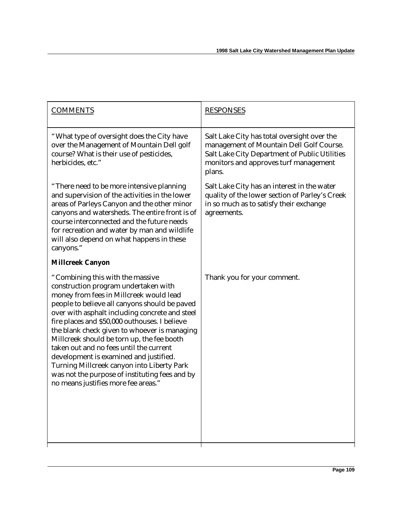| <b>COMMENTS</b>                                                                                                                                                                                                                                                                                                                                                                                                                                                                                                                                                                                   | <b>RESPONSES</b>                                                                                                                                                                            |
|---------------------------------------------------------------------------------------------------------------------------------------------------------------------------------------------------------------------------------------------------------------------------------------------------------------------------------------------------------------------------------------------------------------------------------------------------------------------------------------------------------------------------------------------------------------------------------------------------|---------------------------------------------------------------------------------------------------------------------------------------------------------------------------------------------|
| "What type of oversight does the City have<br>over the Management of Mountain Dell golf<br>course? What is their use of pesticides,<br>herbicides, etc."                                                                                                                                                                                                                                                                                                                                                                                                                                          | Salt Lake City has total oversight over the<br>management of Mountain Dell Golf Course.<br>Salt Lake City Department of Public Utilities<br>monitors and approves turf management<br>plans. |
| "There need to be more intensive planning<br>and supervision of the activities in the lower<br>areas of Parleys Canyon and the other minor<br>canyons and watersheds. The entire front is of<br>course interconnected and the future needs<br>for recreation and water by man and wildlife<br>will also depend on what happens in these<br>canyons."                                                                                                                                                                                                                                              | Salt Lake City has an interest in the water<br>quality of the lower section of Parley's Creek<br>in so much as to satisfy their exchange<br>agreements.                                     |
| <b>Millcreek Canyon</b>                                                                                                                                                                                                                                                                                                                                                                                                                                                                                                                                                                           |                                                                                                                                                                                             |
| "Combining this with the massive<br>construction program undertaken with<br>money from fees in Millcreek would lead<br>people to believe all canyons should be paved<br>over with asphalt including concrete and steel<br>fire places and \$50,000 outhouses. I believe<br>the blank check given to whoever is managing<br>Millcreek should be torn up, the fee booth<br>taken out and no fees until the current<br>development is examined and justified.<br>Turning Millcreek canyon into Liberty Park<br>was not the purpose of instituting fees and by<br>no means justifies more fee areas." | Thank you for your comment.                                                                                                                                                                 |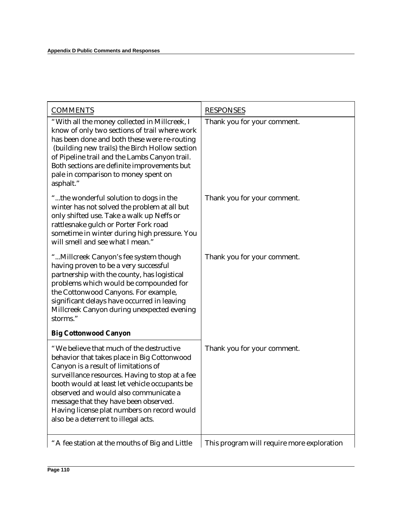| <b>COMMENTS</b>                                                                                                                                                                                                                                                                                                                                                                                              | <b>RESPONSES</b>                           |
|--------------------------------------------------------------------------------------------------------------------------------------------------------------------------------------------------------------------------------------------------------------------------------------------------------------------------------------------------------------------------------------------------------------|--------------------------------------------|
| "With all the money collected in Millcreek, I<br>know of only two sections of trail where work<br>has been done and both these were re-routing<br>(building new trails) the Birch Hollow section<br>of Pipeline trail and the Lambs Canyon trail.<br>Both sections are definite improvements but<br>pale in comparison to money spent on<br>asphalt."                                                        | Thank you for your comment.                |
| "the wonderful solution to dogs in the<br>winter has not solved the problem at all but<br>only shifted use. Take a walk up Neffs or<br>rattlesnake gulch or Porter Fork road<br>sometime in winter during high pressure. You<br>will smell and see what I mean."                                                                                                                                             | Thank you for your comment.                |
| "Millcreek Canyon's fee system though<br>having proven to be a very successful<br>partnership with the county, has logistical<br>problems which would be compounded for<br>the Cottonwood Canyons. For example,<br>significant delays have occurred in leaving<br>Millcreek Canyon during unexpected evening<br>storms."                                                                                     | Thank you for your comment.                |
| <b>Big Cottonwood Canyon</b>                                                                                                                                                                                                                                                                                                                                                                                 |                                            |
| "We believe that much of the destructive<br>behavior that takes place in Big Cottonwood<br>Canyon is a result of limitations of<br>surveillance resources. Having to stop at a fee<br>booth would at least let vehicle occupants be<br>observed and would also communicate a<br>message that they have been observed.<br>Having license plat numbers on record would<br>also be a deterrent to illegal acts. | Thank you for your comment.                |
| "A fee station at the mouths of Big and Little                                                                                                                                                                                                                                                                                                                                                               | This program will require more exploration |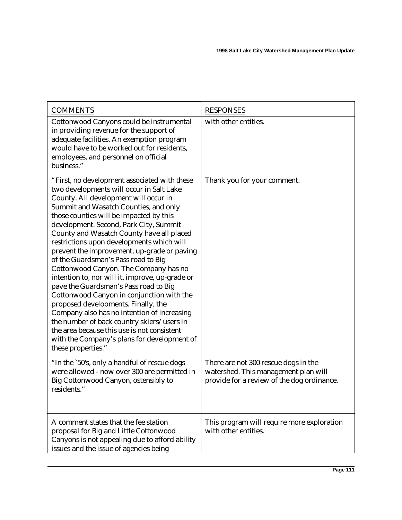| <b>COMMENTS</b>                                                                                                                                                                                                                                                                                                                                                                                                                                                                                                                                                                                                                                                                                                                                                                                                                                                                           | <b>RESPONSES</b>                                                                                                           |
|-------------------------------------------------------------------------------------------------------------------------------------------------------------------------------------------------------------------------------------------------------------------------------------------------------------------------------------------------------------------------------------------------------------------------------------------------------------------------------------------------------------------------------------------------------------------------------------------------------------------------------------------------------------------------------------------------------------------------------------------------------------------------------------------------------------------------------------------------------------------------------------------|----------------------------------------------------------------------------------------------------------------------------|
| Cottonwood Canyons could be instrumental<br>in providing revenue for the support of<br>adequate facilities. An exemption program<br>would have to be worked out for residents,<br>employees, and personnel on official<br>business."                                                                                                                                                                                                                                                                                                                                                                                                                                                                                                                                                                                                                                                      | with other entities.                                                                                                       |
| "First, no development associated with these<br>two developments will occur in Salt Lake<br>County. All development will occur in<br>Summit and Wasatch Counties, and only<br>those counties will be impacted by this<br>development. Second, Park City, Summit<br>County and Wasatch County have all placed<br>restrictions upon developments which will<br>prevent the improvement, up-grade or paving<br>of the Guardsman's Pass road to Big<br>Cottonwood Canyon. The Company has no<br>intention to, nor will it, improve, up-grade or<br>pave the Guardsman's Pass road to Big<br>Cottonwood Canyon in conjunction with the<br>proposed developments. Finally, the<br>Company also has no intention of increasing<br>the number of back country skiers/users in<br>the area because this use is not consistent<br>with the Company's plans for development of<br>these properties." | Thank you for your comment.                                                                                                |
| "In the `50's, only a handful of rescue dogs<br>were allowed - now over 300 are permitted in<br>Big Cottonwood Canyon, ostensibly to<br>residents."                                                                                                                                                                                                                                                                                                                                                                                                                                                                                                                                                                                                                                                                                                                                       | There are not 300 rescue dogs in the<br>watershed. This management plan will<br>provide for a review of the dog ordinance. |
| A comment states that the fee station<br>proposal for Big and Little Cottonwood<br>Canyons is not appealing due to afford ability<br>issues and the issue of agencies being                                                                                                                                                                                                                                                                                                                                                                                                                                                                                                                                                                                                                                                                                                               | This program will require more exploration<br>with other entities.                                                         |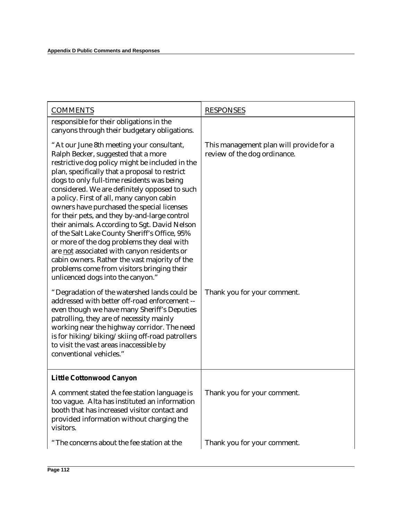| <b>COMMENTS</b>                                                                                                                                                                                                                                                                                                                                                                                                                                                                                                                                                                                                                                                                                                                                                     | <b>RESPONSES</b>                                                        |
|---------------------------------------------------------------------------------------------------------------------------------------------------------------------------------------------------------------------------------------------------------------------------------------------------------------------------------------------------------------------------------------------------------------------------------------------------------------------------------------------------------------------------------------------------------------------------------------------------------------------------------------------------------------------------------------------------------------------------------------------------------------------|-------------------------------------------------------------------------|
| responsible for their obligations in the<br>canyons through their budgetary obligations.                                                                                                                                                                                                                                                                                                                                                                                                                                                                                                                                                                                                                                                                            |                                                                         |
| "At our June 8th meeting your consultant,<br>Ralph Becker, suggested that a more<br>restrictive dog policy might be included in the<br>plan, specifically that a proposal to restrict<br>dogs to only full-time residents was being<br>considered. We are definitely opposed to such<br>a policy. First of all, many canyon cabin<br>owners have purchased the special licenses<br>for their pets, and they by-and-large control<br>their animals. According to Sgt. David Nelson<br>of the Salt Lake County Sheriff's Office, 95%<br>or more of the dog problems they deal with<br>are not associated with canyon residents or<br>cabin owners. Rather the vast majority of the<br>problems come from visitors bringing their<br>unlicenced dogs into the canyon." | This management plan will provide for a<br>review of the dog ordinance. |
| "Degradation of the watershed lands could be<br>addressed with better off-road enforcement --<br>even though we have many Sheriff's Deputies<br>patrolling, they are of necessity mainly<br>working near the highway corridor. The need<br>is for hiking/biking/skiing off-road patrollers<br>to visit the vast areas inaccessible by<br>conventional vehicles."                                                                                                                                                                                                                                                                                                                                                                                                    | Thank you for your comment.                                             |
| <b>Little Cottonwood Canyon</b>                                                                                                                                                                                                                                                                                                                                                                                                                                                                                                                                                                                                                                                                                                                                     |                                                                         |
| A comment stated the fee station language is<br>too vague. Alta has instituted an information<br>booth that has increased visitor contact and<br>provided information without charging the<br>visitors.                                                                                                                                                                                                                                                                                                                                                                                                                                                                                                                                                             | Thank you for your comment.                                             |
| "The concerns about the fee station at the                                                                                                                                                                                                                                                                                                                                                                                                                                                                                                                                                                                                                                                                                                                          | Thank you for your comment.                                             |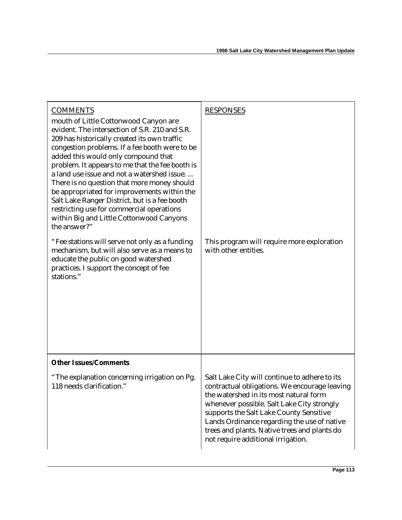| <b>COMMENTS</b><br>mouth of Little Cottonwood Canyon are<br>evident. The intersection of S.R. 210 and S.R.<br>209 has historically created its own traffic                                                                                                                                                                                                                                                                                      | <b>RESPONSES</b>                                                                                                                                                                                                                                                                                                                                                       |
|-------------------------------------------------------------------------------------------------------------------------------------------------------------------------------------------------------------------------------------------------------------------------------------------------------------------------------------------------------------------------------------------------------------------------------------------------|------------------------------------------------------------------------------------------------------------------------------------------------------------------------------------------------------------------------------------------------------------------------------------------------------------------------------------------------------------------------|
| congestion problems. If a fee booth were to be<br>added this would only compound that<br>problem. It appears to me that the fee booth is<br>a land use issue and not a watershed issue.<br>There is no question that more money should<br>be appropriated for improvements within the<br>Salt Lake Ranger District, but is a fee booth<br>restricting use for commercial operations<br>within Big and Little Cottonwood Canyons<br>the answer?" |                                                                                                                                                                                                                                                                                                                                                                        |
| "Fee stations will serve not only as a funding<br>mechanism, but will also serve as a means to<br>educate the public on good watershed<br>practices. I support the concept of fee<br>stations."                                                                                                                                                                                                                                                 | This program will require more exploration<br>with other entities.                                                                                                                                                                                                                                                                                                     |
| <b>Other Issues/Comments</b>                                                                                                                                                                                                                                                                                                                                                                                                                    |                                                                                                                                                                                                                                                                                                                                                                        |
| "The explanation concerning irrigation on Pg.<br>118 needs clarification."                                                                                                                                                                                                                                                                                                                                                                      | Salt Lake City will continue to adhere to its<br>contractual obligations. We encourage leaving<br>the watershed in its most natural form<br>whenever possible. Salt Lake City strongly<br>supports the Salt Lake County Sensitive<br>Lands Ordinance regarding the use of native<br>trees and plants. Native trees and plants do<br>not require additional irrigation. |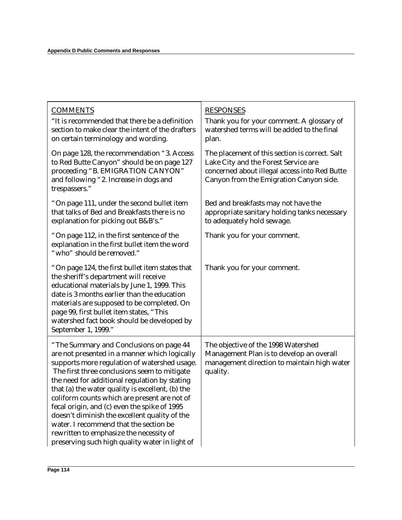| <b>COMMENTS</b><br>"It is recommended that there be a definition<br>section to make clear the intent of the drafters<br>on certain terminology and wording.                                                                                                                                                                                                                                                                                                                                                                                                                           | <b>RESPONSES</b><br>Thank you for your comment. A glossary of<br>watershed terms will be added to the final<br>plan.                                                               |
|---------------------------------------------------------------------------------------------------------------------------------------------------------------------------------------------------------------------------------------------------------------------------------------------------------------------------------------------------------------------------------------------------------------------------------------------------------------------------------------------------------------------------------------------------------------------------------------|------------------------------------------------------------------------------------------------------------------------------------------------------------------------------------|
| On page 128, the recommendation "3. Access"<br>to Red Butte Canyon" should be on page 127<br>proceeding "B. EMIGRATION CANYON"<br>and following "2. Increase in dogs and<br>trespassers."                                                                                                                                                                                                                                                                                                                                                                                             | The placement of this section is correct. Salt<br>Lake City and the Forest Service are<br>concerned about illegal access into Red Butte<br>Canyon from the Emigration Canyon side. |
| "On page 111, under the second bullet item<br>that talks of Bed and Breakfasts there is no<br>explanation for picking out B&B's."                                                                                                                                                                                                                                                                                                                                                                                                                                                     | Bed and breakfasts may not have the<br>appropriate sanitary holding tanks necessary<br>to adequately hold sewage.                                                                  |
| "On page 112, in the first sentence of the<br>explanation in the first bullet item the word<br>"who" should be removed."                                                                                                                                                                                                                                                                                                                                                                                                                                                              | Thank you for your comment.                                                                                                                                                        |
| "On page 124, the first bullet item states that<br>the sheriff's department will receive<br>educational materials by June 1, 1999. This<br>date is 3 months earlier than the education<br>materials are supposed to be completed. On<br>page 99, first bullet item states, "This<br>watershed fact book should be developed by<br>September 1, 1999."                                                                                                                                                                                                                                 | Thank you for your comment.                                                                                                                                                        |
| "The Summary and Conclusions on page 44<br>are not presented in a manner which logically<br>supports more regulation of watershed usage.<br>The first three conclusions seem to mitigate<br>the need for additional regulation by stating<br>that (a) the water quality is excellent, (b) the<br>coliform counts which are present are not of<br>fecal origin, and (c) even the spike of 1995<br>doesn't diminish the excellent quality of the<br>water. I recommend that the section be<br>rewritten to emphasize the necessity of<br>preserving such high quality water in light of | The objective of the 1998 Watershed<br>Management Plan is to develop an overall<br>management direction to maintain high water<br>quality.                                         |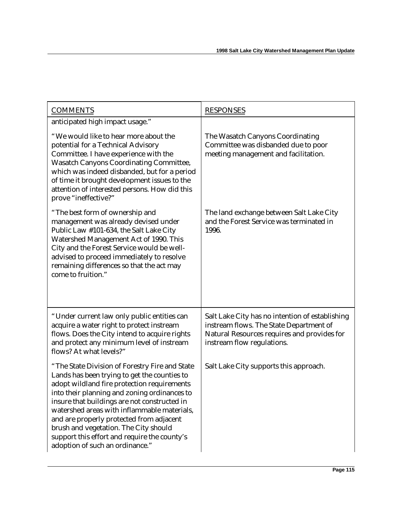| <b>COMMENTS</b>                                                                                                                                                                                                                                                                                                                                                                                                                                                      | <b>RESPONSES</b>                                                                                                                                                        |
|----------------------------------------------------------------------------------------------------------------------------------------------------------------------------------------------------------------------------------------------------------------------------------------------------------------------------------------------------------------------------------------------------------------------------------------------------------------------|-------------------------------------------------------------------------------------------------------------------------------------------------------------------------|
| anticipated high impact usage."                                                                                                                                                                                                                                                                                                                                                                                                                                      |                                                                                                                                                                         |
| "We would like to hear more about the<br>potential for a Technical Advisory<br>Committee. I have experience with the<br><b>Wasatch Canyons Coordinating Committee,</b><br>which was indeed disbanded, but for a period<br>of time it brought development issues to the<br>attention of interested persons. How did this<br>prove "ineffective?"                                                                                                                      | The Wasatch Canyons Coordinating<br>Committee was disbanded due to poor<br>meeting management and facilitation.                                                         |
| "The best form of ownership and<br>management was already devised under<br>Public Law #101-634, the Salt Lake City<br>Watershed Management Act of 1990. This<br>City and the Forest Service would be well-<br>advised to proceed immediately to resolve<br>remaining differences so that the act may<br>come to fruition."                                                                                                                                           | The land exchange between Salt Lake City<br>and the Forest Service was terminated in<br>1996.                                                                           |
| "Under current law only public entities can<br>acquire a water right to protect instream<br>flows. Does the City intend to acquire rights<br>and protect any minimum level of instream<br>flows? At what levels?"                                                                                                                                                                                                                                                    | Salt Lake City has no intention of establishing<br>instream flows. The State Department of<br>Natural Resources requires and provides for<br>instream flow regulations. |
| "The State Division of Forestry Fire and State<br>Lands has been trying to get the counties to<br>adopt wildland fire protection requirements<br>into their planning and zoning ordinances to<br>insure that buildings are not constructed in<br>watershed areas with inflammable materials,<br>and are properly protected from adjacent<br>brush and vegetation. The City should<br>support this effort and require the county's<br>adoption of such an ordinance." | Salt Lake City supports this approach.                                                                                                                                  |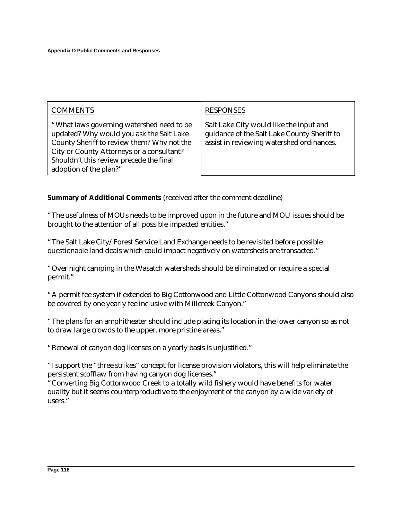| <b>COMMENTS</b>                                                                                                                                                                                                                                       | <b>RESPONSES</b>                                                                                                                    |
|-------------------------------------------------------------------------------------------------------------------------------------------------------------------------------------------------------------------------------------------------------|-------------------------------------------------------------------------------------------------------------------------------------|
| "What laws governing watershed need to be<br>updated? Why would you ask the Salt Lake<br>County Sheriff to review them? Why not the<br>City or County Attorneys or a consultant?<br>Shouldn't this review precede the final<br>adoption of the plan?" | Salt Lake City would like the input and<br>guidance of the Salt Lake County Sheriff to<br>assist in reviewing watershed ordinances. |

#### **Summary of Additional Comments** (received after the comment deadline)

"The usefulness of MOUs needs to be improved upon in the future and MOU issues should be brought to the attention of all possible impacted entities."

"The Salt Lake City/Forest Service Land Exchange needs to be revisited before possible questionable land deals which could impact negatively on watersheds are transacted."

"Over night camping in the Wasatch watersheds should be eliminated or require a special permit."

"A permit fee system if extended to Big Cottonwood and Little Cottonwood Canyons should also be covered by one yearly fee inclusive with Millcreek Canyon."

"The plans for an amphitheater should include placing its location in the lower canyon so as not to draw large crowds to the upper, more pristine areas."

"Renewal of canyon dog licenses on a yearly basis is unjustified."

"I support the "three strikes" concept for license provision violators, this will help eliminate the persistent scofflaw from having canyon dog licenses."

"Converting Big Cottonwood Creek to a totally wild fishery would have benefits for water quality but it seems counterproductive to the enjoyment of the canyon by a wide variety of users."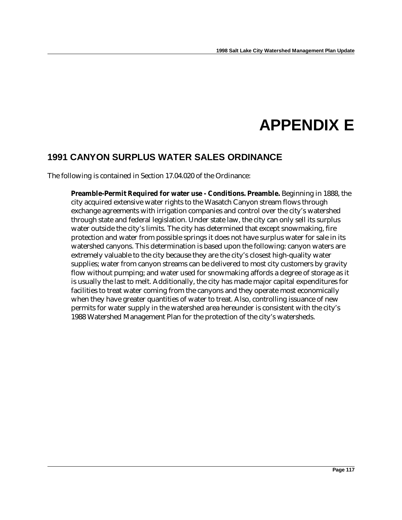# **APPENDIX E**

### **1991 CANYON SURPLUS WATER SALES ORDINANCE**

The following is contained in Section 17.04.020 of the Ordinance:

**Preamble-Permit Required for water use - Conditions. Preamble.** Beginning in 1888, the city acquired extensive water rights to the Wasatch Canyon stream flows through exchange agreements with irrigation companies and control over the city's watershed through state and federal legislation. Under state law, the city can only sell its surplus water outside the city's limits. The city has determined that except snowmaking, fire protection and water from possible springs it does not have surplus water for sale in its watershed canyons. This determination is based upon the following: canyon waters are extremely valuable to the city because they are the city's closest high-quality water supplies; water from canyon streams can be delivered to most city customers by gravity flow without pumping; and water used for snowmaking affords a degree of storage as it is usually the last to melt. Additionally, the city has made major capital expenditures for facilities to treat water coming from the canyons and they operate most economically when they have greater quantities of water to treat. Also, controlling issuance of new permits for water supply in the watershed area hereunder is consistent with the city's 1988 Watershed Management Plan for the protection of the city's watersheds.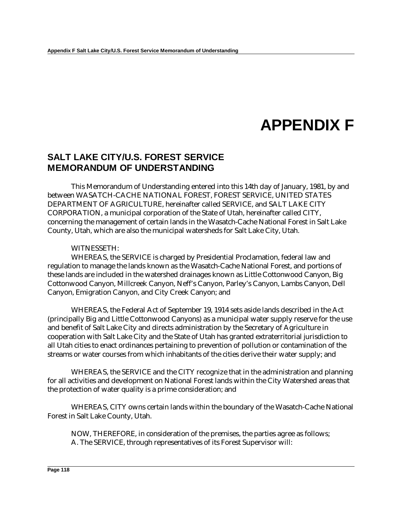## **APPENDIX F**

### **SALT LAKE CITY/U.S. FOREST SERVICE MEMORANDUM OF UNDERSTANDING**

This Memorandum of Understanding entered into this 14th day of January, 1981, by and between WASATCH-CACHE NATIONAL FOREST, FOREST SERVICE, UNITED STATES DEPARTMENT OF AGRICULTURE, hereinafter called SERVICE, and SALT LAKE CITY CORPORATION, a municipal corporation of the State of Utah, hereinafter called CITY, concerning the management of certain lands in the Wasatch-Cache National Forest in Salt Lake County, Utah, which are also the municipal watersheds for Salt Lake City, Utah.

#### WITNESSETH:

WHEREAS, the SERVICE is charged by Presidential Proclamation, federal law and regulation to manage the lands known as the Wasatch-Cache National Forest, and portions of these lands are included in the watershed drainages known as Little Cottonwood Canyon, Big Cottonwood Canyon, Millcreek Canyon, Neff's Canyon, Parley's Canyon, Lambs Canyon, Dell Canyon, Emigration Canyon, and City Creek Canyon; and

WHEREAS, the Federal Act of September 19, 1914 sets aside lands described in the Act (principally Big and Little Cottonwood Canyons) as a municipal water supply reserve for the use and benefit of Salt Lake City and directs administration by the Secretary of Agriculture in cooperation with Salt Lake City and the State of Utah has granted extraterritorial jurisdiction to all Utah cities to enact ordinances pertaining to prevention of pollution or contamination of the streams or water courses from which inhabitants of the cities derive their water supply; and

WHEREAS, the SERVICE and the CITY recognize that in the administration and planning for all activities and development on National Forest lands within the City Watershed areas that the protection of water quality is a prime consideration; and

WHEREAS, CITY owns certain lands within the boundary of the Wasatch-Cache National Forest in Salt Lake County, Utah.

NOW, THEREFORE, in consideration of the premises, the parties agree as follows; A. The SERVICE, through representatives of its Forest Supervisor will: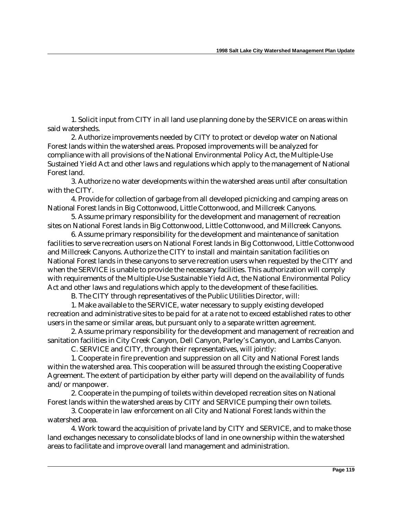1. Solicit input from CITY in all land use planning done by the SERVICE on areas within said watersheds.

2. Authorize improvements needed by CITY to protect or develop water on National Forest lands within the watershed areas. Proposed improvements will be analyzed for compliance with all provisions of the National Environmental Policy Act, the Multiple-Use Sustained Yield Act and other laws and regulations which apply to the management of National Forest land.

3. Authorize no water developments within the watershed areas until after consultation with the CITY.

4. Provide for collection of garbage from all developed picnicking and camping areas on National Forest lands in Big Cottonwood, Little Cottonwood, and Millcreek Canyons.

5. Assume primary responsibility for the development and management of recreation sites on National Forest lands in Big Cottonwood, Little Cottonwood, and Millcreek Canyons.

6. Assume primary responsibility for the development and maintenance of sanitation facilities to serve recreation users on National Forest lands in Big Cottonwood, Little Cottonwood and Millcreek Canyons. Authorize the CITY to install and maintain sanitation facilities on National Forest lands in these canyons to serve recreation users when requested by the CITY and when the SERVICE is unable to provide the necessary facilities. This authorization will comply with requirements of the Multiple-Use Sustainable Yield Act, the National Environmental Policy Act and other laws and regulations which apply to the development of these facilities.

B. The CITY through representatives of the Public Utilities Director, will:

1. Make available to the SERVICE, water necessary to supply existing developed recreation and administrative sites to be paid for at a rate not to exceed established rates to other users in the same or similar areas, but pursuant only to a separate written agreement.

2. Assume primary responsibility for the development and management of recreation and sanitation facilities in City Creek Canyon, Dell Canyon, Parley's Canyon, and Lambs Canyon.

C. SERVICE and CITY, through their representatives, will jointly:

1. Cooperate in fire prevention and suppression on all City and National Forest lands within the watershed area. This cooperation will be assured through the existing Cooperative Agreement. The extent of participation by either party will depend on the availability of funds and/or manpower.

2. Cooperate in the pumping of toilets within developed recreation sites on National Forest lands within the watershed areas by CITY and SERVICE pumping their own toilets.

3. Cooperate in law enforcement on all City and National Forest lands within the watershed area.

4. Work toward the acquisition of private land by CITY and SERVICE, and to make those land exchanges necessary to consolidate blocks of land in one ownership within the watershed areas to facilitate and improve overall land management and administration.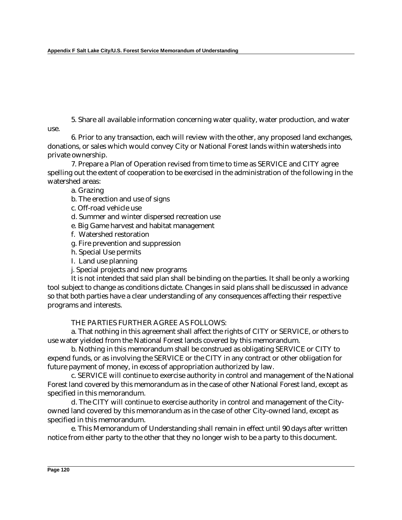5. Share all available information concerning water quality, water production, and water use.

6. Prior to any transaction, each will review with the other, any proposed land exchanges, donations, or sales which would convey City or National Forest lands within watersheds into private ownership.

7. Prepare a Plan of Operation revised from time to time as SERVICE and CITY agree spelling out the extent of cooperation to be exercised in the administration of the following in the watershed areas:

a. Grazing

- b. The erection and use of signs
- c. Off-road vehicle use
- d. Summer and winter dispersed recreation use
- e. Big Game harvest and habitat management
- f. Watershed restoration
- g. Fire prevention and suppression
- h. Special Use permits
- I. Land use planning
- j. Special projects and new programs

It is not intended that said plan shall be binding on the parties. It shall be only a working tool subject to change as conditions dictate. Changes in said plans shall be discussed in advance so that both parties have a clear understanding of any consequences affecting their respective programs and interests.

#### THE PARTIES FURTHER AGREE AS FOLLOWS:

a. That nothing in this agreement shall affect the rights of CITY or SERVICE, or others to use water yielded from the National Forest lands covered by this memorandum.

b. Nothing in this memorandum shall be construed as obligating SERVICE or CITY to expend funds, or as involving the SERVICE or the CITY in any contract or other obligation for future payment of money, in excess of appropriation authorized by law.

c. SERVICE will continue to exercise authority in control and management of the National Forest land covered by this memorandum as in the case of other National Forest land, except as specified in this memorandum.

d. The CITY will continue to exercise authority in control and management of the Cityowned land covered by this memorandum as in the case of other City-owned land, except as specified in this memorandum.

e. This Memorandum of Understanding shall remain in effect until 90 days after written notice from either party to the other that they no longer wish to be a party to this document.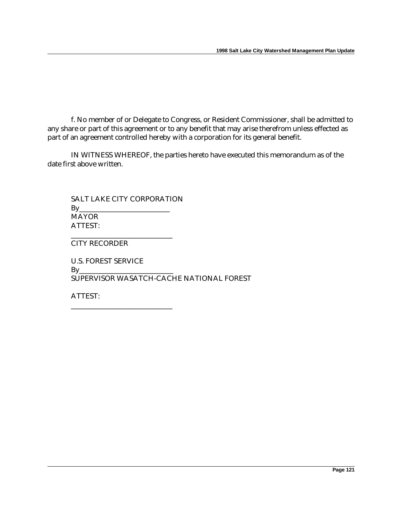f. No member of or Delegate to Congress, or Resident Commissioner, shall be admitted to any share or part of this agreement or to any benefit that may arise therefrom unless effected as part of an agreement controlled hereby with a corporation for its general benefit.

IN WITNESS WHEREOF, the parties hereto have executed this memorandum as of the date first above written.

SALT LAKE CITY CORPORATION  $By_$ MAYOR ATTEST:

\_\_\_\_\_\_\_\_\_\_\_\_\_\_\_\_\_\_\_\_\_\_\_\_\_\_\_\_

\_\_\_\_\_\_\_\_\_\_\_\_\_\_\_\_\_\_\_\_\_\_\_\_\_\_\_\_

CITY RECORDER

U.S. FOREST SERVICE  $By$ SUPERVISOR WASATCH-CACHE NATIONAL FOREST

ATTEST: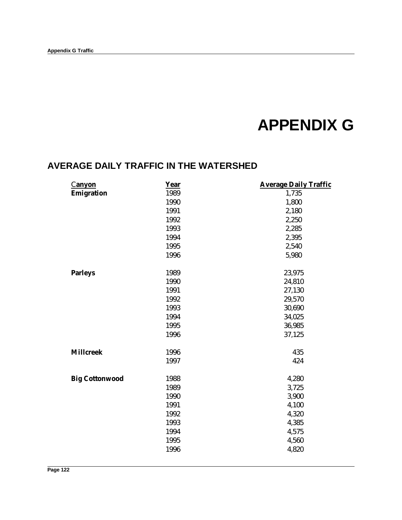## **APPENDIX G**

### **AVERAGE DAILY TRAFFIC IN THE WATERSHED**

| <u>Canyon</u>         | Year | <b>Average Daily Traffic</b> |
|-----------------------|------|------------------------------|
| Emigration            | 1989 | 1,735                        |
|                       | 1990 | 1,800                        |
|                       | 1991 | 2,180                        |
|                       | 1992 | 2,250                        |
|                       | 1993 | 2,285                        |
|                       | 1994 | 2,395                        |
|                       | 1995 | 2,540                        |
|                       | 1996 | 5,980                        |
| <b>Parleys</b>        | 1989 | 23,975                       |
|                       | 1990 | 24,810                       |
|                       | 1991 | 27,130                       |
|                       | 1992 | 29,570                       |
|                       | 1993 | 30,690                       |
|                       | 1994 | 34,025                       |
|                       | 1995 | 36,985                       |
|                       | 1996 | 37,125                       |
| <b>Millcreek</b>      | 1996 | 435                          |
|                       | 1997 | 424                          |
| <b>Big Cottonwood</b> | 1988 | 4,280                        |
|                       | 1989 | 3,725                        |
|                       | 1990 | 3,900                        |
|                       | 1991 | 4,100                        |
|                       | 1992 | 4,320                        |
|                       | 1993 | 4,385                        |
|                       | 1994 | 4,575                        |
|                       | 1995 | 4,560                        |
|                       | 1996 | 4,820                        |
|                       |      |                              |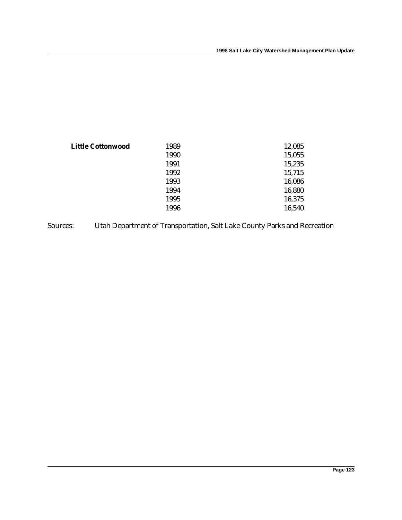| <b>Little Cottonwood</b> | 1989 | 12,085 |
|--------------------------|------|--------|
|                          | 1990 | 15,055 |
|                          | 1991 | 15,235 |
|                          | 1992 | 15,715 |
|                          | 1993 | 16,086 |
|                          | 1994 | 16,880 |
|                          | 1995 | 16,375 |
|                          | 1996 | 16,540 |
|                          |      |        |

Sources: Utah Department of Transportation, Salt Lake County Parks and Recreation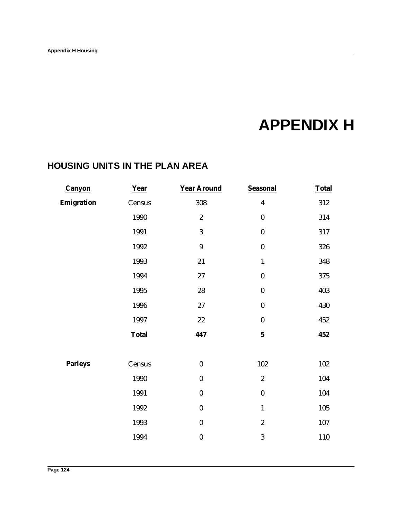# **APPENDIX H**

### **HOUSING UNITS IN THE PLAN AREA**

| 308<br>$\boldsymbol{2}$<br>3<br>$\boldsymbol{9}$ | $\boldsymbol{4}$<br>$\boldsymbol{0}$<br>$\boldsymbol{0}$ | 312<br>314<br>317 |
|--------------------------------------------------|----------------------------------------------------------|-------------------|
|                                                  |                                                          |                   |
|                                                  |                                                          |                   |
|                                                  |                                                          |                   |
|                                                  |                                                          | 326               |
| 21                                               | $\mathbf{1}$                                             | 348               |
| $27\,$                                           | $\boldsymbol{0}$                                         | 375               |
| $\bf 28$                                         | $\bf{0}$                                                 | 403               |
| $27\,$                                           | $\bf{0}$                                                 | 430               |
| $22\,$                                           | $\bf{0}$                                                 | 452               |
| 447                                              | $\mathbf{5}$                                             | 452               |
| $\bf{0}$                                         | 102                                                      | 102               |
| $\boldsymbol{0}$                                 | $\overline{c}$                                           | 104               |
| $\boldsymbol{0}$                                 | $\boldsymbol{0}$                                         | 104               |
| $\boldsymbol{0}$                                 | $\mathbf{1}$                                             | 105               |
| $\boldsymbol{0}$                                 | $\boldsymbol{2}$                                         | 107               |
| $\boldsymbol{0}$                                 | 3                                                        | 110               |
|                                                  |                                                          | $\pmb{0}$         |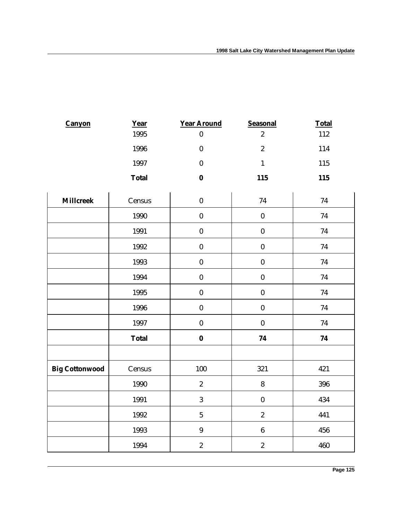| <b>Canyon</b>         | Year         | <b>Year Around</b> | <b>Seasonal</b>  | <b>Total</b> |
|-----------------------|--------------|--------------------|------------------|--------------|
|                       | 1995         | $\pmb{0}$          | $\sqrt{2}$       | 112          |
|                       | 1996         | $\pmb{0}$          | $\sqrt{2}$       | 114          |
|                       | 1997         | $\pmb{0}$          | $\mathbf{1}$     | 115          |
|                       | <b>Total</b> | $\boldsymbol{0}$   | 115              | 115          |
| <b>Millcreek</b>      | Census       | $\pmb{0}$          | $74\,$           | $74\,$       |
|                       | 1990         | $\pmb{0}$          | $\pmb{0}$        | $74\,$       |
|                       | 1991         | $\pmb{0}$          | $\pmb{0}$        | $74\,$       |
|                       | 1992         | $\pmb{0}$          | $\pmb{0}$        | $74\,$       |
|                       | 1993         | $\pmb{0}$          | $\pmb{0}$        | 74           |
|                       | 1994         | $\pmb{0}$          | $\pmb{0}$        | $74\,$       |
|                       | 1995         | $\pmb{0}$          | $\pmb{0}$        | 74           |
|                       | 1996         | $\pmb{0}$          | $\pmb{0}$        | $74\,$       |
|                       | 1997         | $\pmb{0}$          | $\boldsymbol{0}$ | 74           |
|                       | <b>Total</b> | $\boldsymbol{0}$   | ${\bf 74}$       | ${\bf 74}$   |
|                       |              |                    |                  |              |
| <b>Big Cottonwood</b> | Census       | 100                | 321              | 421          |
|                       | 1990         | $\sqrt{2}$         | $\pmb{8}$        | 396          |
|                       | 1991         | $\boldsymbol{3}$   | $\pmb{0}$        | 434          |
|                       | 1992         | $\overline{5}$     | $\sqrt{2}$       | 441          |
|                       | 1993         | $\boldsymbol{9}$   | $\boldsymbol{6}$ | 456          |
|                       | 1994         | $\boldsymbol{2}$   | $\sqrt{2}$       | 460          |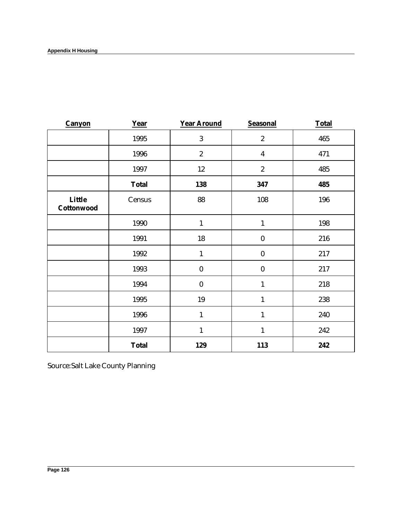| <b>Canyon</b>        | Year         | <b>Year Around</b> | <b>Seasonal</b>         | <b>Total</b> |
|----------------------|--------------|--------------------|-------------------------|--------------|
|                      | 1995         | 3                  | $\boldsymbol{2}$        | 465          |
|                      | 1996         | $\boldsymbol{2}$   | $\overline{\mathbf{4}}$ | 471          |
|                      | 1997         | 12                 | $\boldsymbol{2}$        | 485          |
|                      | <b>Total</b> | 138                | 347                     | 485          |
| Little<br>Cottonwood | Census       | 88                 | 108                     | 196          |
|                      | 1990         | $\mathbf{1}$       | $\mathbf{1}$            | 198          |
|                      | 1991         | 18                 | $\bf{0}$                | 216          |
|                      | 1992         | $\mathbf{1}$       | $\boldsymbol{0}$        | 217          |
|                      | 1993         | $\bf{0}$           | $\bf{0}$                | 217          |
|                      | 1994         | $\bf{0}$           | $\mathbf{1}$            | 218          |
|                      | 1995         | 19                 | $\mathbf{1}$            | 238          |
|                      | 1996         | $\mathbf{1}$       | $\mathbf{1}$            | 240          |
|                      | 1997         | $\mathbf{1}$       | $\mathbf{1}$            | 242          |
|                      | <b>Total</b> | 129                | 113                     | 242          |

Source:Salt Lake County Planning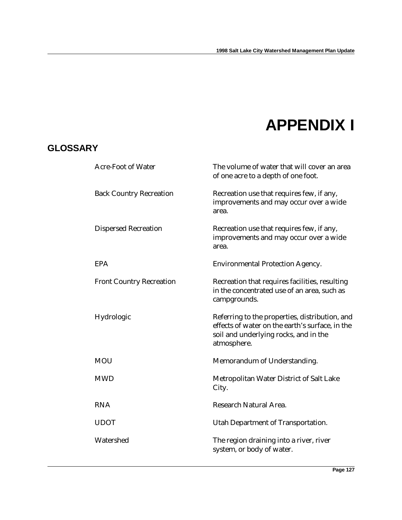## **APPENDIX I**

### **GLOSSARY**

| <b>Acre-Foot of Water</b>       | The volume of water that will cover an area<br>of one acre to a depth of one foot.                                                                        |
|---------------------------------|-----------------------------------------------------------------------------------------------------------------------------------------------------------|
| <b>Back Country Recreation</b>  | Recreation use that requires few, if any,<br>improvements and may occur over a wide<br>area.                                                              |
| <b>Dispersed Recreation</b>     | Recreation use that requires few, if any,<br>improvements and may occur over a wide<br>area.                                                              |
| <b>EPA</b>                      | <b>Environmental Protection Agency.</b>                                                                                                                   |
| <b>Front Country Recreation</b> | Recreation that requires facilities, resulting<br>in the concentrated use of an area, such as<br>campgrounds.                                             |
| Hydrologic                      | Referring to the properties, distribution, and<br>effects of water on the earth's surface, in the<br>soil and underlying rocks, and in the<br>atmosphere. |
| <b>MOU</b>                      | Memorandum of Understanding.                                                                                                                              |
| <b>MWD</b>                      | Metropolitan Water District of Salt Lake<br>City.                                                                                                         |
| <b>RNA</b>                      | Research Natural Area.                                                                                                                                    |
| <b>UDOT</b>                     | Utah Department of Transportation.                                                                                                                        |
| Watershed                       | The region draining into a river, river<br>system, or body of water.                                                                                      |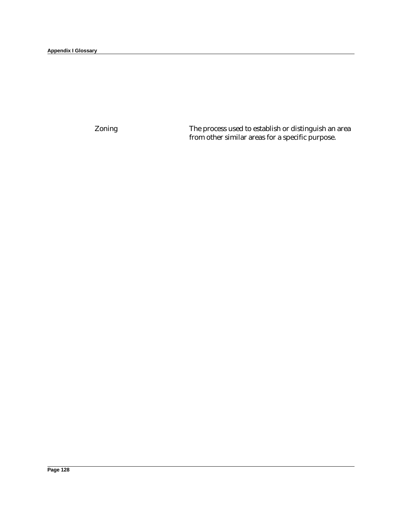Zoning The process used to establish or distinguish an area from other similar areas for a specific purpose.